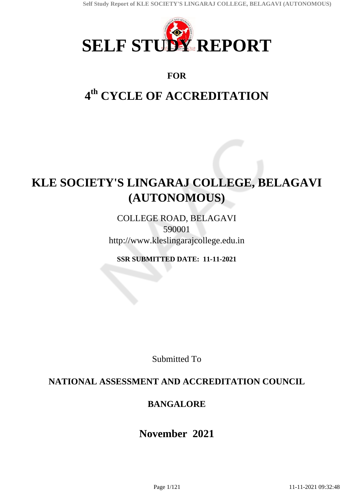

# **FOR**

# **4 th CYCLE OF ACCREDITATION**

# **KLE SOCIETY'S LINGARAJ COLLEGE, BELAGAVI (AUTONOMOUS)**

COLLEGE ROAD, BELAGAVI 590001 http://www.kleslingarajcollege.edu.in

**SSR SUBMITTED DATE: 11-11-2021**

Submitted To

# **NATIONAL ASSESSMENT AND ACCREDITATION COUNCIL**

# **BANGALORE**

# **November 2021**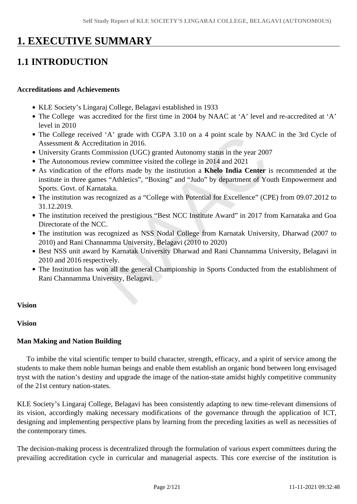# **1. EXECUTIVE SUMMARY**

# **1.1 INTRODUCTION**

#### **Accreditations and Achievements**

- KLE Society's Lingaraj College, Belagavi established in 1933
- The College was accredited for the first time in 2004 by NAAC at 'A' level and re-accredited at 'A' level in 2010
- The College received 'A' grade with CGPA 3.10 on a 4 point scale by NAAC in the 3rd Cycle of Assessment & Accreditation in 2016.
- University Grants Commission (UGC) granted Autonomy status in the year 2007
- The Autonomous review committee visited the college in 2014 and 2021
- As vindication of the efforts made by the institution a **Khelo India Center** is recommended at the institute in three games "Athletics", "Boxing" and "Judo" by department of Youth Empowerment and Sports. Govt. of Karnataka.
- The institution was recognized as a "College with Potential for Excellence" (CPE) from 09.07.2012 to 31.12.2019.
- The institution received the prestigious "Best NCC Institute Award" in 2017 from Karnataka and Goa Directorate of the NCC.
- The institution was recognized as NSS Nodal College from Karnatak University, Dharwad (2007 to 2010) and Rani Channamma University, Belagavi (2010 to 2020)
- Best NSS unit award by Karnatak University Dharwad and Rani Channamma University, Belagavi in 2010 and 2016 respectively.
- The Institution has won all the general Championship in Sports Conducted from the establishment of Rani Channamma University, Belagavi.

#### **Vision**

#### **Vision**

#### **Man Making and Nation Building**

 To imbibe the vital scientific temper to build character, strength, efficacy, and a spirit of service among the students to make them noble human beings and enable them establish an organic bond between long envisaged tryst with the nation's destiny and upgrade the image of the nation-state amidst highly competitive community of the 21st century nation-states.

KLE Society's Lingaraj College, Belagavi has been consistently adapting to new time-relevant dimensions of its vision, accordingly making necessary modifications of the governance through the application of ICT, designing and implementing perspective plans by learning from the preceding laxities as well as necessities of the contemporary times.

The decision-making process is decentralized through the formulation of various expert committees during the prevailing accreditation cycle in curricular and managerial aspects. This core exercise of the institution is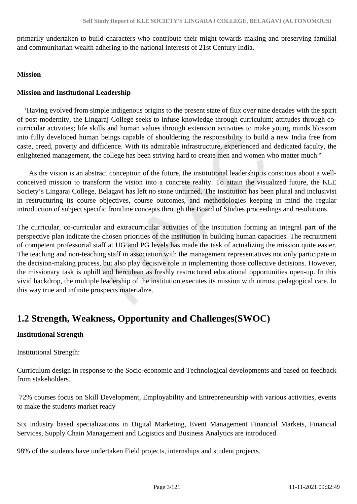primarily undertaken to build characters who contribute their might towards making and preserving familial and communitarian wealth adhering to the national interests of 21st Century India.

#### **Mission**

#### **Mission and Institutional Leadership**

 'Having evolved from simple indigenous origins to the present state of flux over nine decades with the spirit of post-modernity, the Lingaraj College seeks to infuse knowledge through curriculum; attitudes through cocurricular activities; life skills and human values through extension activities to make young minds blossom into fully developed human beings capable of shouldering the responsibility to build a new India free from caste, creed, poverty and diffidence. With its admirable infrastructure, experienced and dedicated faculty, the enlightened management, the college has been striving hard to create men and women who matter much.**'**

 As the vision is an abstract conception of the future, the institutional leadership is conscious about a wellconceived mission to transform the vision into a concrete reality. To attain the visualized future, the KLE Society's Lingaraj College, Belagavi has left no stone unturned. The institution has been plural and inclusivist in restructuring its course objectives, course outcomes, and methodologies keeping in mind the regular introduction of subject specific frontline concepts through the Board of Studies proceedings and resolutions.

The curricular, co-curricular and extracurricular activities of the institution forming an integral part of the perspective plan indicate the chosen priorities of the institution in building human capacities. The recruitment of competent professorial staff at UG and PG levels has made the task of actualizing the mission quite easier. The teaching and non-teaching staff in association with the management representatives not only participate in the decision-making process, but also play decisive role in implementing those collective decisions. However, the missionary task is uphill and herculean as freshly restructured educational opportunities open-up. In this vivid backdrop, the multiple leadership of the institution executes its mission with utmost pedagogical care. In this way true and infinite prospects materialize.

# **1.2 Strength, Weakness, Opportunity and Challenges(SWOC)**

### **Institutional Strength**

Institutional Strength:

Curriculum design in response to the Socio-economic and Technological developments and based on feedback from stakeholders.

 72% courses focus on Skill Development, Employability and Entrepreneurship with various activities, events to make the students market ready

Six industry based specializations in Digital Marketing, Event Management Financial Markets, Financial Services, Supply Chain Management and Logistics and Business Analytics are introduced.

98% of the students have undertaken Field projects, internships and student projects.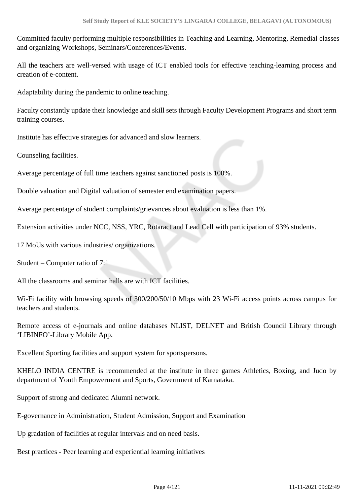Committed faculty performing multiple responsibilities in Teaching and Learning, Mentoring, Remedial classes and organizing Workshops, Seminars/Conferences/Events.

All the teachers are well-versed with usage of ICT enabled tools for effective teaching-learning process and creation of e-content.

Adaptability during the pandemic to online teaching.

Faculty constantly update their knowledge and skill sets through Faculty Development Programs and short term training courses.

Institute has effective strategies for advanced and slow learners.

Counseling facilities.

Average percentage of full time teachers against sanctioned posts is 100%.

Double valuation and Digital valuation of semester end examination papers.

Average percentage of student complaints/grievances about evaluation is less than 1%.

Extension activities under NCC, NSS, YRC, Rotaract and Lead Cell with participation of 93% students.

17 MoUs with various industries/ organizations.

Student – Computer ratio of 7:1

All the classrooms and seminar halls are with ICT facilities.

Wi-Fi facility with browsing speeds of 300/200/50/10 Mbps with 23 Wi-Fi access points across campus for teachers and students.

Remote access of e-journals and online databases NLIST, DELNET and British Council Library through 'LIBINFO'-Library Mobile App.

Excellent Sporting facilities and support system for sportspersons.

KHELO INDIA CENTRE is recommended at the institute in three games Athletics, Boxing, and Judo by department of Youth Empowerment and Sports, Government of Karnataka.

Support of strong and dedicated Alumni network.

E-governance in Administration, Student Admission, Support and Examination

Up gradation of facilities at regular intervals and on need basis.

Best practices - Peer learning and experiential learning initiatives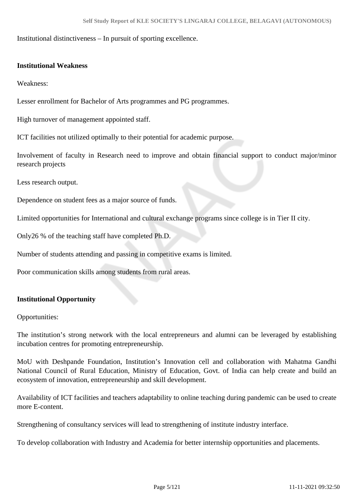Institutional distinctiveness – In pursuit of sporting excellence.

#### **Institutional Weakness**

Weakness:

Lesser enrollment for Bachelor of Arts programmes and PG programmes.

High turnover of management appointed staff.

ICT facilities not utilized optimally to their potential for academic purpose.

Involvement of faculty in Research need to improve and obtain financial support to conduct major/minor research projects

Less research output.

Dependence on student fees as a major source of funds.

Limited opportunities for International and cultural exchange programs since college is in Tier II city.

Only26 % of the teaching staff have completed Ph.D.

Number of students attending and passing in competitive exams is limited.

Poor communication skills among students from rural areas.

#### **Institutional Opportunity**

Opportunities:

The institution's strong network with the local entrepreneurs and alumni can be leveraged by establishing incubation centres for promoting entrepreneurship.

MoU with Deshpande Foundation, Institution's Innovation cell and collaboration with Mahatma Gandhi National Council of Rural Education, Ministry of Education, Govt. of India can help create and build an ecosystem of innovation, entrepreneurship and skill development.

Availability of ICT facilities and teachers adaptability to online teaching during pandemic can be used to create more E-content.

Strengthening of consultancy services will lead to strengthening of institute industry interface.

To develop collaboration with Industry and Academia for better internship opportunities and placements.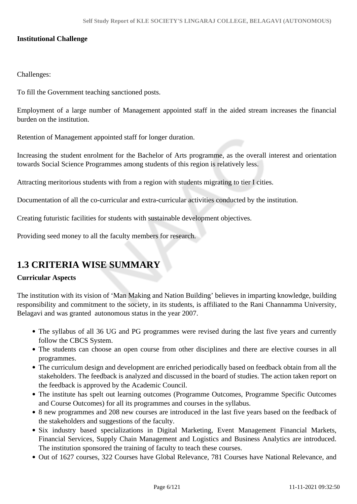### **Institutional Challenge**

### Challenges:

To fill the Government teaching sanctioned posts.

Employment of a large number of Management appointed staff in the aided stream increases the financial burden on the institution.

Retention of Management appointed staff for longer duration.

Increasing the student enrolment for the Bachelor of Arts programme, as the overall interest and orientation towards Social Science Programmes among students of this region is relatively less.

Attracting meritorious students with from a region with students migrating to tier I cities.

Documentation of all the co-curricular and extra-curricular activities conducted by the institution.

Creating futuristic facilities for students with sustainable development objectives.

Providing seed money to all the faculty members for research.

# **1.3 CRITERIA WISE SUMMARY**

### **Curricular Aspects**

The institution with its vision of 'Man Making and Nation Building' believes in imparting knowledge, building responsibility and commitment to the society, in its students, is affiliated to the Rani Channamma University, Belagavi and was granted autonomous status in the year 2007.

- The syllabus of all 36 UG and PG programmes were revised during the last five years and currently follow the CBCS System.
- The students can choose an open course from other disciplines and there are elective courses in all programmes.
- The curriculum design and development are enriched periodically based on feedback obtain from all the stakeholders. The feedback is analyzed and discussed in the board of studies. The action taken report on the feedback is approved by the Academic Council.
- The institute has spelt out learning outcomes (Programme Outcomes, Programme Specific Outcomes and Course Outcomes) for all its programmes and courses in the syllabus.
- 8 new programmes and 208 new courses are introduced in the last five years based on the feedback of the stakeholders and suggestions of the faculty.
- Six industry based specializations in Digital Marketing, Event Management Financial Markets, Financial Services, Supply Chain Management and Logistics and Business Analytics are introduced. The institution sponsored the training of faculty to teach these courses.
- Out of 1627 courses, 322 Courses have Global Relevance, 781 Courses have National Relevance, and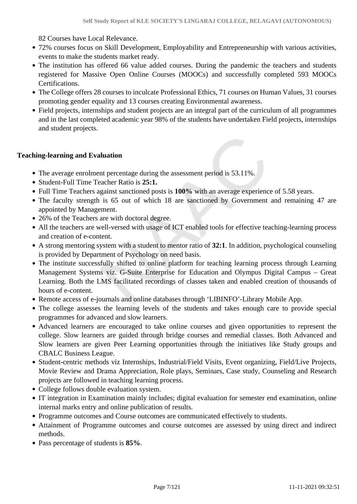82 Courses have Local Relevance.

- 72% courses focus on Skill Development, Employability and Entrepreneurship with various activities, events to make the students market ready.
- The institution has offered 66 value added courses. During the pandemic the teachers and students registered for Massive Open Online Courses (MOOCs) and successfully completed 593 MOOCs Certifications.
- The College offers 28 courses to inculcate Professional Ethics, 71 courses on Human Values, 31 courses promoting gender equality and 13 courses creating Environmental awareness.
- Field projects, internships and student projects are an integral part of the curriculum of all programmes and in the last completed academic year 98% of the students have undertaken Field projects, internships and student projects.

### **Teaching-learning and Evaluation**

- The average enrolment percentage during the assessment period is 53.11%.
- Student-Full Time Teacher Ratio is **25:1.**
- Full Time Teachers against sanctioned posts is **100%** with an average experience of 5.58 years.
- The faculty strength is 65 out of which 18 are sanctioned by Government and remaining 47 are appointed by Management.
- 26% of the Teachers are with doctoral degree.
- All the teachers are well-versed with usage of ICT enabled tools for effective teaching-learning process and creation of e-content.
- A strong mentoring system with a student to mentor ratio of **32:1**. In addition, psychological counseling is provided by Department of Psychology on need basis.
- The institute successfully shifted to online platform for teaching learning process through Learning Management Systems viz. G-Suite Enterprise for Education and Olympus Digital Campus – Great Learning. Both the LMS facilitated recordings of classes taken and enabled creation of thousands of hours of e-content.
- Remote access of e-journals and online databases through 'LIBINFO'-Library Mobile App.
- The college assesses the learning levels of the students and takes enough care to provide special programmes for advanced and slow learners.
- Advanced learners are encouraged to take online courses and given opportunities to represent the college. Slow learners are guided through bridge courses and remedial classes. Both Advanced and Slow learners are given Peer Learning opportunities through the initiatives like Study groups and CBALC Business League.
- Student-centric methods viz Internships, Industrial/Field Visits, Event organizing, Field/Live Projects, Movie Review and Drama Appreciation, Role plays, Seminars, Case study, Counseling and Research projects are followed in teaching learning process.
- College follows double evaluation system.
- IT integration in Examination mainly includes; digital evaluation for semester end examination, online internal marks entry and online publication of results.
- Programme outcomes and Course outcomes are communicated effectively to students.
- Attainment of Programme outcomes and course outcomes are assessed by using direct and indirect methods.
- Pass percentage of students is **85%**.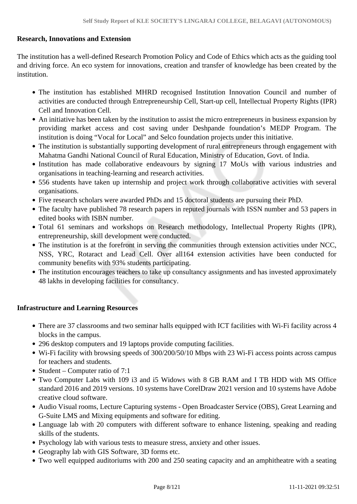### **Research, Innovations and Extension**

The institution has a well-defined Research Promotion Policy and Code of Ethics which acts as the guiding tool and driving force. An eco system for innovations, creation and transfer of knowledge has been created by the institution.

- The institution has established MHRD recognised Institution Innovation Council and number of activities are conducted through Entrepreneurship Cell, Start-up cell, Intellectual Property Rights (IPR) Cell and Innovation Cell.
- An initiative has been taken by the institution to assist the micro entrepreneurs in business expansion by providing market access and cost saving under Deshpande foundation's MEDP Program. The institution is doing "Vocal for Local" and Selco foundation projects under this initiative.
- The institution is substantially supporting development of rural entrepreneurs through engagement with Mahatma Gandhi National Council of Rural Education, Ministry of Education, Govt. of India.
- Institution has made collaborative endeavours by signing 17 MoUs with various industries and organisations in teaching-learning and research activities.
- 556 students have taken up internship and project work through collaborative activities with several organisations.
- Five research scholars were awarded PhDs and 15 doctoral students are pursuing their PhD.
- The faculty have published 78 research papers in reputed journals with ISSN number and 53 papers in edited books with ISBN number.
- Total 61 seminars and workshops on Research methodology, Intellectual Property Rights (IPR), entrepreneurship, skill development were conducted.
- The institution is at the forefront in serving the communities through extension activities under NCC, NSS, YRC, Rotaract and Lead Cell. Over all164 extension activities have been conducted for community benefits with 93% students participating.
- The institution encourages teachers to take up consultancy assignments and has invested approximately 48 lakhs in developing facilities for consultancy.

#### **Infrastructure and Learning Resources**

- There are 37 classrooms and two seminar halls equipped with ICT facilities with Wi-Fi facility across 4 blocks in the campus.
- 296 desktop computers and 19 laptops provide computing facilities.
- Wi-Fi facility with browsing speeds of 300/200/50/10 Mbps with 23 Wi-Fi access points across campus for teachers and students.
- Student Computer ratio of  $7:1$
- Two Computer Labs with 109 i3 and i5 Widows with 8 GB RAM and I TB HDD with MS Office standard 2016 and 2019 versions. 10 systems have CorelDraw 2021 version and 10 systems have Adobe creative cloud software.
- Audio Visual rooms, Lecture Capturing systems Open Broadcaster Service (OBS), Great Learning and G-Suite LMS and Mixing equipments and software for editing.
- Language lab with 20 computers with different software to enhance listening, speaking and reading skills of the students.
- Psychology lab with various tests to measure stress, anxiety and other issues.
- Geography lab with GIS Software, 3D forms etc.
- Two well equipped auditoriums with 200 and 250 seating capacity and an amphitheatre with a seating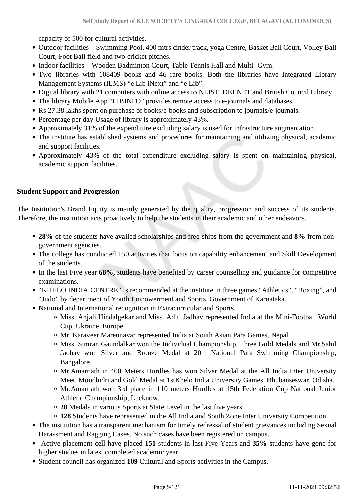capacity of 500 for cultural activities.

- Outdoor facilities Swimming Pool, 400 mtrs cinder track, yoga Centre, Basket Ball Court, Volley Ball Court, Foot Ball field and two cricket pitches.
- Indoor facilities Wooden Badminton Court, Table Tennis Hall and Multi- Gym.
- Two libraries with 108409 books and 46 rare books. Both the libraries have Integrated Library Management Systems (ILMS) "e Lib iNext" and "e Lib".
- Digital library with 21 computers with online access to NLIST, DELNET and British Council Library.
- The library Mobile App "LIBINFO" provides remote access to e-journals and databases.
- Rs 27.38 lakhs spent on purchase of books/e-books and subscription to journals/e-journals.
- Percentage per day Usage of library is approximately 43%.
- Approximately 31% of the expenditure excluding salary is used for infrastructure augmentation.
- The institute has established systems and procedures for maintaining and utilizing physical, academic and support facilities.
- Approximately 43% of the total expenditure excluding salary is spent on maintaining physical, academic support facilities.

#### **Student Support and Progression**

The Institution's Brand Equity is mainly generated by the quality, progression and success of its students. Therefore, the institution acts proactively to help the students in their academic and other endeavors.

- **28%** of the students have availed scholarships and free-ships from the government and **8%** from nongovernment agencies.
- The college has conducted 150 activities that focus on capability enhancement and Skill Development of the students.
- In the last Five year **68%,** students have benefited by career counselling and guidance for competitive examinations.
- "KHELO INDIA CENTRE" is recommended at the institute in three games "Athletics", "Boxing", and "Judo" by department of Youth Empowerment and Sports, Government of Karnataka.
- National and International recognition in Extracurricular and Sports.
	- Miss. Anjali Hindalgekar and Miss. Aditi Jadhav represented India at the Mini-Football World Cup, Ukraine, Europe.
	- Mr. Karaveer Marennavar represented India at South Asian Para Games, Nepal.
	- Miss. Simran Gaundalkar won the Individual Championship, Three Gold Medals and Mr.Sahil Jadhav won Silver and Bronze Medal at 20th National Para Swimming Championship, Bangalore.
	- Mr.Amarnath in 400 Meters Hurdles has won Silver Medal at the All India Inter University Meet, Moodbidri and Gold Medal at 1stKhelo India University Games, Bhubanseswar, Odisha.
	- Mr.Amarnath won 3rd place in 110 meters Hurdles at 15th Federation Cup National Junior Athletic Championship, Lucknow.
	- **28** Medals in various Sports at State Level in the last five years.
	- **128** Students have represented in the All India and South Zone Inter University Competition.
- The institution has a transparent mechanism for timely redressal of student grievances including Sexual Harassment and Ragging Cases. No such cases have been registered on campus.
- Active placement cell have placed **151** students in last Five Years and **35%** students have gone for higher studies in latest completed academic year.
- Student council has organized **109** Cultural and Sports activities in the Campus.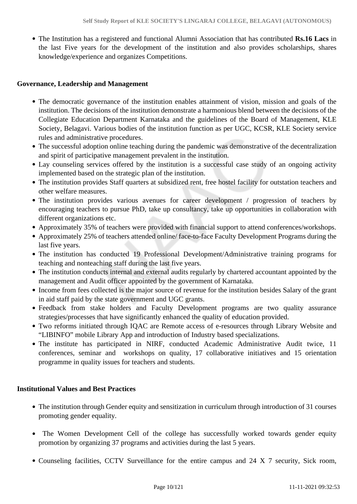The Institution has a registered and functional Alumni Association that has contributed **Rs.16 Lacs** in the last Five years for the development of the institution and also provides scholarships, shares knowledge/experience and organizes Competitions.

### **Governance, Leadership and Management**

- The democratic governance of the institution enables attainment of vision, mission and goals of the institution. The decisions of the institution demonstrate a harmonious blend between the decisions of the Collegiate Education Department Karnataka and the guidelines of the Board of Management, KLE Society, Belagavi. Various bodies of the institution function as per UGC, KCSR, KLE Society service rules and administrative procedures.
- The successful adoption online teaching during the pandemic was demonstrative of the decentralization and spirit of participative management prevalent in the institution.
- Lay counseling services offered by the institution is a successful case study of an ongoing activity implemented based on the strategic plan of the institution.
- The institution provides Staff quarters at subsidized rent, free hostel facility for outstation teachers and other welfare measures.
- The institution provides various avenues for career development / progression of teachers by encouraging teachers to pursue PhD, take up consultancy, take up opportunities in collaboration with different organizations etc.
- Approximately 35% of teachers were provided with financial support to attend conferences/workshops.
- Approximately 25% of teachers attended online/ face-to-face Faculty Development Programs during the last five years.
- The institution has conducted 19 Professional Development/Administrative training programs for teaching and nonteaching staff during the last five years.
- The institution conducts internal and external audits regularly by chartered accountant appointed by the management and Audit officer appointed by the government of Karnataka.
- Income from fees collected is the major source of revenue for the institution besides Salary of the grant in aid staff paid by the state government and UGC grants.
- Feedback from stake holders and Faculty Development programs are two quality assurance strategies/processes that have significantly enhanced the quality of education provided.
- Two reforms initiated through IQAC are Remote access of e-resources through Library Website and "LIBINFO" mobile Library App and introduction of Industry based specializations.
- The institute has participated in NIRF, conducted Academic Administrative Audit twice, 11 conferences, seminar and workshops on quality, 17 collaborative initiatives and 15 orientation programme in quality issues for teachers and students.

### **Institutional Values and Best Practices**

- The institution through Gender equity and sensitization in curriculum through introduction of 31 courses promoting gender equality.
- The Women Development Cell of the college has successfully worked towards gender equity promotion by organizing 37 programs and activities during the last 5 years.
- Counseling facilities, CCTV Surveillance for the entire campus and 24 X 7 security, Sick room,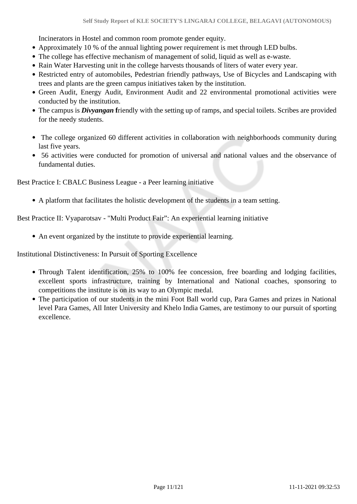Incinerators in Hostel and common room promote gender equity.

- Approximately 10 % of the annual lighting power requirement is met through LED bulbs.
- The college has effective mechanism of management of solid, liquid as well as e-waste.
- Rain Water Harvesting unit in the college harvests thousands of liters of water every year.
- Restricted entry of automobiles, Pedestrian friendly pathways, Use of Bicycles and Landscaping with trees and plants are the green campus initiatives taken by the institution.
- Green Audit, Energy Audit, Environment Audit and 22 environmental promotional activities were conducted by the institution.
- The campus is *Divyangan* friendly with the setting up of ramps, and special toilets. Scribes are provided for the needy students.
- The college organized 60 different activities in collaboration with neighborhoods community during last five years.
- 56 activities were conducted for promotion of universal and national values and the observance of fundamental duties.

Best Practice I: CBALC Business League - a Peer learning initiative

A platform that facilitates the holistic development of the students in a team setting.

Best Practice II: Vyaparotsav - "Multi Product Fair": An experiential learning initiative

An event organized by the institute to provide experiential learning.

Institutional Distinctiveness: In Pursuit of Sporting Excellence

- Through Talent identification, 25% to 100% fee concession, free boarding and lodging facilities, excellent sports infrastructure, training by International and National coaches, sponsoring to competitions the institute is on its way to an Olympic medal.
- The participation of our students in the mini Foot Ball world cup, Para Games and prizes in National level Para Games, All Inter University and Khelo India Games, are testimony to our pursuit of sporting excellence.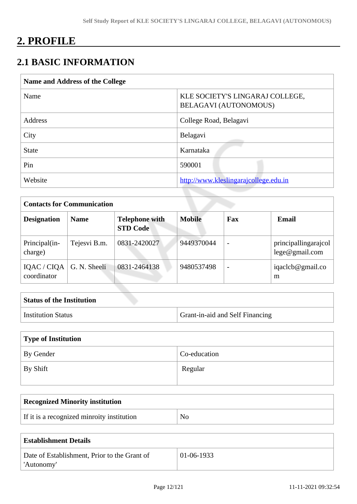# **2. PROFILE**

# **2.1 BASIC INFORMATION**

| Name and Address of the College |                                                          |  |  |  |  |
|---------------------------------|----------------------------------------------------------|--|--|--|--|
| Name                            | KLE SOCIETY'S LINGARAJ COLLEGE,<br>BELAGAVI (AUTONOMOUS) |  |  |  |  |
| Address                         | College Road, Belagavi                                   |  |  |  |  |
| City                            | Belagavi                                                 |  |  |  |  |
| <b>State</b>                    | Karnataka                                                |  |  |  |  |
| Pin                             | 590001                                                   |  |  |  |  |
| Website                         | http://www.kleslingarajcollege.edu.in                    |  |  |  |  |

| <b>Contacts for Communication</b>         |              |                                          |               |                          |                                        |  |
|-------------------------------------------|--------------|------------------------------------------|---------------|--------------------------|----------------------------------------|--|
| <b>Designation</b>                        | <b>Name</b>  | <b>Telephone with</b><br><b>STD Code</b> | <b>Mobile</b> | Fax                      | Email                                  |  |
| Principal(in-<br>charge)                  | Tejesvi B.m. | 0831-2420027                             | 9449370044    | $\overline{\phantom{a}}$ | principallingarajcol<br>lege@gmail.com |  |
| IQAC / CIQA   G. N. Sheeli<br>coordinator |              | 0831-2464138                             | 9480537498    | $\overline{\phantom{0}}$ | iqaclcb@gmail.co<br>m                  |  |

| <b>Status of the Institution</b> |                                        |
|----------------------------------|----------------------------------------|
| <b>Institution Status</b>        | <b>Grant-in-aid and Self Financing</b> |

| Type of Institution |              |  |  |  |
|---------------------|--------------|--|--|--|
| By Gender           | Co-education |  |  |  |
| By Shift            | Regular      |  |  |  |

| <b>Recognized Minority institution</b>     |                |
|--------------------------------------------|----------------|
| If it is a recognized minroity institution | N <sub>0</sub> |

| <b>Establishment Details</b>                 |              |
|----------------------------------------------|--------------|
| Date of Establishment, Prior to the Grant of | $01-06-1933$ |
| 'Autonomy'                                   |              |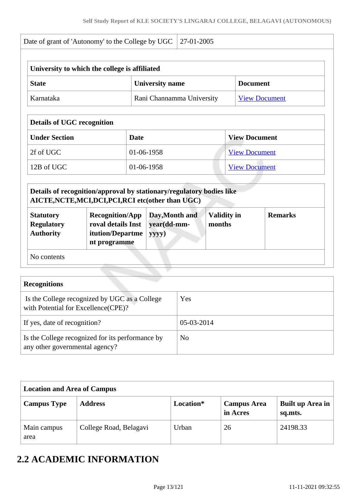|                                                           | University to which the college is affiliated                                                                                                                                                                   |            |                                        |                              |                      |                |  |
|-----------------------------------------------------------|-----------------------------------------------------------------------------------------------------------------------------------------------------------------------------------------------------------------|------------|----------------------------------------|------------------------------|----------------------|----------------|--|
| <b>State</b>                                              |                                                                                                                                                                                                                 |            | <b>University name</b>                 |                              | <b>Document</b>      |                |  |
| Karnataka                                                 |                                                                                                                                                                                                                 |            | Rani Channamma University              |                              | <b>View Document</b> |                |  |
| <b>Details of UGC recognition</b>                         |                                                                                                                                                                                                                 |            |                                        |                              |                      |                |  |
| <b>Under Section</b>                                      | <b>Date</b>                                                                                                                                                                                                     |            |                                        |                              | <b>View Document</b> |                |  |
| 2f of UGC                                                 |                                                                                                                                                                                                                 | 01-06-1958 |                                        |                              | <b>View Document</b> |                |  |
| 12B of UGC                                                |                                                                                                                                                                                                                 | 01-06-1958 |                                        |                              | <b>View Document</b> |                |  |
| <b>Statutory</b><br><b>Regulatory</b><br><b>Authority</b> | Details of recognition/approval by stationary/regulatory bodies like<br>AICTE, NCTE, MCI, DCI, PCI, RCI etc(other than UGC)<br><b>Recognition/App</b><br>roval details Inst<br>itution/Departme<br>nt programme |            | Day, Month and<br>year(dd-mm-<br>yyyy) | <b>Validity in</b><br>months |                      | <b>Remarks</b> |  |
|                                                           |                                                                                                                                                                                                                 |            |                                        |                              |                      |                |  |

| $\sim$                                                                               |                |
|--------------------------------------------------------------------------------------|----------------|
| Is the College recognized by UGC as a College<br>with Potential for Excellence(CPE)? | Yes            |
| If yes, date of recognition?                                                         | 05-03-2014     |
| Is the College recognized for its performance by<br>any other governmental agency?   | N <sub>0</sub> |

| <b>Location and Area of Campus</b> |                        |           |                                |                             |  |  |  |
|------------------------------------|------------------------|-----------|--------------------------------|-----------------------------|--|--|--|
| <b>Campus Type</b>                 | <b>Address</b>         | Location* | <b>Campus Area</b><br>in Acres | Built up Area in<br>sq.mts. |  |  |  |
| Main campus<br>area                | College Road, Belagavi | Urban     | 26                             | 24198.33                    |  |  |  |

# **2.2 ACADEMIC INFORMATION**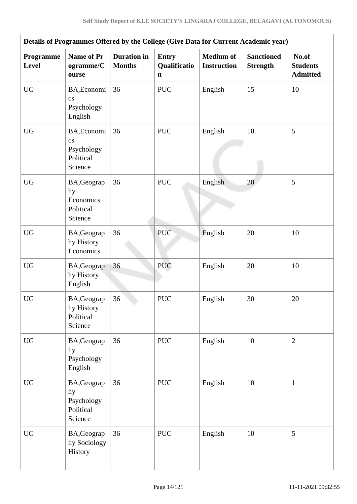| Details of Programmes Offered by the College (Give Data for Current Academic year) |                                                                       |                                     |                                             |                                        |                                      |                                             |
|------------------------------------------------------------------------------------|-----------------------------------------------------------------------|-------------------------------------|---------------------------------------------|----------------------------------------|--------------------------------------|---------------------------------------------|
| Programme<br>Level                                                                 | <b>Name of Pr</b><br>ogramme/C<br>ourse                               | <b>Duration</b> in<br><b>Months</b> | <b>Entry</b><br>Qualificatio<br>$\mathbf n$ | <b>Medium</b> of<br><b>Instruction</b> | <b>Sanctioned</b><br><b>Strength</b> | No.of<br><b>Students</b><br><b>Admitted</b> |
| <b>UG</b>                                                                          | BA, Economi<br>$\mathbf{c}\mathbf{s}$<br>Psychology<br>English        | 36                                  | <b>PUC</b>                                  | English                                | 15                                   | 10                                          |
| <b>UG</b>                                                                          | BA, Economi<br>$\overline{c}$ s<br>Psychology<br>Political<br>Science | 36                                  | <b>PUC</b>                                  | English                                | 10                                   | 5                                           |
| <b>UG</b>                                                                          | BA, Geograp<br>hy<br>Economics<br>Political<br>Science                | 36                                  | <b>PUC</b>                                  | English                                | 20                                   | 5                                           |
| <b>UG</b>                                                                          | BA, Geograp<br>hy History<br>Economics                                | 36                                  | <b>PUC</b>                                  | English                                | 20                                   | 10                                          |
| <b>UG</b>                                                                          | BA, Geograp<br>hy History<br>English                                  | 36                                  | <b>PUC</b>                                  | English                                | 20                                   | 10                                          |
| <b>UG</b>                                                                          | BA, Geograp<br>hy History<br>Political<br>Science                     | 36                                  | <b>PUC</b>                                  | English                                | 30                                   | 20                                          |
| <b>UG</b>                                                                          | BA, Geograp<br>hy<br>Psychology<br>English                            | 36                                  | <b>PUC</b>                                  | English                                | 10                                   | $\overline{2}$                              |
| <b>UG</b>                                                                          | BA, Geograp<br>hy<br>Psychology<br>Political<br>Science               | 36                                  | <b>PUC</b>                                  | English                                | 10                                   | $\mathbf{1}$                                |
| <b>UG</b>                                                                          | BA, Geograp<br>hy Sociology<br>History                                | 36                                  | <b>PUC</b>                                  | English                                | 10                                   | 5                                           |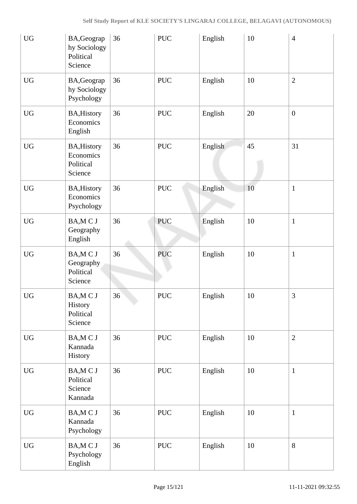| <b>UG</b>              | BA, Geograp<br>hy Sociology<br>Political<br>Science     | 36 | <b>PUC</b>           | English | 10 | $\overline{4}$   |
|------------------------|---------------------------------------------------------|----|----------------------|---------|----|------------------|
| <b>UG</b>              | BA, Geograp<br>hy Sociology<br>Psychology               | 36 | <b>PUC</b>           | English | 10 | $\mathbf{2}$     |
| <b>UG</b>              | <b>BA, History</b><br>Economics<br>English              | 36 | <b>PUC</b>           | English | 20 | $\boldsymbol{0}$ |
| <b>UG</b>              | <b>BA, History</b><br>Economics<br>Political<br>Science | 36 | <b>PUC</b>           | English | 45 | 31               |
| <b>UG</b>              | <b>BA, History</b><br>Economics<br>Psychology           | 36 | <b>PUC</b>           | English | 10 | $\mathbf{1}$     |
| <b>UG</b>              | BA, MCJ<br>Geography<br>English                         | 36 | <b>PUC</b>           | English | 10 | $\mathbf{1}$     |
| <b>UG</b>              | BA, MCJ<br>Geography<br>Political<br>Science            | 36 | <b>PUC</b>           | English | 10 | $\mathbf{1}$     |
| <b>UG</b>              | BA, MCJ<br>History<br>Political<br>Science              | 36 | <b>PUC</b>           | English | 10 | 3                |
| $\mathbf{U}\mathbf{G}$ | BA, MCJ<br>Kannada<br>History                           | 36 | $\operatorname{PUC}$ | English | 10 | $\mathbf{2}$     |
| <b>UG</b>              | BA, MCJ<br>Political<br>Science<br>Kannada              | 36 | <b>PUC</b>           | English | 10 | $\mathbf{1}$     |
| <b>UG</b>              | BA, MCJ<br>Kannada<br>Psychology                        | 36 | <b>PUC</b>           | English | 10 | $\mathbf{1}$     |
| ${\rm U}{\rm G}$       | BA, MCJ<br>Psychology<br>English                        | 36 | <b>PUC</b>           | English | 10 | $8\,$            |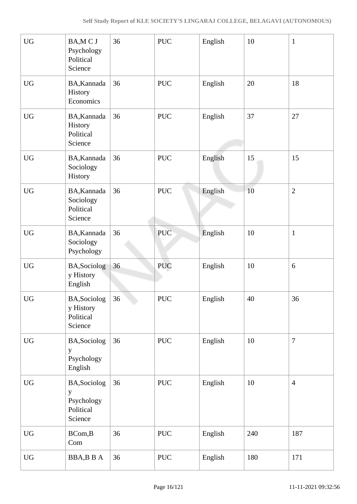| <b>UG</b>        | BA, MCJ<br>Psychology<br>Political<br>Science           | 36       | <b>PUC</b>           | English | 10     | $\mathbf{1}$   |
|------------------|---------------------------------------------------------|----------|----------------------|---------|--------|----------------|
| <b>UG</b>        | BA, Kannada<br>History<br>Economics                     | 36       | <b>PUC</b>           | English | 20     | 18             |
| <b>UG</b>        | BA, Kannada<br>History<br>Political<br>Science          | 36       | <b>PUC</b>           | English | 37     | 27             |
| <b>UG</b>        | BA, Kannada<br>Sociology<br>History                     | 36       | <b>PUC</b>           | English | 15     | 15             |
| <b>UG</b>        | BA, Kannada<br>Sociology<br>Political<br>Science        | 36       | $\operatorname{PUC}$ | English | $10\,$ | $\overline{2}$ |
| <b>UG</b>        | BA, Kannada<br>Sociology<br>Psychology                  | 36       | <b>PUC</b>           | English | 10     | $\mathbf{1}$   |
| <b>UG</b>        | BA, Sociolog<br>y History<br>English                    | 36       | <b>PUC</b>           | English | 10     | 6              |
| <b>UG</b>        | BA, Sociolog<br>y History<br>Political<br>Science       | 36<br>k. | <b>PUC</b>           | English | 40     | 36             |
| <b>UG</b>        | BA, Sociolog<br>y<br>Psychology<br>English              | 36       | <b>PUC</b>           | English | 10     | $\overline{7}$ |
| <b>UG</b>        | BA, Sociolog<br>y<br>Psychology<br>Political<br>Science | 36       | <b>PUC</b>           | English | 10     | $\overline{4}$ |
| <b>UG</b>        | BCom, B<br>Com                                          | 36       | <b>PUC</b>           | English | 240    | 187            |
| ${\rm U}{\rm G}$ | BBA,BBA                                                 | 36       | $\operatorname{PUC}$ | English | 180    | 171            |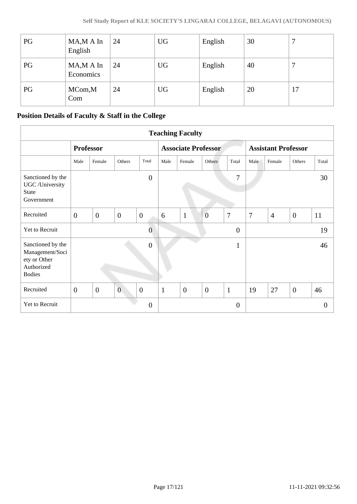| PG | $MA, MA$ In<br>English   | 24 | <b>UG</b> | English | 30 |    |
|----|--------------------------|----|-----------|---------|----|----|
| PG | $MA, MA$ In<br>Economics | 24 | <b>UG</b> | English | 40 |    |
| PG | MCom,M<br>Com            | 24 | <b>UG</b> | English | 20 | 17 |

# **Position Details of Faculty & Staff in the College**

|                                                                                     | <b>Teaching Faculty</b> |                  |                  |                  |                  |                            |                |                |                            |                |                |                |                |
|-------------------------------------------------------------------------------------|-------------------------|------------------|------------------|------------------|------------------|----------------------------|----------------|----------------|----------------------------|----------------|----------------|----------------|----------------|
|                                                                                     |                         | <b>Professor</b> |                  |                  |                  | <b>Associate Professor</b> |                |                | <b>Assistant Professor</b> |                |                |                |                |
|                                                                                     | Male                    | Female           | Others           | Total            |                  | Male                       | Female         | Others         | Total                      | Male           | Female         | Others         | Total          |
| Sanctioned by the<br>UGC /University<br>State<br>Government                         |                         |                  |                  |                  | $\overline{0}$   |                            |                |                | 7                          |                |                |                | 30             |
| Recruited                                                                           | $\overline{0}$          | $\overline{0}$   | $\boldsymbol{0}$ | $\boldsymbol{0}$ |                  | 6                          | $\mathbf{1}$   | $\overline{0}$ | $\overline{7}$             | $\overline{7}$ | $\overline{4}$ | $\overline{0}$ | 11             |
| Yet to Recruit                                                                      |                         |                  |                  |                  | $\mathbf{0}$     |                            |                |                | $\overline{0}$             |                |                |                | 19             |
| Sanctioned by the<br>Management/Soci<br>ety or Other<br>Authorized<br><b>Bodies</b> |                         |                  |                  |                  | $\mathbf{0}$     |                            |                |                | $\mathbf{1}$               |                |                |                | 46             |
| Recruited                                                                           | $\overline{0}$          | $\overline{0}$   | $\overline{0}$   | $\overline{0}$   |                  | $\mathbf{1}$               | $\overline{0}$ | $\overline{0}$ | $\mathbf{1}$               | 19             | 27             | $\overline{0}$ | 46             |
| Yet to Recruit                                                                      |                         |                  |                  |                  | $\boldsymbol{0}$ |                            |                |                | $\overline{0}$             |                |                |                | $\overline{0}$ |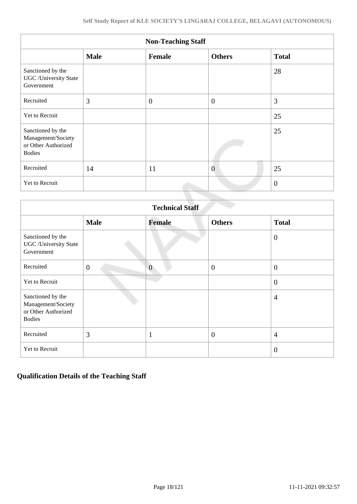| <b>Non-Teaching Staff</b>                                                       |             |                |                |                |  |  |
|---------------------------------------------------------------------------------|-------------|----------------|----------------|----------------|--|--|
|                                                                                 | <b>Male</b> | Female         | <b>Others</b>  | <b>Total</b>   |  |  |
| Sanctioned by the<br><b>UGC</b> /University State<br>Government                 |             |                |                | 28             |  |  |
| Recruited                                                                       | 3           | $\overline{0}$ | $\overline{0}$ | 3              |  |  |
| Yet to Recruit                                                                  |             |                |                | 25             |  |  |
| Sanctioned by the<br>Management/Society<br>or Other Authorized<br><b>Bodies</b> |             |                |                | 25             |  |  |
| Recruited                                                                       | 14          | 11             | $\overline{0}$ | 25             |  |  |
| Yet to Recruit                                                                  |             |                |                | $\overline{0}$ |  |  |

|                                                                                 | <b>Technical Staff</b> |                |                  |                |  |  |  |
|---------------------------------------------------------------------------------|------------------------|----------------|------------------|----------------|--|--|--|
|                                                                                 | <b>Male</b>            | <b>Female</b>  | <b>Others</b>    | <b>Total</b>   |  |  |  |
| Sanctioned by the<br><b>UGC</b> / University State<br>Government                |                        |                |                  | $\overline{0}$ |  |  |  |
| Recruited                                                                       | $\overline{0}$         | $\overline{0}$ | $\overline{0}$   | $\overline{0}$ |  |  |  |
| Yet to Recruit                                                                  |                        |                |                  | $\overline{0}$ |  |  |  |
| Sanctioned by the<br>Management/Society<br>or Other Authorized<br><b>Bodies</b> |                        |                |                  | $\overline{4}$ |  |  |  |
| Recruited                                                                       | 3                      | 1              | $\boldsymbol{0}$ | $\overline{4}$ |  |  |  |
| Yet to Recruit                                                                  |                        |                |                  | $\overline{0}$ |  |  |  |

## **Qualification Details of the Teaching Staff**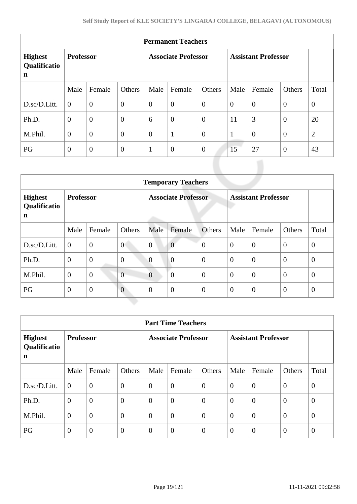| <b>Permanent Teachers</b>           |                  |                |                            |                |                  |                            |                |                |                |                |
|-------------------------------------|------------------|----------------|----------------------------|----------------|------------------|----------------------------|----------------|----------------|----------------|----------------|
| <b>Highest</b><br>Qualificatio<br>n | <b>Professor</b> |                | <b>Associate Professor</b> |                |                  | <b>Assistant Professor</b> |                |                |                |                |
|                                     | Male             | Female         | Others                     | Male           | Female           | Others                     | Male           | Female         | Others         | Total          |
| D.sc/D.Litt.                        | $\overline{0}$   | $\overline{0}$ | $\overline{0}$             | $\overline{0}$ | $\boldsymbol{0}$ | $\overline{0}$             | $\overline{0}$ | $\overline{0}$ | $\overline{0}$ | $\mathbf{0}$   |
| Ph.D.                               | $\overline{0}$   | $\overline{0}$ | $\overline{0}$             | 6              | $\boldsymbol{0}$ | $\overline{0}$             | 11             | 3              | $\theta$       | 20             |
| M.Phil.                             | $\overline{0}$   | $\overline{0}$ | $\overline{0}$             | $\overline{0}$ | $\mathbf{1}$     | $\overline{0}$             | $\mathbf{1}$   | $\overline{0}$ | $\overline{0}$ | $\overline{2}$ |
| PG                                  | $\overline{0}$   | $\overline{0}$ | $\theta$                   | $\mathbf{1}$   | $\overline{0}$   | $\theta$                   | 15             | 27             | $\overline{0}$ | 43             |

|                                               | <b>Temporary Teachers</b> |                |                            |                |                |                            |                |                |                  |                |
|-----------------------------------------------|---------------------------|----------------|----------------------------|----------------|----------------|----------------------------|----------------|----------------|------------------|----------------|
| <b>Highest</b><br>Qualificatio<br>$\mathbf n$ | <b>Professor</b>          |                | <b>Associate Professor</b> |                |                | <b>Assistant Professor</b> |                |                |                  |                |
|                                               | Male                      | Female         | Others                     | Male           | Female         | Others                     | Male           | Female         | Others           | Total          |
| D.sc/D.Litt.                                  | $\overline{0}$            | $\overline{0}$ | $\overline{0}$             | $\overline{0}$ | $\overline{0}$ | $\overline{0}$             | $\overline{0}$ | $\overline{0}$ | $\overline{0}$   | $\theta$       |
| Ph.D.                                         | $\mathbf{0}$              | $\overline{0}$ | $\boldsymbol{0}$           | $\overline{0}$ | $\overline{0}$ | $\overline{0}$             | $\overline{0}$ | $\overline{0}$ | $\overline{0}$   | $\theta$       |
| M.Phil.                                       | $\overline{0}$            | $\overline{0}$ | $\overline{0}$             | $\overline{0}$ | $\overline{0}$ | $\overline{0}$             | $\overline{0}$ | $\overline{0}$ | $\overline{0}$   | $\overline{0}$ |
| PG                                            | $\mathbf{0}$              | $\mathbf{0}$   | $\overline{0}$             | $\overline{0}$ | $\overline{0}$ | $\mathbf{0}$               | $\overline{0}$ | $\overline{0}$ | $\boldsymbol{0}$ | $\theta$       |

|                                     | <b>Part Time Teachers</b> |                |                            |                |                |                            |                |                |                |                |
|-------------------------------------|---------------------------|----------------|----------------------------|----------------|----------------|----------------------------|----------------|----------------|----------------|----------------|
| <b>Highest</b><br>Qualificatio<br>n | <b>Professor</b>          |                | <b>Associate Professor</b> |                |                | <b>Assistant Professor</b> |                |                |                |                |
|                                     | Male                      | Female         | Others                     | Male           | Female         | Others                     | Male           | Female         | Others         | Total          |
| D.sc/D.Litt.                        | $\overline{0}$            | $\overline{0}$ | $\overline{0}$             | $\overline{0}$ | $\overline{0}$ | $\overline{0}$             | $\overline{0}$ | $\overline{0}$ | $\theta$       | $\overline{0}$ |
| Ph.D.                               | $\overline{0}$            | $\overline{0}$ | $\overline{0}$             | $\overline{0}$ | $\overline{0}$ | $\theta$                   | $\overline{0}$ | $\theta$       | $\theta$       | $\overline{0}$ |
| M.Phil.                             | $\theta$                  | $\mathbf{0}$   | $\overline{0}$             | $\overline{0}$ | $\mathbf{0}$   | $\overline{0}$             | $\overline{0}$ | $\overline{0}$ | $\overline{0}$ | $\overline{0}$ |
| PG                                  | $\overline{0}$            | $\overline{0}$ | $\overline{0}$             | $\overline{0}$ | $\overline{0}$ | $\theta$                   | $\overline{0}$ | $\theta$       | $\theta$       | $\overline{0}$ |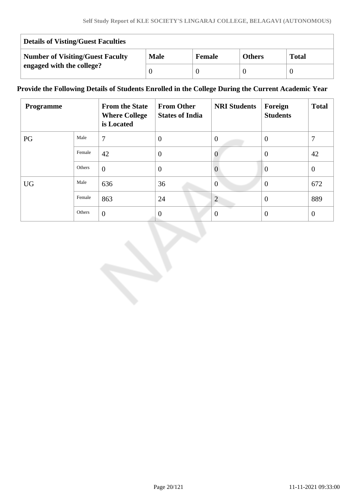| <b>Details of Visting/Guest Faculties</b> |             |               |               |              |  |
|-------------------------------------------|-------------|---------------|---------------|--------------|--|
| <b>Number of Visiting/Guest Faculty</b>   | <b>Male</b> | <b>Female</b> | <b>Others</b> | <b>Total</b> |  |
| engaged with the college?                 |             |               |               |              |  |

## **Provide the Following Details of Students Enrolled in the College During the Current Academic Year**

| Programme |        | <b>From the State</b><br><b>Where College</b><br>is Located | <b>From Other</b><br><b>States of India</b> | <b>NRI Students</b> | Foreign<br><b>Students</b> | <b>Total</b>   |
|-----------|--------|-------------------------------------------------------------|---------------------------------------------|---------------------|----------------------------|----------------|
| PG        | Male   | 7                                                           | $\overline{0}$                              | $\theta$            | $\theta$                   | 7              |
|           | Female | 42                                                          | $\overline{0}$                              | $\theta$            | $\theta$                   | 42             |
|           | Others | $\theta$                                                    | $\overline{0}$                              | $\theta$            | $\overline{0}$             | $\overline{0}$ |
| <b>UG</b> | Male   | 636                                                         | 36                                          | $\theta$            | $\theta$                   | 672            |
|           | Female | 863                                                         | 24                                          | $\overline{2}$      | $\theta$                   | 889            |
|           | Others | $\theta$                                                    | $\overline{0}$                              | $\Omega$            | $\theta$                   | $\overline{0}$ |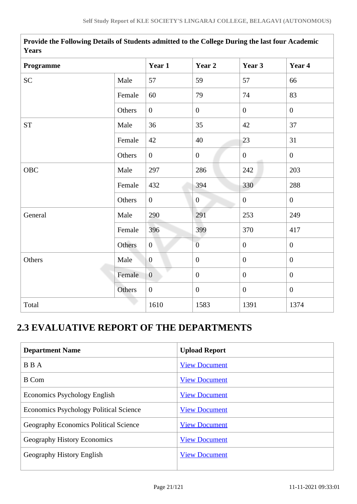| Years       |        |                  |                  |                  |                  |  |  |
|-------------|--------|------------------|------------------|------------------|------------------|--|--|
| Programme   |        | Year 1           | Year 2           | Year 3           | Year 4           |  |  |
| <b>SC</b>   | Male   | 57               | 59               | 57               | 66               |  |  |
|             | Female | 60               | 79               | 74               | 83               |  |  |
|             | Others | $\overline{0}$   | $\boldsymbol{0}$ | $\overline{0}$   | $\overline{0}$   |  |  |
| ${\cal ST}$ | Male   | 36               | 35               | 42               | 37               |  |  |
|             | Female | 42               | 40               | 23               | 31               |  |  |
|             | Others | $\overline{0}$   | $\boldsymbol{0}$ | $\mathbf{0}$     | $\overline{0}$   |  |  |
| OBC         | Male   | 297              | 286              | 242              | 203              |  |  |
|             | Female | 432              | 394              | 330              | 288              |  |  |
|             | Others | $\overline{0}$   | $\boldsymbol{0}$ | $\overline{0}$   | $\overline{0}$   |  |  |
| General     | Male   | 290              | 291              | 253              | 249              |  |  |
|             | Female | 396              | 399              | 370              | 417              |  |  |
|             | Others | $\overline{0}$   | $\overline{0}$   | $\mathbf{0}$     | $\boldsymbol{0}$ |  |  |
| Others      | Male   | $\boldsymbol{0}$ | $\boldsymbol{0}$ | $\mathbf{0}$     | $\boldsymbol{0}$ |  |  |
|             | Female | $\overline{0}$   | $\theta$         | $\overline{0}$   | $\overline{0}$   |  |  |
|             | Others | $\boldsymbol{0}$ | $\boldsymbol{0}$ | $\boldsymbol{0}$ | $\boldsymbol{0}$ |  |  |
| Total       |        | 1610             | 1583             | 1391             | 1374             |  |  |

**Provide the Following Details of Students admitted to the College During the last four Academic Years**

# **2.3 EVALUATIVE REPORT OF THE DEPARTMENTS**

| <b>Department Name</b>                        | <b>Upload Report</b> |
|-----------------------------------------------|----------------------|
| <b>BBA</b>                                    | <b>View Document</b> |
| <b>B</b> Com                                  | <b>View Document</b> |
| Economics Psychology English                  | <b>View Document</b> |
| <b>Economics Psychology Political Science</b> | <b>View Document</b> |
| <b>Geography Economics Political Science</b>  | <b>View Document</b> |
| Geography History Economics                   | <b>View Document</b> |
| Geography History English                     | <b>View Document</b> |
|                                               |                      |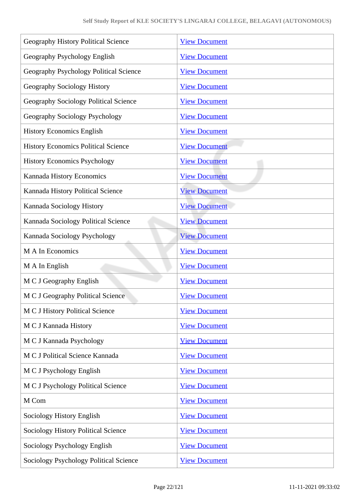| Geography History Political Science           | <b>View Document</b> |
|-----------------------------------------------|----------------------|
| Geography Psychology English                  | <b>View Document</b> |
| Geography Psychology Political Science        | <b>View Document</b> |
| Geography Sociology History                   | <b>View Document</b> |
| Geography Sociology Political Science         | <b>View Document</b> |
| Geography Sociology Psychology                | <b>View Document</b> |
| <b>History Economics English</b>              | <b>View Document</b> |
| <b>History Economics Political Science</b>    | <b>View Document</b> |
| <b>History Economics Psychology</b>           | <b>View Document</b> |
| Kannada History Economics                     | <b>View Document</b> |
| Kannada History Political Science             | <b>View Document</b> |
| Kannada Sociology History                     | <b>View Document</b> |
| Kannada Sociology Political Science           | <b>View Document</b> |
| Kannada Sociology Psychology                  | <b>View Document</b> |
| M A In Economics                              | <b>View Document</b> |
| M A In English                                | <b>View Document</b> |
| M C J Geography English                       | <b>View Document</b> |
| M C J Geography Political Science             | <b>View Document</b> |
| <b>MCJ</b> History Political Science          | <b>View Document</b> |
| M C J Kannada History                         | <b>View Document</b> |
| M C J Kannada Psychology                      | <b>View Document</b> |
| M C J Political Science Kannada               | <b>View Document</b> |
| M C J Psychology English                      | <b>View Document</b> |
| M C J Psychology Political Science            | <b>View Document</b> |
| M Com                                         | <b>View Document</b> |
| Sociology History English                     | <b>View Document</b> |
| <b>Sociology History Political Science</b>    | <b>View Document</b> |
| Sociology Psychology English                  | <b>View Document</b> |
| <b>Sociology Psychology Political Science</b> | <b>View Document</b> |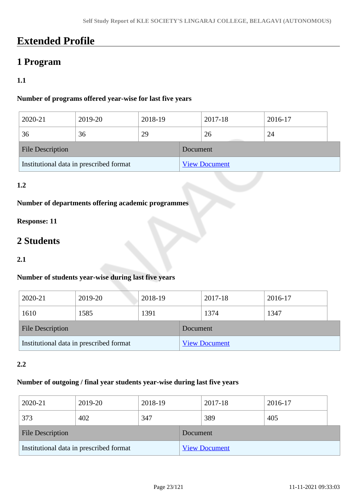# **Extended Profile**

# **1 Program**

# **1.1**

## **Number of programs offered year-wise for last five years**

| 2020-21                                 | 2019-20 | 2018-19 |          | 2017-18              | 2016-17 |  |
|-----------------------------------------|---------|---------|----------|----------------------|---------|--|
| 36                                      | 36      | 29      |          | 26                   | 24      |  |
| <b>File Description</b>                 |         |         | Document |                      |         |  |
| Institutional data in prescribed format |         |         |          | <b>View Document</b> |         |  |

### **1.2**

## **Number of departments offering academic programmes**

## **Response: 11**

# **2 Students**

### **2.1**

### **Number of students year-wise during last five years**

| 2020-21                                 | 2019-20 | 2018-19 |                      | 2017-18 | 2016-17 |
|-----------------------------------------|---------|---------|----------------------|---------|---------|
| 1610                                    | 1585    | 1391    |                      | 1374    | 1347    |
| <b>File Description</b>                 |         |         | <b>Document</b>      |         |         |
| Institutional data in prescribed format |         |         | <b>View Document</b> |         |         |

### **2.2**

### **Number of outgoing / final year students year-wise during last five years**

| 2020-21                                 | 2019-20 | 2018-19 |                      | 2017-18 | 2016-17 |  |
|-----------------------------------------|---------|---------|----------------------|---------|---------|--|
| 373                                     | 402     | 347     |                      | 389     | 405     |  |
| <b>File Description</b>                 |         |         | Document             |         |         |  |
| Institutional data in prescribed format |         |         | <b>View Document</b> |         |         |  |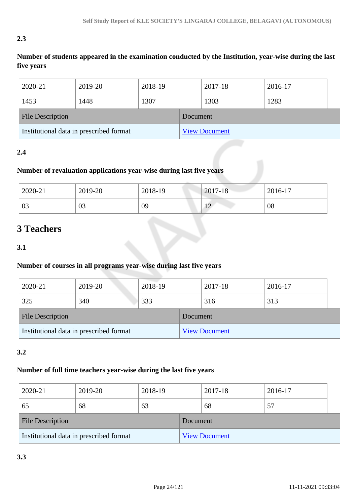# **2.3**

**Number of students appeared in the examination conducted by the Institution, year-wise during the last five years**

| 2020-21                                 | 2019-20 | 2018-19 |          | 2017-18              | 2016-17 |
|-----------------------------------------|---------|---------|----------|----------------------|---------|
| 1453                                    | 1448    | 1307    |          | 1303                 | 1283    |
| <b>File Description</b>                 |         |         | Document |                      |         |
| Institutional data in prescribed format |         |         |          | <b>View Document</b> |         |

## **2.4**

# **Number of revaluation applications year-wise during last five years**

| 2020-21 | 2019-20 | 2018-19 | $2017 - 18$    | 2016-17 |
|---------|---------|---------|----------------|---------|
| 03      | 03      | 09      | 1 <sub>0</sub> | 08      |

# **3 Teachers**

**3.1**

### **Number of courses in all programs year-wise during last five years**

| 2020-21                                 | 2019-20 | 2018-19              |  | 2017-18 | 2016-17 |
|-----------------------------------------|---------|----------------------|--|---------|---------|
| 325                                     | 340     | 333                  |  | 316     | 313     |
| <b>File Description</b>                 |         | Document             |  |         |         |
| Institutional data in prescribed format |         | <b>View Document</b> |  |         |         |

### **3.2**

### **Number of full time teachers year-wise during the last five years**

| 2020-21                                 | 2019-20 | 2018-19  |                      | 2017-18 | 2016-17 |  |
|-----------------------------------------|---------|----------|----------------------|---------|---------|--|
| 65                                      | 68      | 63       |                      | 68      | 57      |  |
| <b>File Description</b>                 |         | Document |                      |         |         |  |
| Institutional data in prescribed format |         |          | <b>View Document</b> |         |         |  |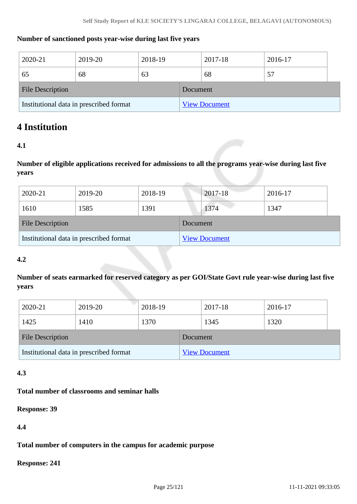### **Number of sanctioned posts year-wise during last five years**

| 2020-21                                 | 2019-20 | 2018-19 |                      | 2017-18 | 2016-17 |  |
|-----------------------------------------|---------|---------|----------------------|---------|---------|--|
| 65                                      | 68      | 63      |                      | 68      | 57      |  |
| <b>File Description</b>                 |         |         | Document             |         |         |  |
| Institutional data in prescribed format |         |         | <b>View Document</b> |         |         |  |

# **4 Institution**

### **4.1**

**Number of eligible applications received for admissions to all the programs year-wise during last five years**

| 2020-21                                 | 2019-20 | 2018-19              |  | 2017-18 | 2016-17 |
|-----------------------------------------|---------|----------------------|--|---------|---------|
| 1610                                    | 1585    | 1391                 |  | 1374    | 1347    |
| <b>File Description</b>                 |         | Document             |  |         |         |
| Institutional data in prescribed format |         | <b>View Document</b> |  |         |         |

### **4.2**

**Number of seats earmarked for reserved category as per GOI/State Govt rule year-wise during last five years**

| 2020-21                                 | 2019-20 | 2018-19 |          | 2017-18              | 2016-17 |  |
|-----------------------------------------|---------|---------|----------|----------------------|---------|--|
| 1425                                    | 1410    | 1370    |          | 1345                 | 1320    |  |
| <b>File Description</b>                 |         |         | Document |                      |         |  |
| Institutional data in prescribed format |         |         |          | <b>View Document</b> |         |  |

### **4.3**

### **Total number of classrooms and seminar halls**

**Response: 39**

**4.4**

### **Total number of computers in the campus for academic purpose**

**Response: 241**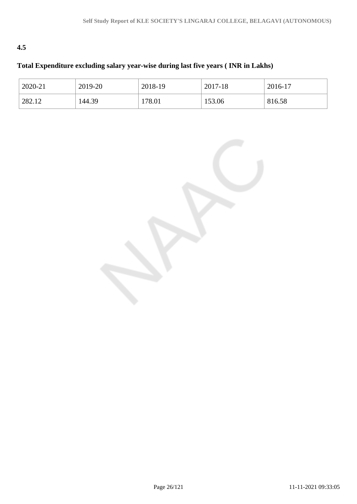# **4.5**

# **Total Expenditure excluding salary year-wise during last five years ( INR in Lakhs)**

| 2020-21 | 2019-20 | 2018-19 | 2017-18 | 2016-17 |
|---------|---------|---------|---------|---------|
| 282.12  | 144.39  | 178.01  | 153.06  | 816.58  |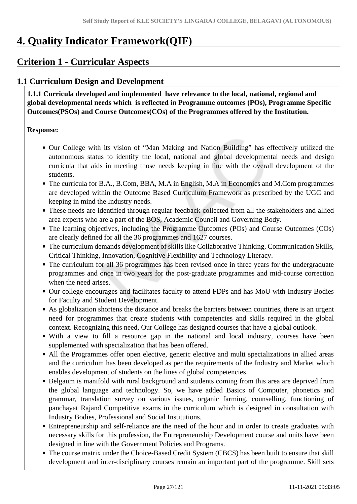# **4. Quality Indicator Framework(QIF)**

# **Criterion 1 - Curricular Aspects**

# **1.1 Curriculum Design and Development**

 **1.1.1 Curricula developed and implemented have relevance to the local, national, regional and global developmental needs which is reflected in Programme outcomes (POs), Programme Specific Outcomes(PSOs) and Course Outcomes(COs) of the Programmes offered by the Institution.**

### **Response:**

- Our College with its vision of "Man Making and Nation Building" has effectively utilized the autonomous status to identify the local, national and global developmental needs and design curricula that aids in meeting those needs keeping in line with the overall development of the students.
- The curricula for B.A., B.Com, BBA, M.A in English, M.A in Economics and M.Com programmes are developed within the Outcome Based Curriculum Framework as prescribed by the UGC and keeping in mind the Industry needs.
- These needs are identified through regular feedback collected from all the stakeholders and allied area experts who are a part of the BOS, Academic Council and Governing Body.
- The learning objectives, including the Programme Outcomes (POs) and Course Outcomes (COs) are clearly defined for all the 36 programmes and 1627 courses.
- The curriculum demands development of skills like Collaborative Thinking, Communication Skills, Critical Thinking, Innovation, Cognitive Flexibility and Technology Literacy.
- The curriculum for all 36 programmes has been revised once in three years for the undergraduate programmes and once in two years for the post-graduate programmes and mid-course correction when the need arises.
- Our college encourages and facilitates faculty to attend FDPs and has MoU with Industry Bodies for Faculty and Student Development.
- As globalization shortens the distance and breaks the barriers between countries, there is an urgent need for programmes that create students with competencies and skills required in the global context. Recognizing this need, Our College has designed courses that have a global outlook.
- With a view to fill a resource gap in the national and local industry, courses have been supplemented with specialization that has been offered.
- All the Programmes offer open elective, generic elective and multi specializations in allied areas and the curriculum has been developed as per the requirements of the Industry and Market which enables development of students on the lines of global competencies.
- Belgaum is manifold with rural background and students coming from this area are deprived from the global language and technology. So, we have added Basics of Computer, phonetics and grammar, translation survey on various issues, organic farming, counselling, functioning of panchayat Rajand Competitive exams in the curriculum which is designed in consultation with Industry Bodies, Professional and Social Institutions.
- Entrepreneurship and self-reliance are the need of the hour and in order to create graduates with necessary skills for this profession, the Entrepreneurship Development course and units have been designed in line with the Government Policies and Programs.
- The course matrix under the Choice-Based Credit System (CBCS) has been built to ensure that skill development and inter-disciplinary courses remain an important part of the programme. Skill sets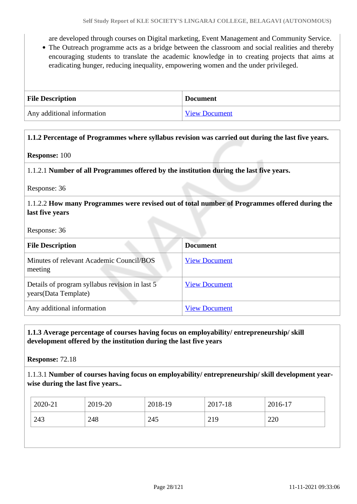are developed through courses on Digital marketing, Event Management and Community Service.

The Outreach programme acts as a bridge between the classroom and social realities and thereby encouraging students to translate the academic knowledge in to creating projects that aims at eradicating hunger, reducing inequality, empowering women and the under privileged.

| <b>File Description</b>    | <b>Document</b>      |
|----------------------------|----------------------|
| Any additional information | <b>View Document</b> |

### **1.1.2 Percentage of Programmes where syllabus revision was carried out during the last five years.**

#### **Response:** 100

1.1.2.1 **Number of all Programmes offered by the institution during the last five years.**

Response: 36

### 1.1.2.2 **How many Programmes were revised out of total number of Programmes offered during the last five years**

Response: 36

| <b>File Description</b>                                                 | <b>Document</b>      |
|-------------------------------------------------------------------------|----------------------|
| Minutes of relevant Academic Council/BOS<br>meeting                     | <b>View Document</b> |
| Details of program syllabus revision in last 5<br>years (Data Template) | <b>View Document</b> |
| Any additional information                                              | <b>View Document</b> |

### **1.1.3 Average percentage of courses having focus on employability/ entrepreneurship/ skill development offered by the institution during the last five years**

**Response:** 72.18

1.1.3.1 **Number of courses having focus on employability/ entrepreneurship/ skill development yearwise during the last five years..**

| 2020-21 | 2019-20 | 2018-19 | 2017-18 | 2016-17 |
|---------|---------|---------|---------|---------|
| 243     | 248     | 245     | 219     | 220     |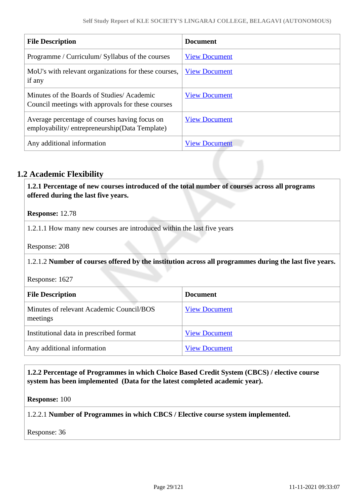| <b>File Description</b>                                                                        | <b>Document</b>      |
|------------------------------------------------------------------------------------------------|----------------------|
| Programme / Curriculum/ Syllabus of the courses                                                | <b>View Document</b> |
| MoU's with relevant organizations for these courses,<br>if any                                 | <b>View Document</b> |
| Minutes of the Boards of Studies/Academic<br>Council meetings with approvals for these courses | <b>View Document</b> |
| Average percentage of courses having focus on<br>employability/entrepreneurship(Data Template) | <b>View Document</b> |
| Any additional information                                                                     | <b>View Document</b> |

# **1.2 Academic Flexibility**

 **1.2.1 Percentage of new courses introduced of the total number of courses across all programs offered during the last five years.**

**Response:** 12.78

1.2.1.1 How many new courses are introduced within the last five years

Response: 208

1.2.1.2 **Number of courses offered by the institution across all programmes during the last five years.**

Response: 1627

| <b>File Description</b>                              | <b>Document</b>      |
|------------------------------------------------------|----------------------|
| Minutes of relevant Academic Council/BOS<br>meetings | <b>View Document</b> |
| Institutional data in prescribed format              | <b>View Document</b> |
| Any additional information                           | <b>View Document</b> |

### **1.2.2 Percentage of Programmes in which Choice Based Credit System (CBCS) / elective course system has been implemented (Data for the latest completed academic year).**

**Response:** 100

1.2.2.1 **Number of Programmes in which CBCS / Elective course system implemented.**

Response: 36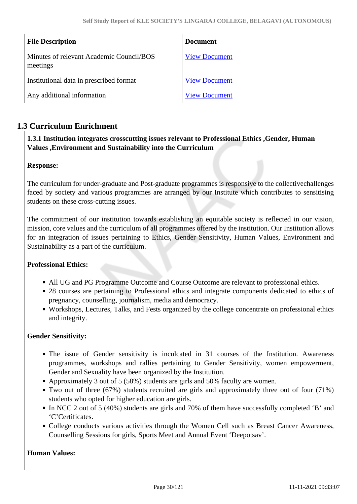| <b>File Description</b>                              | <b>Document</b>      |
|------------------------------------------------------|----------------------|
| Minutes of relevant Academic Council/BOS<br>meetings | <b>View Document</b> |
| Institutional data in prescribed format              | <b>View Document</b> |
| Any additional information                           | <b>View Document</b> |

## **1.3 Curriculum Enrichment**

### **1.3.1 Institution integrates crosscutting issues relevant to Professional Ethics ,Gender, Human Values ,Environment and Sustainability into the Curriculum**

### **Response:**

The curriculum for under-graduate and Post-graduate programmes is responsive to the collectivechallenges faced by society and various programmes are arranged by our Institute which contributes to sensitising students on these cross-cutting issues.

The commitment of our institution towards establishing an equitable society is reflected in our vision, mission, core values and the curriculum of all programmes offered by the institution. Our Institution allows for an integration of issues pertaining to Ethics, Gender Sensitivity, Human Values, Environment and Sustainability as a part of the curriculum.

### **Professional Ethics:**

- All UG and PG Programme Outcome and Course Outcome are relevant to professional ethics.
- 28 courses are pertaining to Professional ethics and integrate components dedicated to ethics of pregnancy, counselling, journalism, media and democracy.
- Workshops, Lectures, Talks, and Fests organized by the college concentrate on professional ethics and integrity.

### **Gender Sensitivity:**

- The issue of Gender sensitivity is inculcated in 31 courses of the Institution. Awareness programmes, workshops and rallies pertaining to Gender Sensitivity, women empowerment, Gender and Sexuality have been organized by the Institution.
- Approximately 3 out of 5 (58%) students are girls and 50% faculty are women.
- Two out of three (67%) students recruited are girls and approximately three out of four (71%) students who opted for higher education are girls.
- In NCC 2 out of 5 (40%) students are girls and 70% of them have successfully completed 'B' and 'C'Certificates.
- College conducts various activities through the Women Cell such as Breast Cancer Awareness, Counselling Sessions for girls, Sports Meet and Annual Event 'Deepotsav'.

### **Human Values:**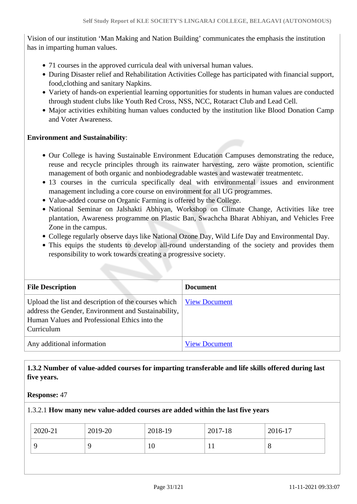Vision of our institution 'Man Making and Nation Building' communicates the emphasis the institution has in imparting human values.

- 71 courses in the approved curricula deal with universal human values.
- During Disaster relief and Rehabilitation Activities College has participated with financial support, food,clothing and sanitary Napkins.
- Variety of hands-on experiential learning opportunities for students in human values are conducted through student clubs like Youth Red Cross, NSS, NCC, Rotaract Club and Lead Cell.
- Major activities exhibiting human values conducted by the institution like Blood Donation Camp and Voter Awareness.

#### **Environment and Sustainability**:

- Our College is having Sustainable Environment Education Campuses demonstrating the reduce, reuse and recycle principles through its rainwater harvesting, zero waste promotion, scientific management of both organic and nonbiodegradable wastes and wastewater treatmentetc.
- 13 courses in the curricula specifically deal with environmental issues and environment management including a core course on environment for all UG programmes.
- Value-added course on Organic Farming is offered by the College.
- National Seminar on Jalshakti Abhiyan, Workshop on Climate Change, Activities like tree plantation, Awareness programme on Plastic Ban, Swachcha Bharat Abhiyan, and Vehicles Free Zone in the campus.
- College regularly observe days like National Ozone Day, Wild Life Day and Environmental Day.
- This equips the students to develop all-round understanding of the society and provides them responsibility to work towards creating a progressive society.

| <b>File Description</b>                                                                                                                                                    | <b>Document</b>      |
|----------------------------------------------------------------------------------------------------------------------------------------------------------------------------|----------------------|
| Upload the list and description of the courses which<br>address the Gender, Environment and Sustainability,<br>Human Values and Professional Ethics into the<br>Curriculum | <b>View Document</b> |
| Any additional information                                                                                                                                                 | <b>View Document</b> |

### **1.3.2 Number of value-added courses for imparting transferable and life skills offered during last five years.**

**Response:** 47

#### 1.3.2.1 **How many new value-added courses are added within the last five years**

| 2020-21 | 2019-20 | 2018-19 | 2017-18 | 2016-17 |
|---------|---------|---------|---------|---------|
|         | Q       | 10      | 1 J     | $\circ$ |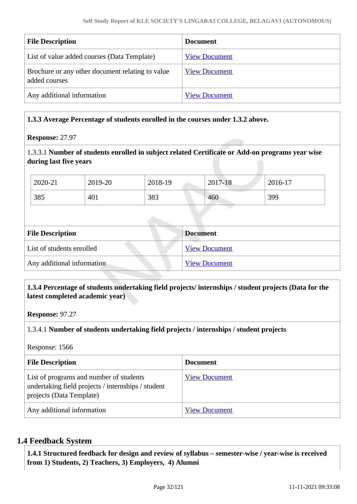| <b>File Description</b>                                           | <b>Document</b>      |
|-------------------------------------------------------------------|----------------------|
| List of value added courses (Data Template)                       | <b>View Document</b> |
| Brochure or any other document relating to value<br>added courses | <b>View Document</b> |
| Any additional information                                        | <b>View Document</b> |

### **1.3.3 Average Percentage of students enrolled in the courses under 1.3.2 above.**

#### **Response:** 27.97

### 1.3.3.1 **Number of students enrolled in subject related Certificate or Add-on programs year wise during last five years**

| 2020-21 | 2019-20 | 2018-19 | 2017-18 | 2016-17 |
|---------|---------|---------|---------|---------|
| 385     | 401     | 383     | 460     | 399     |

| <b>File Description</b>    | <b>Document</b>      |
|----------------------------|----------------------|
| List of students enrolled  | <b>View Document</b> |
| Any additional information | <b>View Document</b> |

### **1.3.4 Percentage of students undertaking field projects/ internships / student projects (Data for the latest completed academic year)**

**Response:** 97.27

### 1.3.4.1 **Number of students undertaking field projects / internships / student projects**

Response: 1566

| <b>File Description</b>                                                                                                   | <b>Document</b>      |
|---------------------------------------------------------------------------------------------------------------------------|----------------------|
| List of programs and number of students<br>undertaking field projects / internships / student<br>projects (Data Template) | <b>View Document</b> |
| Any additional information                                                                                                | <b>View Document</b> |

### **1.4 Feedback System**

 **1.4.1 Structured feedback for design and review of syllabus – semester-wise / year-wise is received from 1) Students, 2) Teachers, 3) Employers, 4) Alumni**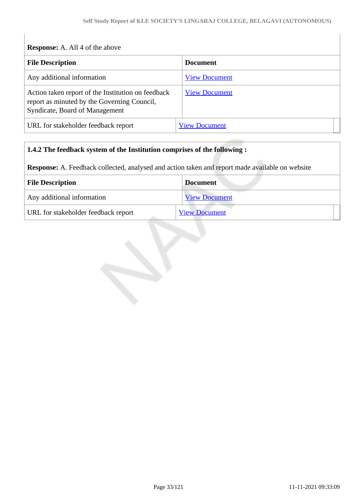| <b>Response:</b> A. All 4 of the above                                                                                              |                      |
|-------------------------------------------------------------------------------------------------------------------------------------|----------------------|
| <b>File Description</b>                                                                                                             | <b>Document</b>      |
| Any additional information                                                                                                          | <b>View Document</b> |
| Action taken report of the Institution on feedback<br>report as minuted by the Governing Council,<br>Syndicate, Board of Management | <b>View Document</b> |
| URL for stakeholder feedback report                                                                                                 | <b>View Document</b> |

## **1.4.2 The feedback system of the Institution comprises of the following :**

**Response:** A. Feedback collected, analysed and action taken and report made available on website

| <b>File Description</b>             | <b>Document</b>      |
|-------------------------------------|----------------------|
| Any additional information          | <b>View Document</b> |
| URL for stakeholder feedback report | <b>View Document</b> |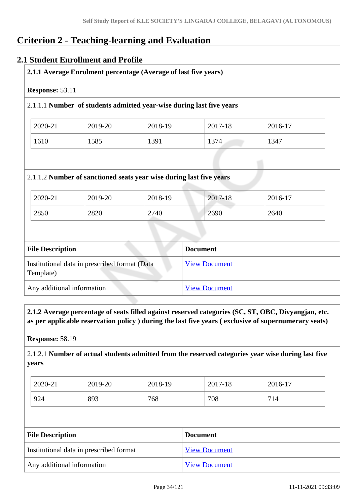# **Criterion 2 - Teaching-learning and Evaluation**

### **2.1 Student Enrollment and Profile**

| <b>Response: 53.11</b> |         |                                                                      |         |         |
|------------------------|---------|----------------------------------------------------------------------|---------|---------|
|                        |         | 2.1.1.1 Number of students admitted year-wise during last five years |         |         |
| 2020-21                | 2019-20 | 2018-19                                                              | 2017-18 | 2016-17 |
|                        |         |                                                                      |         |         |
| 1610                   | 1585    | 1391                                                                 | 1374    | 1347    |
|                        |         | 2.1.1.2 Number of sanctioned seats year wise during last five years  |         |         |
| 2020-21                | 2019-20 | 2018-19                                                              | 2017-18 | 2016-17 |

| <b>File Description</b>                                    | <b>Document</b>      |
|------------------------------------------------------------|----------------------|
| Institutional data in prescribed format (Data<br>Template) | <b>View Document</b> |
| Any additional information                                 | <b>View Document</b> |

 **2.1.2 Average percentage of seats filled against reserved categories (SC, ST, OBC, Divyangjan, etc. as per applicable reservation policy ) during the last five years ( exclusive of supernumerary seats)**

**Response:** 58.19

2.1.2.1 **Number of actual students admitted from the reserved categories year wise during last five years**

| 2020-21 | 2019-20 | 2018-19 | 2017-18 | 2016-17 |
|---------|---------|---------|---------|---------|
| 924     | 893     | 768     | 708     | 714     |

| <b>File Description</b>                 | <b>Document</b>      |
|-----------------------------------------|----------------------|
| Institutional data in prescribed format | <b>View Document</b> |
| Any additional information              | <b>View Document</b> |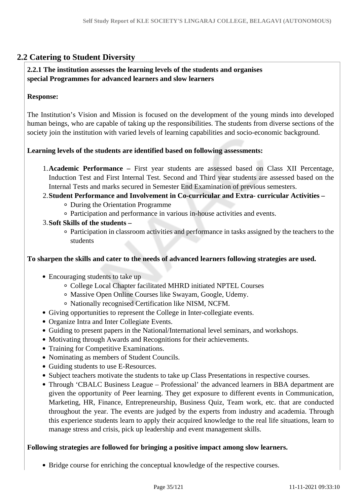# **2.2 Catering to Student Diversity**

### **2.2.1 The institution assesses the learning levels of the students and organises special Programmes for advanced learners and slow learners**

### **Response:**

The Institution's Vision and Mission is focused on the development of the young minds into developed human beings, who are capable of taking up the responsibilities. The students from diverse sections of the society join the institution with varied levels of learning capabilities and socio-economic background.

### **Learning levels of the students are identified based on following assessments:**

1.**Academic Performance –** First year students are assessed based on Class XII Percentage, Induction Test and First Internal Test. Second and Third year students are assessed based on the Internal Tests and marks secured in Semester End Examination of previous semesters.

# 2.**Student Performance and Involvement in Co-curricular and Extra- curricular Activities –**

- During the Orientation Programme
- Participation and performance in various in-house activities and events.
- 3.**Soft Skills of the students** 
	- Participation in classroom activities and performance in tasks assigned by the teachers to the students

### **To sharpen the skills and cater to the needs of advanced learners following strategies are used.**

- Encouraging students to take up
	- College Local Chapter facilitated MHRD initiated NPTEL Courses
	- Massive Open Online Courses like Swayam, Google, Udemy.
	- Nationally recognised Certification like NISM, NCFM.
- Giving opportunities to represent the College in Inter-collegiate events.
- Organize Intra and Inter Collegiate Events.
- Guiding to present papers in the National/International level seminars, and workshops.
- Motivating through Awards and Recognitions for their achievements.
- Training for Competitive Examinations.
- Nominating as members of Student Councils.
- Guiding students to use E-Resources.
- Subject teachers motivate the students to take up Class Presentations in respective courses.
- Through 'CBALC Business League Professional' the advanced learners in BBA department are given the opportunity of Peer learning. They get exposure to different events in Communication, Marketing, HR, Finance, Entrepreneurship, Business Quiz, Team work, etc. that are conducted throughout the year. The events are judged by the experts from industry and academia. Through this experience students learn to apply their acquired knowledge to the real life situations, learn to manage stress and crisis, pick up leadership and event management skills.

### **Following strategies are followed for bringing a positive impact among slow learners.**

Bridge course for enriching the conceptual knowledge of the respective courses.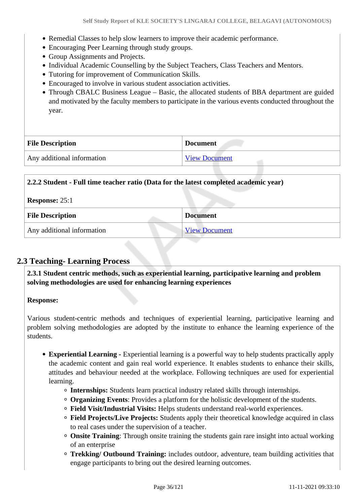- Remedial Classes to help slow learners to improve their academic performance.
- Encouraging Peer Learning through study groups.
- Group Assignments and Projects.
- Individual Academic Counselling by the Subject Teachers, Class Teachers and Mentors.
- Tutoring for improvement of Communication Skills.
- Encouraged to involve in various student association activities.
- Through CBALC Business League Basic, the allocated students of BBA department are guided and motivated by the faculty members to participate in the various events conducted throughout the year.

| <b>File Description</b>    | <b>Document</b>      |
|----------------------------|----------------------|
| Any additional information | <b>View Document</b> |

### **2.2.2 Student - Full time teacher ratio (Data for the latest completed academic year)**

| <b>Response: 25:1</b>      |                      |  |
|----------------------------|----------------------|--|
| <b>File Description</b>    | <b>Document</b>      |  |
| Any additional information | <b>View Document</b> |  |

### **2.3 Teaching- Learning Process**

 **2.3.1 Student centric methods, such as experiential learning, participative learning and problem solving methodologies are used for enhancing learning experiences**

#### **Response:**

Various student-centric methods and techniques of experiential learning, participative learning and problem solving methodologies are adopted by the institute to enhance the learning experience of the students.

- **Experiential Learning -** Experiential learning is a powerful way to help students practically apply the academic content and gain real world experience. It enables students to enhance their skills, attitudes and behaviour needed at the workplace. Following techniques are used for experiential learning.
	- **Internships:** Students learn practical industry related skills through internships.
	- **Organizing Events**: Provides a platform for the holistic development of the students.
	- **Field Visit/Industrial Visits:** Helps students understand real-world experiences.
	- **Field Projects/Live Projects:** Students apply their theoretical knowledge acquired in class to real cases under the supervision of a teacher.
	- **Onsite Training**: Through onsite training the students gain rare insight into actual working of an enterprise
	- **Trekking/ Outbound Training:** includes outdoor, adventure, team building activities that engage participants to bring out the desired learning outcomes.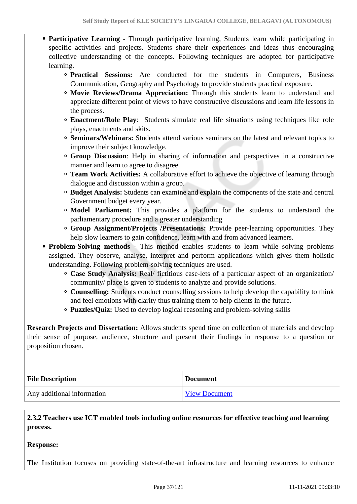- **Participative Learning** Through participative learning, Students learn while participating in specific activities and projects. Students share their experiences and ideas thus encouraging collective understanding of the concepts. Following techniques are adopted for participative learning.
	- **Practical Sessions:** Are conducted for the students in Computers, Business Communication, Geography and Psychology to provide students practical exposure.
	- **Movie Reviews/Drama Appreciation:** Through this students learn to understand and appreciate different point of views to have constructive discussions and learn life lessons in the process.
	- **Enactment/Role Play**: Students simulate real life situations using techniques like role plays, enactments and skits.
	- **Seminars/Webinars:** Students attend various seminars on the latest and relevant topics to improve their subject knowledge.
	- **Group Discussion**: Help in sharing of information and perspectives in a constructive manner and learn to agree to disagree.
	- **Team Work Activities:** A collaborative effort to achieve the objective of learning through dialogue and discussion within a group.
	- **Budget Analysis:** Students can examine and explain the components of the state and central Government budget every year.
	- **Model Parliament:** This provides a platform for the students to understand the parliamentary procedure and a greater understanding
	- **Group Assignment/Projects /Presentations:** Provide peer-learning opportunities. They help slow learners to gain confidence, learn with and from advanced learners.
- **Problem-Solving methods** This method enables students to learn while solving problems assigned. They observe, analyse, interpret and perform applications which gives them holistic understanding. Following problem-solving techniques are used.
	- **Case Study Analysis:** Real/ fictitious case-lets of a particular aspect of an organization/ community/ place is given to students to analyze and provide solutions.
	- **Counselling:** Students conduct counselling sessions to help develop the capability to think and feel emotions with clarity thus training them to help clients in the future.
	- **Puzzles/Quiz:** Used to develop logical reasoning and problem-solving skills

**Research Projects and Dissertation:** Allows students spend time on collection of materials and develop their sense of purpose, audience, structure and present their findings in response to a question or proposition chosen.

| <b>File Description</b>    | <b>Document</b>      |
|----------------------------|----------------------|
| Any additional information | <b>View Document</b> |

# **2.3.2 Teachers use ICT enabled tools including online resources for effective teaching and learning process.**

## **Response:**

The Institution focuses on providing state-of-the-art infrastructure and learning resources to enhance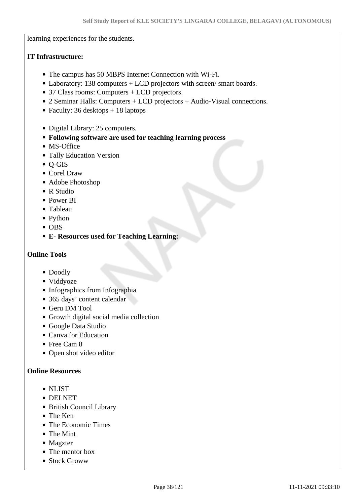learning experiences for the students.

# **IT Infrastructure:**

- The campus has 50 MBPS Internet Connection with Wi-Fi.
- Laboratory: 138 computers + LCD projectors with screen/ smart boards.
- 37 Class rooms: Computers + LCD projectors.
- 2 Seminar Halls: Computers + LCD projectors + Audio-Visual connections.
- Faculty:  $36$  desktops  $+ 18$  laptops
- Digital Library: 25 computers.
- **Following software are used for teaching learning process**
- MS-Office
- Tally Education Version
- Q-GIS
- Corel Draw
- Adobe Photoshop
- R Studio
- Power BI
- Tableau
- Python
- OBS
- **E- Resources used for Teaching Learning:**

# **Online Tools**

- Doodly
- Viddyoze
- Infographics from Infographia
- 365 days' content calendar
- Geru DM Tool
- Growth digital social media collection
- Google Data Studio
- Canva for Education
- Free Cam 8
- Open shot video editor

## **Online Resources**

- NLIST
- DELNET
- British Council Library
- The Ken
- The Economic Times
- The Mint
- Magzter
- The mentor box
- Stock Groww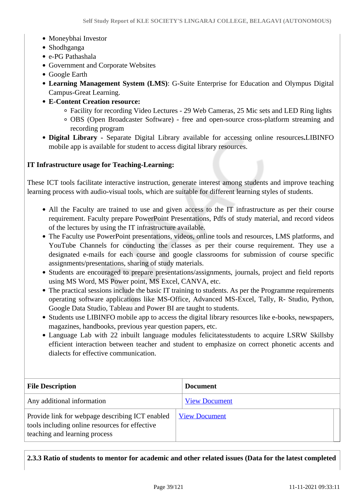- Moneybhai Investor
- Shodhganga
- e-PG Pathashala
- Government and Corporate Websites
- Google Earth
- **Learning Management System (LMS)**: G-Suite Enterprise for Education and Olympus Digital Campus-Great Learning.
- **E-Content Creation resource:**
	- Facility for recording Video Lectures 29 Web Cameras, 25 Mic sets and LED Ring lights
	- OBS (Open Broadcaster Software) free and open-source cross-platform streaming and recording program
- **Digital Library** Separate Digital Library available for accessing online resources**.**LIBINFO mobile app is available for student to access digital library resources.

#### **IT Infrastructure usage for Teaching-Learning:**

These ICT tools facilitate interactive instruction, generate interest among students and improve teaching learning process with audio-visual tools, which are suitable for different learning styles of students.

- All the Faculty are trained to use and given access to the IT infrastructure as per their course requirement. Faculty prepare PowerPoint Presentations, Pdfs of study material, and record videos of the lectures by using the IT infrastructure available.
- The Faculty use PowerPoint presentations, videos, online tools and resources, LMS platforms, and YouTube Channels for conducting the classes as per their course requirement. They use a designated e-mails for each course and google classrooms for submission of course specific assignments/presentations, sharing of study materials.
- Students are encouraged to prepare presentations/assignments, journals, project and field reports using MS Word, MS Power point, MS Excel, CANVA, etc.
- The practical sessions include the basic IT training to students. As per the Programme requirements operating software applications like MS-Office, Advanced MS-Excel, Tally, R- Studio, Python, Google Data Studio, Tableau and Power BI are taught to students.
- Students use LIBINFO mobile app to access the digital library resources like e-books, newspapers, magazines, handbooks, previous year question papers, etc.
- Language Lab with 22 inbuilt language modules felicitatesstudents to acquire LSRW Skillsby efficient interaction between teacher and student to emphasize on correct phonetic accents and dialects for effective communication.

| <b>File Description</b>                                                                                                            | <b>Document</b>      |
|------------------------------------------------------------------------------------------------------------------------------------|----------------------|
| Any additional information                                                                                                         | <b>View Document</b> |
| Provide link for webpage describing ICT enabled<br>tools including online resources for effective<br>teaching and learning process | <b>View Document</b> |

#### **2.3.3 Ratio of students to mentor for academic and other related issues (Data for the latest completed**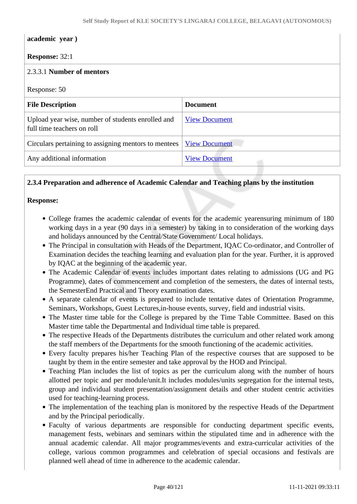#### **academic year )**

# **Response:** 32:1

| $\frac{1}{2}$                                                                   |                      |
|---------------------------------------------------------------------------------|----------------------|
| 2.3.3.1 Number of mentors                                                       |                      |
| Response: 50                                                                    |                      |
| <b>File Description</b>                                                         | <b>Document</b>      |
| Upload year wise, number of students enrolled and<br>full time teachers on roll | <b>View Document</b> |
| Circulars pertaining to assigning mentors to mentees                            | <b>View Document</b> |
| Any additional information                                                      | <b>View Document</b> |
|                                                                                 |                      |

# **2.3.4 Preparation and adherence of Academic Calendar and Teaching plans by the institution**

#### **Response:**

- College frames the academic calendar of events for the academic yearensuring minimum of 180 working days in a year (90 days in a semester) by taking in to consideration of the working days and holidays announced by the Central/State Government/ Local holidays.
- The Principal in consultation with Heads of the Department, IQAC Co-ordinator, and Controller of Examination decides the teaching learning and evaluation plan for the year. Further, it is approved by IQAC at the beginning of the academic year.
- The Academic Calendar of events includes important dates relating to admissions (UG and PG Programme), dates of commencement and completion of the semesters, the dates of internal tests, the SemesterEnd Practical and Theory examination dates.
- A separate calendar of events is prepared to include tentative dates of Orientation Programme, Seminars, Workshops, Guest Lectures,in-house events, survey, field and industrial visits.
- The Master time table for the College is prepared by the Time Table Committee. Based on this Master time table the Departmental and Individual time table is prepared.
- The respective Heads of the Departments distributes the curriculum and other related work among the staff members of the Departments for the smooth functioning of the academic activities.
- Every faculty prepares his/her Teaching Plan of the respective courses that are supposed to be taught by them in the entire semester and take approval by the HOD and Principal.
- Teaching Plan includes the list of topics as per the curriculum along with the number of hours allotted per topic and per module/unit.It includes modules/units segregation for the internal tests, group and individual student presentation/assignment details and other student centric activities used for teaching-learning process.
- The implementation of the teaching plan is monitored by the respective Heads of the Department and by the Principal periodically.
- Faculty of various departments are responsible for conducting department specific events, management fests, webinars and seminars within the stipulated time and in adherence with the annual academic calendar. All major programmes/events and extra-curricular activities of the college, various common programmes and celebration of special occasions and festivals are planned well ahead of time in adherence to the academic calendar.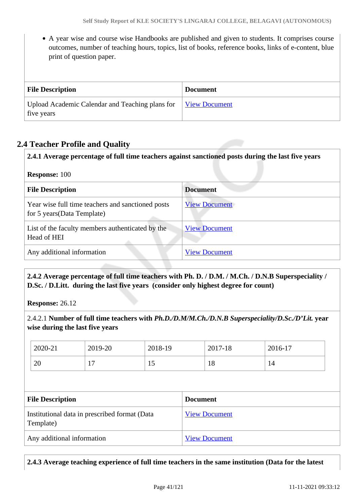A year wise and course wise Handbooks are published and given to students. It comprises course outcomes, number of teaching hours, topics, list of books, reference books, links of e-content, blue print of question paper.

| <b>File Description</b>                                       | <b>Document</b>      |
|---------------------------------------------------------------|----------------------|
| Upload Academic Calendar and Teaching plans for<br>five years | <b>View Document</b> |

# **2.4 Teacher Profile and Quality**

| 2.4.1 Average percentage of full time teachers against sanctioned posts during the last five years |                      |  |
|----------------------------------------------------------------------------------------------------|----------------------|--|
| <b>Response: 100</b><br><b>File Description</b><br><b>Document</b>                                 |                      |  |
| Year wise full time teachers and sanctioned posts<br>for 5 years (Data Template)                   | <b>View Document</b> |  |
| List of the faculty members authenticated by the<br>Head of HEI                                    | <b>View Document</b> |  |
| Any additional information                                                                         | <b>View Document</b> |  |

# **2.4.2 Average percentage of full time teachers with Ph. D. / D.M. / M.Ch. / D.N.B Superspeciality / D.Sc. / D.Litt. during the last five years (consider only highest degree for count)**

**Response:** 26.12

2.4.2.1 **Number of full time teachers with** *Ph.D./D.M/M.Ch./D.N.B Superspeciality/D.Sc./D'Lit.* **year wise during the last five years**

|                         | 2020-21   | 2019-20                                       | 2018-19 |                 | 2017-18              | 2016-17 |
|-------------------------|-----------|-----------------------------------------------|---------|-----------------|----------------------|---------|
|                         | 20        | 17                                            | 15      |                 | 18                   | 14      |
|                         |           |                                               |         |                 |                      |         |
| <b>File Description</b> |           |                                               |         |                 |                      |         |
|                         |           |                                               |         | <b>Document</b> |                      |         |
|                         | Template) | Institutional data in prescribed format (Data |         |                 | <b>View Document</b> |         |

**2.4.3 Average teaching experience of full time teachers in the same institution (Data for the latest**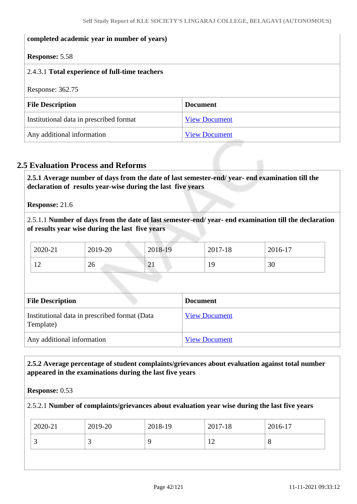| completed academic year in number of years)    |                      |  |
|------------------------------------------------|----------------------|--|
| <b>Response: 5.58</b>                          |                      |  |
| 2.4.3.1 Total experience of full-time teachers |                      |  |
| Response: 362.75                               |                      |  |
| <b>File Description</b>                        | <b>Document</b>      |  |
| Institutional data in prescribed format        | <b>View Document</b> |  |
| Any additional information                     | <b>View Document</b> |  |

# **2.5 Evaluation Process and Reforms**

 **2.5.1 Average number of days from the date of last semester-end/ year- end examination till the declaration of results year-wise during the last five years**

**Response:** 21.6

2.5.1.1 **Number of days from the date of last semester-end/ year- end examination till the declaration of results year wise during the last five years** 

| 2020-21        | 2019-20  | 2018-19  | 2017-18 | 2016-17  |
|----------------|----------|----------|---------|----------|
| 1 <sub>0</sub> | $\Omega$ | ⌒        | 19      | $\Omega$ |
| $\overline{1}$ | ∠∪       | $\sim$ 1 |         | 3U       |

| <b>File Description</b>                                    | <b>Document</b>      |
|------------------------------------------------------------|----------------------|
| Institutional data in prescribed format (Data<br>Template) | <b>View Document</b> |
| Any additional information                                 | <b>View Document</b> |

# **2.5.2 Average percentage of student complaints/grievances about evaluation against total number appeared in the examinations during the last five years**

## **Response:** 0.53

## 2.5.2.1 **Number of complaints/grievances about evaluation year wise during the last five years**

| 2020-21  | 2019-20                  | 2018-19 | 2017-18 | 2016-17 |
|----------|--------------------------|---------|---------|---------|
| <u>ب</u> | $\overline{\phantom{0}}$ |         | . .     | $\circ$ |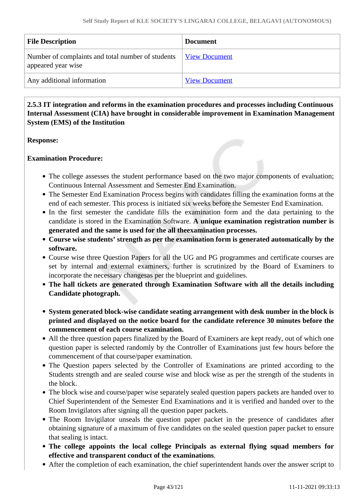| <b>File Description</b>                                                 | Document             |
|-------------------------------------------------------------------------|----------------------|
| Number of complaints and total number of students<br>appeared year wise | View Document        |
| Any additional information                                              | <b>View Document</b> |

# **2.5.3 IT integration and reforms in the examination procedures and processes including Continuous Internal Assessment (CIA) have brought in considerable improvement in Examination Management System (EMS) of the Institution**

#### **Response:**

## **Examination Procedure:**

- The college assesses the student performance based on the two major components of evaluation; Continuous Internal Assessment and Semester End Examination.
- The Semester End Examination Process begins with candidates filling the examination forms at the end of each semester. This process is initiated six weeks before the Semester End Examination.
- In the first semester the candidate fills the examination form and the data pertaining to the candidate is stored in the Examination Software. **A unique examination registration number is generated and the same is used for the all theexamination processes.**
- **Course wise students' strength as per the examination form is generated automatically by the software.**
- Course wise three Question Papers for all the UG and PG programmes and certificate courses are set by internal and external examiners, further is scrutinized by the Board of Examiners to incorporate the necessary changesas per the blueprint and guidelines.
- **The hall tickets are generated through Examination Software with all the details including Candidate photograph.**
- **System generated block-wise candidate seating arrangement with desk number in the block is printed and displayed on the notice board for the candidate reference 30 minutes before the commencement of each course examination.**
- All the three question papers finalized by the Board of Examiners are kept ready, out of which one question paper is selected randomly by the Controller of Examinations just few hours before the commencement of that course/paper examination.
- The Question papers selected by the Controller of Examinations are printed according to the Students strength and are sealed course wise and block wise as per the strength of the students in the block.
- The block wise and course/paper wise separately sealed question papers packets are handed over to Chief Superintendent of the Semester End Examinations and it is verified and handed over to the Room Invigilators after signing all the question paper packets.
- The Room Invigilator unseals the question paper packet in the presence of candidates after obtaining signature of a maximum of five candidates on the sealed question paper packet to ensure that sealing is intact.
- **The college appoints the local college Principals as external flying squad members for effective and transparent conduct of the examinations**.
- After the completion of each examination, the chief superintendent hands over the answer script to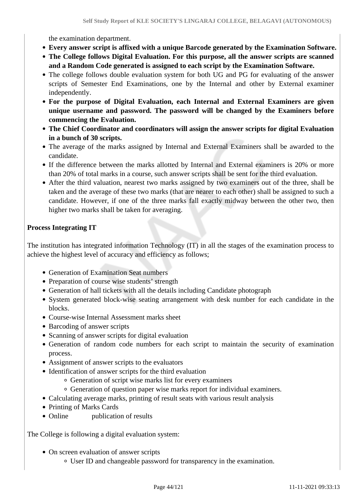the examination department.

- **Every answer script is affixed with a unique Barcode generated by the Examination Software.**
- **The College follows Digital Evaluation. For this purpose, all the answer scripts are scanned and a Random Code generated is assigned to each script by the Examination Software.**
- The college follows double evaluation system for both UG and PG for evaluating of the answer scripts of Semester End Examinations, one by the Internal and other by External examiner independently.
- **For the purpose of Digital Evaluation, each Internal and External Examiners are given unique username and password. The password will be changed by the Examiners before commencing the Evaluation.**
- **The Chief Coordinator and coordinators will assign the answer scripts for digital Evaluation in a bunch of 30 scripts.**
- The average of the marks assigned by Internal and External Examiners shall be awarded to the candidate.
- If the difference between the marks allotted by Internal and External examiners is 20% or more than 20% of total marks in a course, such answer scripts shall be sent for the third evaluation.
- After the third valuation, nearest two marks assigned by two examiners out of the three, shall be taken and the average of these two marks (that are nearer to each other) shall be assigned to such a candidate. However, if one of the three marks fall exactly midway between the other two, then higher two marks shall be taken for averaging.

# **Process Integrating IT**

The institution has integrated information Technology (IT) in all the stages of the examination process to achieve the highest level of accuracy and efficiency as follows;

- Generation of Examination Seat numbers
- Preparation of course wise students' strength
- Generation of hall tickets with all the details including Candidate photograph
- System generated block-wise seating arrangement with desk number for each candidate in the blocks.
- Course-wise Internal Assessment marks sheet
- Barcoding of answer scripts
- Scanning of answer scripts for digital evaluation
- Generation of random code numbers for each script to maintain the security of examination process.
- Assignment of answer scripts to the evaluators
- Identification of answer scripts for the third evaluation
	- Generation of script wise marks list for every examiners
	- Generation of question paper wise marks report for individual examiners.
- Calculating average marks, printing of result seats with various result analysis
- Printing of Marks Cards
- Online publication of results

The College is following a digital evaluation system:

- On screen evaluation of answer scripts
	- User ID and changeable password for transparency in the examination.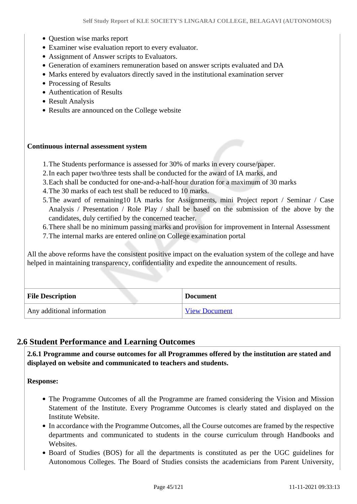- Ouestion wise marks report
- Examiner wise evaluation report to every evaluator.
- Assignment of Answer scripts to Evaluators.
- Generation of examiners remuneration based on answer scripts evaluated and DA
- Marks entered by evaluators directly saved in the institutional examination server
- Processing of Results
- Authentication of Results
- Result Analysis
- Results are announced on the College website

#### **Continuous internal assessment system**

- 1.The Students performance is assessed for 30% of marks in every course/paper.
- 2.In each paper two/three tests shall be conducted for the award of IA marks, and
- 3.Each shall be conducted for one-and-a-half-hour duration for a maximum of 30 marks
- 4.The 30 marks of each test shall be reduced to 10 marks.
- 5.The award of remaining10 IA marks for Assignments, mini Project report / Seminar / Case Analysis / Presentation / Role Play / shall be based on the submission of the above by the candidates, duly certified by the concerned teacher.
- 6.There shall be no minimum passing marks and provision for improvement in Internal Assessment
- 7.The internal marks are entered online on College examination portal

All the above reforms have the consistent positive impact on the evaluation system of the college and have helped in maintaining transparency, confidentiality and expedite the announcement of results.

| <b>File Description</b>    | <b>Document</b>      |
|----------------------------|----------------------|
| Any additional information | <b>View Document</b> |

## **2.6 Student Performance and Learning Outcomes**

 **2.6.1 Programme and course outcomes for all Programmes offered by the institution are stated and displayed on website and communicated to teachers and students.**

**Response:** 

- The Programme Outcomes of all the Programme are framed considering the Vision and Mission Statement of the Institute. Every Programme Outcomes is clearly stated and displayed on the Institute Website.
- In accordance with the Programme Outcomes, all the Course outcomes are framed by the respective departments and communicated to students in the course curriculum through Handbooks and **Websites**
- Board of Studies (BOS) for all the departments is constituted as per the UGC guidelines for Autonomous Colleges. The Board of Studies consists the academicians from Parent University,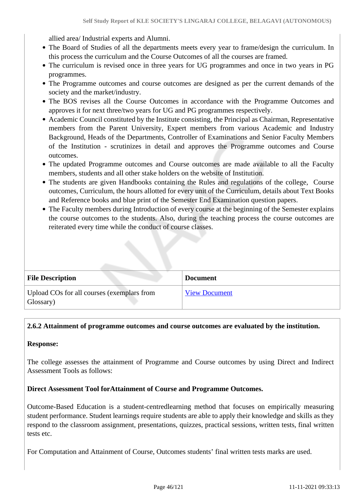allied area/ Industrial experts and Alumni.

- The Board of Studies of all the departments meets every year to frame/design the curriculum. In this process the curriculum and the Course Outcomes of all the courses are framed.
- The curriculum is revised once in three years for UG programmes and once in two years in PG programmes.
- The Programme outcomes and course outcomes are designed as per the current demands of the society and the market/industry.
- The BOS revises all the Course Outcomes in accordance with the Programme Outcomes and approves it for next three/two years for UG and PG programmes respectively.
- Academic Council constituted by the Institute consisting, the Principal as Chairman, Representative members from the Parent University, Expert members from various Academic and Industry Background, Heads of the Departments, Controller of Examinations and Senior Faculty Members of the Institution - scrutinizes in detail and approves the Programme outcomes and Course outcomes.
- The updated Programme outcomes and Course outcomes are made available to all the Faculty members, students and all other stake holders on the website of Institution.
- The students are given Handbooks containing the Rules and regulations of the college, Course outcomes, Curriculum, the hours allotted for every unit of the Curriculum, details about Text Books and Reference books and blue print of the Semester End Examination question papers.
- The Faculty members during Introduction of every course at the beginning of the Semester explains the course outcomes to the students. Also, during the teaching process the course outcomes are reiterated every time while the conduct of course classes.

| <b>File Description</b>                                 | <b>Document</b>      |
|---------------------------------------------------------|----------------------|
| Upload COs for all courses (exemplars from<br>Glossary) | <b>View Document</b> |

## **2.6.2 Attainment of programme outcomes and course outcomes are evaluated by the institution.**

## **Response:**

The college assesses the attainment of Programme and Course outcomes by using Direct and Indirect Assessment Tools as follows:

## **Direct Assessment Tool forAttainment of Course and Programme Outcomes.**

Outcome-Based Education is a student-centredlearning method that focuses on empirically measuring student performance. Student learnings require students are able to apply their knowledge and skills as they respond to the classroom assignment, presentations, quizzes, practical sessions, written tests, final written tests etc.

For Computation and Attainment of Course, Outcomes students' final written tests marks are used.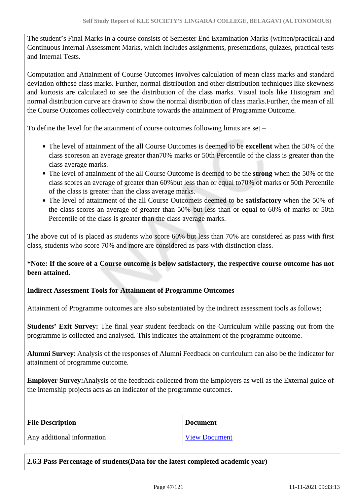The student's Final Marks in a course consists of Semester End Examination Marks (written/practical) and Continuous Internal Assessment Marks, which includes assignments, presentations, quizzes, practical tests and Internal Tests.

Computation and Attainment of Course Outcomes involves calculation of mean class marks and standard deviation ofthese class marks. Further, normal distribution and other distribution techniques like skewness and kurtosis are calculated to see the distribution of the class marks. Visual tools like Histogram and normal distribution curve are drawn to show the normal distribution of class marks.Further, the mean of all the Course Outcomes collectively contribute towards the attainment of Programme Outcome.

To define the level for the attainment of course outcomes following limits are set –

- The level of attainment of the all Course Outcomes is deemed to be **excellent** when the 50% of the class scoreson an average greater than70% marks or 50th Percentile of the class is greater than the class average marks.
- The level of attainment of the all Course Outcome is deemed to be the **strong** when the 50% of the class scores an average of greater than 60%but less than or equal to70% of marks or 50th Percentile of the class is greater than the class average marks.
- The level of attainment of the all Course Outcomeis deemed to be **satisfactory** when the 50% of the class scores an average of greater than 50% but less than or equal to 60% of marks or 50th Percentile of the class is greater than the class average marks.

The above cut of is placed as students who score 60% but less than 70% are considered as pass with first class, students who score 70% and more are considered as pass with distinction class.

**\*Note: If the score of a Course outcome is below satisfactory, the respective course outcome has not been attained.**

# **Indirect Assessment Tools for Attainment of Programme Outcomes**

Attainment of Programme outcomes are also substantiated by the indirect assessment tools as follows;

**Students' Exit Survey:** The final year student feedback on the Curriculum while passing out from the programme is collected and analysed. This indicates the attainment of the programme outcome.

**Alumni Survey**: Analysis of the responses of Alumni Feedback on curriculum can also be the indicator for attainment of programme outcome.

**Employer Survey:**Analysis of the feedback collected from the Employers as well as the External guide of the internship projects acts as an indicator of the programme outcomes.

| <b>File Description</b>    | <b>Document</b> |
|----------------------------|-----------------|
| Any additional information | View Document   |

**2.6.3 Pass Percentage of students(Data for the latest completed academic year)**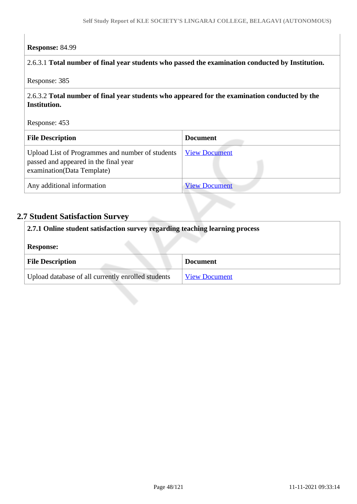#### **Response:** 84.99

#### 2.6.3.1 **Total number of final year students who passed the examination conducted by Institution.**

Response: 385

# 2.6.3.2 **Total number of final year students who appeared for the examination conducted by the Institution.**

Response: 453

| <b>File Description</b>                                                                                                 | <b>Document</b>      |
|-------------------------------------------------------------------------------------------------------------------------|----------------------|
| Upload List of Programmes and number of students<br>passed and appeared in the final year<br>examination(Data Template) | <b>View Document</b> |
| Any additional information                                                                                              | <b>View Document</b> |

# **2.7 Student Satisfaction Survey**

| 2.7.1 Online student satisfaction survey regarding teaching learning process |                      |
|------------------------------------------------------------------------------|----------------------|
| <b>Response:</b>                                                             |                      |
| <b>File Description</b>                                                      | <b>Document</b>      |
| Upload database of all currently enrolled students                           | <b>View Document</b> |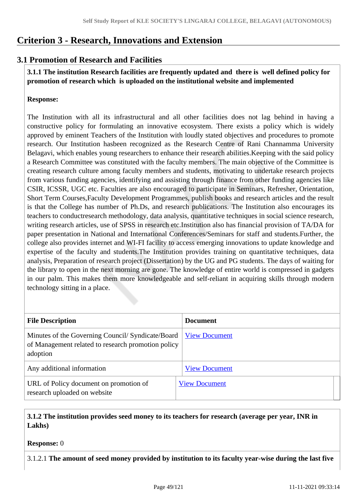# **Criterion 3 - Research, Innovations and Extension**

# **3.1 Promotion of Research and Facilities**

 **3.1.1 The institution Research facilities are frequently updated and there is well defined policy for promotion of research which is uploaded on the institutional website and implemented**

# **Response:**

The Institution with all its infrastructural and all other facilities does not lag behind in having a constructive policy for formulating an innovative ecosystem. There exists a policy which is widely approved by eminent Teachers of the Institution with loudly stated objectives and procedures to promote research. Our Institution hasbeen recognized as the Research Centre of Rani Channamma University Belagavi, which enables young researchers to enhance their research abilities.Keeping with the said policy a Research Committee was constituted with the faculty members. The main objective of the Committee is creating research culture among faculty members and students, motivating to undertake research projects from various funding agencies, identifying and assisting through finance from other funding agencies like CSIR, ICSSR, UGC etc. Faculties are also encouraged to participate in Seminars, Refresher, Orientation, Short Term Courses,Faculty Development Programmes, publish books and research articles and the result is that the College has number of Ph.Ds, and research publications. The Institution also encourages its teachers to conductresearch methodology, data analysis, quantitative techniques in social science research, writing research articles, use of SPSS in research etc.Institution also has financial provision of TA/DA for paper presentation in National and International Conferences/Seminars for staff and students.Further, the college also provides internet and WI-FI facility to access emerging innovations to update knowledge and expertise of the faculty and students.The Institution provides training on quantitative techniques, data analysis, Preparation of research project (Dissertation) by the UG and PG students. The days of waiting for the library to open in the next morning are gone. The knowledge of entire world is compressed in gadgets in our palm. This makes them more knowledgeable and self-reliant in acquiring skills through modern technology sitting in a place.

| <b>File Description</b>                                                                                             | <b>Document</b>      |
|---------------------------------------------------------------------------------------------------------------------|----------------------|
| Minutes of the Governing Council/ Syndicate/Board<br>of Management related to research promotion policy<br>adoption | <b>View Document</b> |
| Any additional information                                                                                          | <b>View Document</b> |
| URL of Policy document on promotion of<br>research uploaded on website                                              | <b>View Document</b> |

# **3.1.2 The institution provides seed money to its teachers for research (average per year, INR in Lakhs)**

## **Response:** 0

3.1.2.1 **The amount of seed money provided by institution to its faculty year-wise during the last five**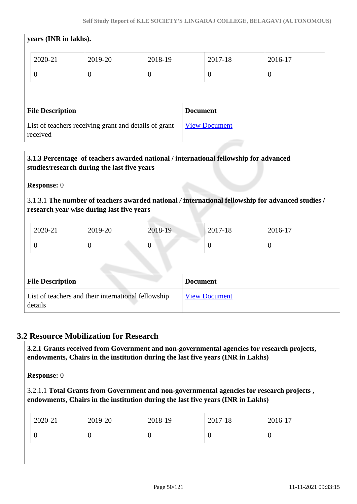# **years (INR in lakhs).**

| 2020-21                 | 2019-20        | 2018-19  | 2017-18         | 2016-17          |
|-------------------------|----------------|----------|-----------------|------------------|
| $\boldsymbol{0}$        | $\overline{0}$ | $\theta$ | $\theta$        | $\boldsymbol{0}$ |
|                         |                |          |                 |                  |
| <b>File Description</b> |                |          | <b>Document</b> |                  |

# **3.1.3 Percentage of teachers awarded national / international fellowship for advanced studies/research during the last five years**

**Response:** 0

3.1.3.1 **The number of teachers awarded national** */* **international fellowship for advanced studies / research year wise during last five years**

| $2020 - 21$ | 2019-20 | 2018-19 | $ 2017-18 $ | 2016-17 |
|-------------|---------|---------|-------------|---------|
|             |         |         | υ           |         |

| <b>File Description</b>                                        | <b>Document</b>      |
|----------------------------------------------------------------|----------------------|
| List of teachers and their international fellowship<br>details | <b>View Document</b> |

# **3.2 Resource Mobilization for Research**

 **3.2.1 Grants received from Government and non-governmental agencies for research projects, endowments, Chairs in the institution during the last five years (INR in Lakhs)** 

**Response:** 0

3.2.1.1 **Total Grants from Government and non-governmental agencies for research projects , endowments, Chairs in the institution during the last five years (INR in Lakhs)**

| 2020-21 | 2019-20 | 2018-19 | 2017-18 | 2016-17 |
|---------|---------|---------|---------|---------|
| ν       | -0      |         | v       | U       |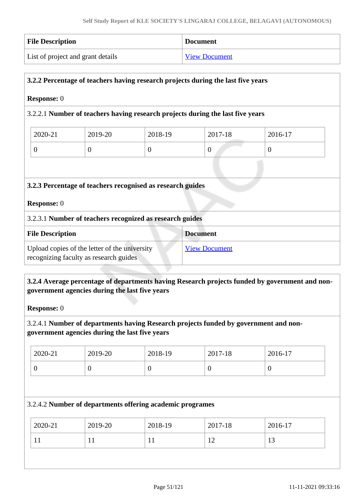| <b>File Description</b>           | <b>Document</b>      |
|-----------------------------------|----------------------|
| List of project and grant details | <b>View Document</b> |

# **3.2.2 Percentage of teachers having research projects during the last five years**

#### **Response:** 0

## 3.2.2.1 **Number of teachers having research projects during the last five years**

| 2020-21 | 2019-20 | 2018-19 | 2017-18 | 2016-17 |
|---------|---------|---------|---------|---------|
|         |         |         |         |         |

#### **3.2.3 Percentage of teachers recognised as research guides**

#### **Response:** 0

#### 3.2.3.1 **Number of teachers recognized as research guides**

| <b>File Description</b>                       | <b>Document</b>      |
|-----------------------------------------------|----------------------|
| Upload copies of the letter of the university | <b>View Document</b> |
| recognizing faculty as research guides        |                      |

## **3.2.4 Average percentage of departments having Research projects funded by government and nongovernment agencies during the last five years**

**Response:** 0

## 3.2.4.1 **Number of departments having Research projects funded by government and nongovernment agencies during the last five years**

| 2020-21 | 2019-20 | 2018-19 | 2017-18 | 2016-17 |
|---------|---------|---------|---------|---------|
|         | ິ       | ν       | v       | ν       |

#### 3.2.4.2 **Number of departments offering academic programes**

| 2020-21      | 2019-20 | 2018-19      | 2017-18  | 2016-17              |
|--------------|---------|--------------|----------|----------------------|
| $\mathbf{r}$ |         | $\mathbf{T}$ | <b>I</b> | 1 <sub>2</sub><br>13 |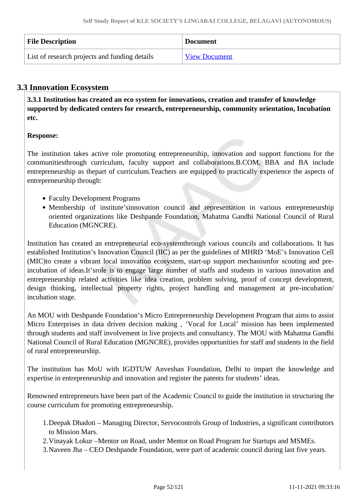| <b>File Description</b>                       | <b>Document</b>      |
|-----------------------------------------------|----------------------|
| List of research projects and funding details | <b>View Document</b> |

# **3.3 Innovation Ecosystem**

 **3.3.1 Institution has created an eco system for innovations, creation and transfer of knowledge supported by dedicated centers for research, entrepreneurship, community orientation, Incubation etc.**

# **Response:**

The institution takes active role promoting entrepreneurship, innovation and support functions for the communitiesthrough curriculum, faculty support and collaborations.B.COM, BBA and BA include entrepreneurship as thepart of curriculum.Teachers are equipped to practically experience the aspects of entrepreneurship through:

- Faculty Development Programs
- Membership of institute'sinnovation council and representation in various entrepreneurship oriented organizations like Deshpande Foundation, Mahatma Gandhi National Council of Rural Education (MGNCRE).

Institution has created an entrepreneurial eco-systemthrough various councils and collaborations. It has established Institution's Innovation Council (IIC) as per the guidelines of MHRD 'MoE's Innovation Cell (MIC)to create a vibrant local innovation ecosystem, start-up support mechanismfor scouting and preincubation of ideas.It'srole is to engage large number of staffs and students in various innovation and entrepreneurship related activities like idea creation, problem solving, proof of concept development, design thinking, intellectual property rights, project handling and management at pre-incubation/ incubation stage.

An MOU with Deshpande Foundation's Micro Entrepreneurship Development Program that aims to assist Micro Enterprises in data driven decision making , 'Vocal for Local' mission has been implemented through students and staff involvement in live projects and consultancy. The MOU with Mahatma Gandhi National Council of Rural Education (MGNCRE), provides opportunities for staff and students in the field of rural entrepreneurship.

The institution has MoU with IGDTUW Anveshan Foundation, Delhi to impart the knowledge and expertise in entrepreneurship and innovation and register the patents for students' ideas.

Renowned entrepreneurs have been part of the Academic Council to guide the institution in structuring the course curriculum for promoting entrepreneurship.

- 1.Deepak Dhadoti Managing Director, Servocontrols Group of Industries, a significant contributors to Mission Mars.
- 2.Vinayak Lokur –Mentor on Road, under Mentor on Road Program for Startups and MSMEs.
- 3.Naveen Jha CEO Deshpande Foundation, were part of academic council during last five years.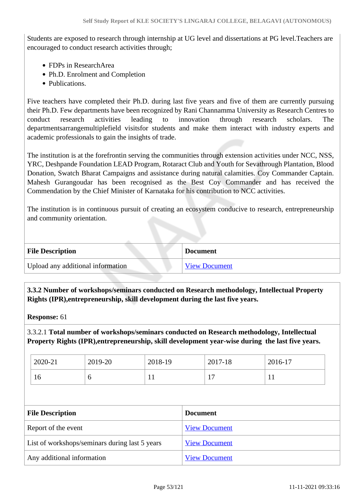Students are exposed to research through internship at UG level and dissertations at PG level.Teachers are encouraged to conduct research activities through;

- FDPs in ResearchArea
- Ph.D. Enrolment and Completion
- Publications.

Five teachers have completed their Ph.D. during last five years and five of them are currently pursuing their Ph.D. Few departments have been recognized by Rani Channamma University as Research Centres to conduct research activities leading to innovation through research scholars. The departmentsarrangemultiplefield visitsfor students and make them interact with industry experts and academic professionals to gain the insights of trade.

The institution is at the forefrontin serving the communities through extension activities under NCC, NSS, YRC, Deshpande Foundation LEAD Program, Rotaract Club and Youth for Sevathrough Plantation, Blood Donation, Swatch Bharat Campaigns and assistance during natural calamities. Coy Commander Captain. Mahesh Gurangoudar has been recognised as the Best Coy Commander and has received the Commendation by the Chief Minister of Karnataka for his contribution to NCC activities.

The institution is in continuous pursuit of creating an ecosystem conducive to research, entrepreneurship and community orientation.

| <b>File Description</b>           | <b>Document</b>      |
|-----------------------------------|----------------------|
| Upload any additional information | <b>View Document</b> |

 **3.3.2 Number of workshops/seminars conducted on Research methodology, Intellectual Property Rights (IPR),entrepreneurship, skill development during the last five years.**

**Response:** 61

3.3.2.1 **Total number of workshops/seminars conducted on Research methodology, Intellectual Property Rights (IPR),entrepreneurship, skill development year-wise during the last five years.**

| 2020-21 | 2019-20 | 2018-19 | 2017-18 | 2016-17      |
|---------|---------|---------|---------|--------------|
| 16      | v       | T T     | л.      | $\mathbf{1}$ |

| <b>File Description</b>                        | <b>Document</b>      |
|------------------------------------------------|----------------------|
| Report of the event                            | <b>View Document</b> |
| List of workshops/seminars during last 5 years | <b>View Document</b> |
| Any additional information                     | <b>View Document</b> |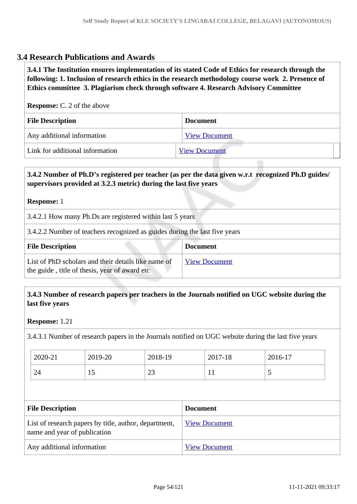# **3.4 Research Publications and Awards**

 **3.4.1 The Institution ensures implementation of its stated Code of Ethics for research through the following: 1. Inclusion of research ethics in the research methodology course work 2. Presence of Ethics committee 3. Plagiarism check through software 4. Research Advisory Committee**

**Response:** C. 2 of the above

| <b>File Description</b>         | <b>Document</b>      |
|---------------------------------|----------------------|
| Any additional information      | <b>View Document</b> |
| Link for additional information | <b>View Document</b> |

# **3.4.2 Number of Ph.D's registered per teacher (as per the data given w.r.t recognized Ph.D guides/ supervisors provided at 3.2.3 metric) during the last five years**

#### **Response:** 1

3.4.2.1 How many Ph.Ds are registered within last 5 years

3.4.2.2 Number of teachers recognized as guides during the last five years

| <b>File Description</b>                                                                              | <b>Document</b>      |
|------------------------------------------------------------------------------------------------------|----------------------|
| List of PhD scholars and their details like name of<br>the guide, title of thesis, year of award etc | <b>View Document</b> |

# **3.4.3 Number of research papers per teachers in the Journals notified on UGC website during the last five years**

#### **Response:** 1.21

3.4.3.1 Number of research papers in the Journals notified on UGC website during the last five years

| 2020-21 | 2019-20 | 2018-19  | 2017-18   | 2016-17 |
|---------|---------|----------|-----------|---------|
| 24      | ⊥ັ      | ററ<br>ر∠ | <b>TT</b> | ັ       |

| <b>File Description</b>                                                               | <b>Document</b>      |
|---------------------------------------------------------------------------------------|----------------------|
| List of research papers by title, author, department,<br>name and year of publication | <b>View Document</b> |
| Any additional information                                                            | <b>View Document</b> |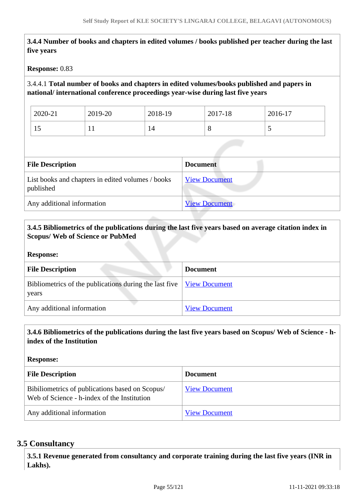**3.4.4 Number of books and chapters in edited volumes / books published per teacher during the last five years**

**Response:** 0.83

# 3.4.4.1 **Total number of books and chapters in edited volumes/books published and papers in national/ international conference proceedings year-wise during last five years**

| 2020-21   | 2019-20              | 2018-19 | 2017-18 | 2016-17                  |
|-----------|----------------------|---------|---------|--------------------------|
| . .<br>12 | $\ddot{\phantom{1}}$ | 14      | O       | $\overline{\phantom{0}}$ |

| <b>File Description</b>                                        | <b>Document</b>      |
|----------------------------------------------------------------|----------------------|
| List books and chapters in edited volumes / books<br>published | <b>View Document</b> |
| Any additional information                                     | <b>View Document</b> |

## **3.4.5 Bibliometrics of the publications during the last five years based on average citation index in Scopus/ Web of Science or PubMed**

#### **Response:**

| <b>File Description</b>                                                                          | <b>Document</b>      |
|--------------------------------------------------------------------------------------------------|----------------------|
| Bibliometrics of the publications during the last five $\sqrt{\frac{View Document}{} }$<br>years |                      |
| Any additional information                                                                       | <b>View Document</b> |

## **3.4.6 Bibliometrics of the publications during the last five years based on Scopus/ Web of Science - hindex of the Institution**

**Response:** 

| <b>File Description</b>                                                                        | <b>Document</b>      |
|------------------------------------------------------------------------------------------------|----------------------|
| Bibiliometrics of publications based on Scopus/<br>Web of Science - h-index of the Institution | <b>View Document</b> |
| Any additional information                                                                     | <b>View Document</b> |

## **3.5 Consultancy**

 **3.5.1 Revenue generated from consultancy and corporate training during the last five years (INR in Lakhs).**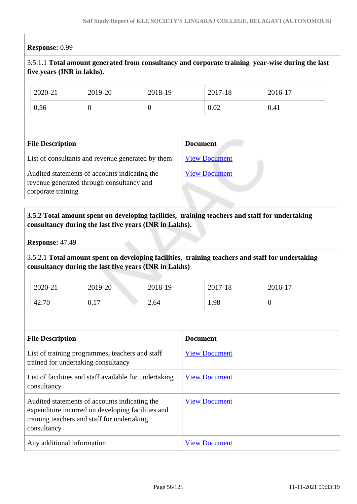# **Response:** 0.99

# 3.5.1.1 **Total amount generated from consultancy and corporate training year-wise during the last five years (INR in lakhs).**

| 2020-21                                                                                                          | 2019-20  | 2018-19  |                      | 2017-18 | 2016-17 |
|------------------------------------------------------------------------------------------------------------------|----------|----------|----------------------|---------|---------|
| 0.56                                                                                                             | $\theta$ | $\theta$ |                      | 0.02    | 0.41    |
|                                                                                                                  |          |          |                      |         |         |
| <b>File Description</b>                                                                                          |          |          | <b>Document</b>      |         |         |
| List of consultants and revenue generated by them                                                                |          |          | <b>View Document</b> |         |         |
| Audited statements of accounts indicating the<br>revenue generated through consultancy and<br>corporate training |          |          | <b>View Document</b> |         |         |

# **3.5.2 Total amount spent on developing facilities, training teachers and staff for undertaking consultancy during the last five years (INR in Lakhs).**

**Response:** 47.49

3.5.2.1 **Total amount spent on developing facilities, training teachers and staff for undertaking consultancy during the last five years (INR in Lakhs)**

| 2020-21 | 2019-20 | 2018-19 | 2017-18 | 2016-17 |
|---------|---------|---------|---------|---------|
| 42.70   | 0.17    | 2.64    | 1.98    | ν       |

| <b>File Description</b>                                                                                                                                          | <b>Document</b>      |
|------------------------------------------------------------------------------------------------------------------------------------------------------------------|----------------------|
| List of training programmes, teachers and staff<br>trained for undertaking consultancy                                                                           | <b>View Document</b> |
| List of facilities and staff available for undertaking<br>consultancy                                                                                            | <b>View Document</b> |
| Audited statements of accounts indicating the<br>expenditure incurred on developing facilities and<br>training teachers and staff for undertaking<br>consultancy | <b>View Document</b> |
| Any additional information                                                                                                                                       | <b>View Document</b> |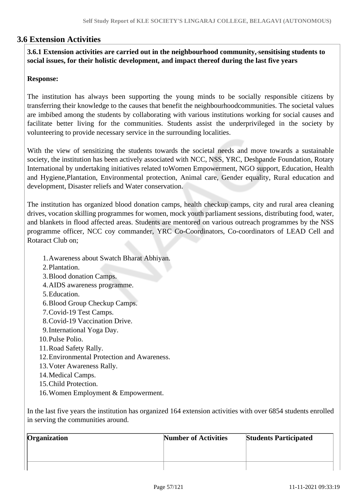# **3.6 Extension Activities**

 **3.6.1 Extension activities are carried out in the neighbourhood community, sensitising students to social issues, for their holistic development, and impact thereof during the last five years**

## **Response:**

The institution has always been supporting the young minds to be socially responsible citizens by transferring their knowledge to the causes that benefit the neighbourhoodcommunities. The societal values are imbibed among the students by collaborating with various institutions working for social causes and facilitate better living for the communities. Students assist the underprivileged in the society by volunteering to provide necessary service in the surrounding localities.

With the view of sensitizing the students towards the societal needs and move towards a sustainable society, the institution has been actively associated with NCC, NSS, YRC, Deshpande Foundation, Rotary International by undertaking initiatives related toWomen Empowerment, NGO support, Education, Health and Hygiene,Plantation, Environmental protection, Animal care, Gender equality, Rural education and development, Disaster reliefs and Water conservation.

The institution has organized blood donation camps, health checkup camps, city and rural area cleaning drives, vocation skilling programmes for women, mock youth parliament sessions, distributing food, water, and blankets in flood affected areas. Students are mentored on various outreach programmes by the NSS programme officer, NCC coy commander, YRC Co-Coordinators, Co-coordinators of LEAD Cell and Rotaract Club on;

1.Awareness about Swatch Bharat Abhiyan.

- 2.Plantation.
- 3.Blood donation Camps.
- 4.AIDS awareness programme.
- 5.Education.
- 6.Blood Group Checkup Camps.
- 7.Covid-19 Test Camps.
- 8.Covid-19 Vaccination Drive.
- 9.International Yoga Day.
- 10.Pulse Polio.
- 11.Road Safety Rally.
- 12.Environmental Protection and Awareness.
- 13.Voter Awareness Rally.
- 14.Medical Camps.
- 15.Child Protection.
- 16.Women Employment & Empowerment.

In the last five years the institution has organized 164 extension activities with over 6854 students enrolled in serving the communities around.

| Organization | <b>Number of Activities</b> | <b>Students Participated</b> |
|--------------|-----------------------------|------------------------------|
|              |                             |                              |
|              |                             |                              |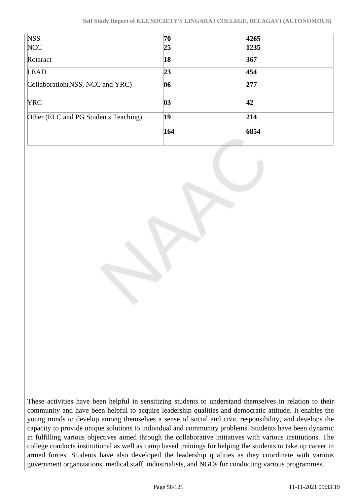| <b>NSS</b>                           | 70  | 4265 |  |
|--------------------------------------|-----|------|--|
| $\overline{\text{NCC}}$              | 25  | 1235 |  |
| Rotaract                             | 18  | 367  |  |
| LEAD                                 | 23  | 454  |  |
| Collaboration (NSS, NCC and YRC)     | 06  | 277  |  |
| <b>YRC</b>                           | 03  | 42   |  |
| Other (ELC and PG Students Teaching) | 19  | 214  |  |
|                                      | 164 | 6854 |  |
|                                      |     |      |  |

These activities have been helpful in sensitizing students to understand themselves in relation to their community and have been helpful to acquire leadership qualities and democratic attitude. It enables the young minds to develop among themselves a sense of social and civic responsibility, and develops the capacity to provide unique solutions to individual and community problems. Students have been dynamic in fulfilling various objectives aimed through the collaborative initiatives with various institutions. The college conducts institutional as well as camp based trainings for helping the students to take up career in armed forces. Students have also developed the leadership qualities as they coordinate with various government organizations, medical staff, industrialists, and NGOs for conducting various programmes.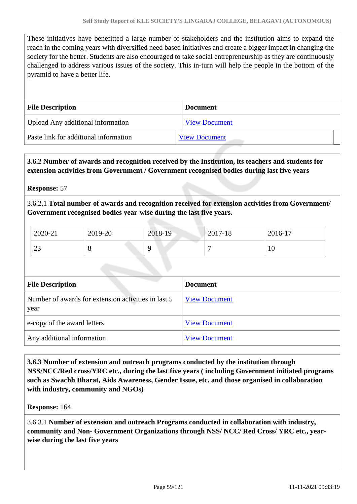These initiatives have benefitted a large number of stakeholders and the institution aims to expand the reach in the coming years with diversified need based initiatives and create a bigger impact in changing the society for the better. Students are also encouraged to take social entrepreneurship as they are continuously challenged to address various issues of the society. This in-turn will help the people in the bottom of the pyramid to have a better life.

| <b>File Description</b>               | <b>Document</b>      |
|---------------------------------------|----------------------|
| Upload Any additional information     | <b>View Document</b> |
| Paste link for additional information | <b>View Document</b> |

# **3.6.2 Number of awards and recognition received by the Institution, its teachers and students for extension activities from Government / Government recognised bodies during last five years**

#### **Response:** 57

3.6.2.1 **Total number of awards and recognition received for extension activities from Government/ Government recognised bodies year-wise during the last five years.**

| 2020-21        | 2019-20 | 2018-19  | 2017-18 | $2016-17$ |
|----------------|---------|----------|---------|-----------|
| $\Omega$<br>23 | Ő       | $\Omega$ |         | 10        |

| <b>File Description</b>                                     | <b>Document</b>      |
|-------------------------------------------------------------|----------------------|
| Number of awards for extension activities in last 5<br>year | <b>View Document</b> |
| e-copy of the award letters                                 | <b>View Document</b> |
| Any additional information                                  | <b>View Document</b> |

 **3.6.3 Number of extension and outreach programs conducted by the institution through NSS/NCC/Red cross/YRC etc., during the last five years ( including Government initiated programs such as Swachh Bharat, Aids Awareness, Gender Issue, etc. and those organised in collaboration with industry, community and NGOs)**

#### **Response:** 164

3.6.3.1 **Number of extension and outreach Programs conducted in collaboration with industry, community and Non- Government Organizations through NSS/ NCC/ Red Cross/ YRC etc., yearwise during the last five years**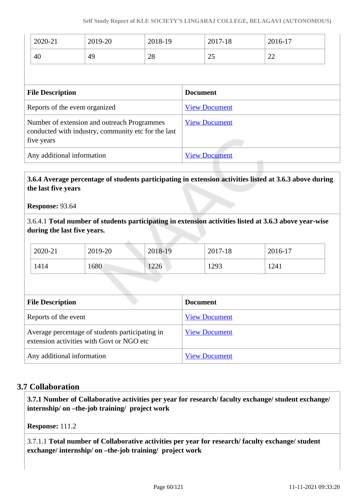| 2020-21                 | 2019-20                        | 2018-19 |                 | 2017-18              | 2016-17 |
|-------------------------|--------------------------------|---------|-----------------|----------------------|---------|
| 40                      | 49                             | 28      |                 | 25                   | 22      |
|                         |                                |         |                 |                      |         |
| <b>File Description</b> |                                |         | <b>Document</b> |                      |         |
|                         | Reports of the event organized |         |                 | <b>View Document</b> |         |

| five years                 |                      |
|----------------------------|----------------------|
| Any additional information | <b>View Document</b> |

conducted with industry, community etc for the last

 **3.6.4 Average percentage of students participating in extension activities listed at 3.6.3 above during the last five years**

**Response:** 93.64

3.6.4.1 **Total number of students participating in extension activities listed at 3.6.3 above year-wise during the last five years.**

| 2020-21 | 2019-20 | 2018-19 | 2017-18 | 2016-17 |
|---------|---------|---------|---------|---------|
| 1414    | 1680    | 1226    | 1293    | 1241    |

| <b>File Description</b>                                                                      | <b>Document</b>      |
|----------------------------------------------------------------------------------------------|----------------------|
| Reports of the event                                                                         | <b>View Document</b> |
| Average percentage of students participating in<br>extension activities with Govt or NGO etc | <b>View Document</b> |
| Any additional information                                                                   | <b>View Document</b> |

# **3.7 Collaboration**

 **3.7.1 Number of Collaborative activities per year for research/ faculty exchange/ student exchange/ internship/ on –the-job training/ project work** 

**Response:** 111.2

3.7.1.1 **Total number of Collaborative activities per year for research/ faculty exchange/ student exchange/ internship/ on –the-job training/ project work**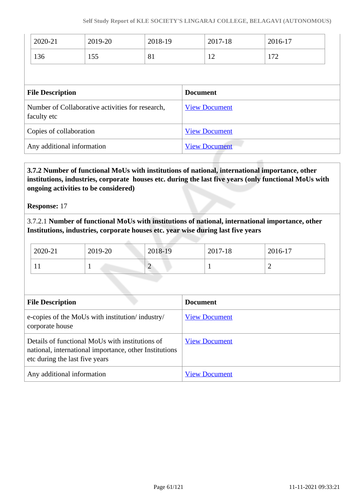|                                                                 | 2020-21 | 2019-20         | 2018-19              |  | 2017-18 | 2016-17 |  |
|-----------------------------------------------------------------|---------|-----------------|----------------------|--|---------|---------|--|
|                                                                 | 136     | 155             | 81                   |  | 12      | 172     |  |
|                                                                 |         |                 |                      |  |         |         |  |
| <b>File Description</b>                                         |         | <b>Document</b> |                      |  |         |         |  |
| Number of Collaborative activities for research,<br>faculty etc |         |                 | <b>View Document</b> |  |         |         |  |
| Copies of collaboration                                         |         |                 | <b>View Document</b> |  |         |         |  |
| Any additional information                                      |         |                 | <b>View Document</b> |  |         |         |  |

 **3.7.2 Number of functional MoUs with institutions of national, international importance, other institutions, industries, corporate houses etc. during the last five years (only functional MoUs with ongoing activities to be considered)**

**Response:** 17

3.7.2.1 **Number of functional MoUs with institutions of national, international importance, other Institutions, industries, corporate houses etc. year wise during last five years** 

| 2020-21 | 2019-20 | 2018-19 | 2017-18 | 2016-17 |
|---------|---------|---------|---------|---------|
|         |         | ∠       |         | ∽       |

| <b>File Description</b>                                                                                                                     | <b>Document</b>      |
|---------------------------------------------------------------------------------------------------------------------------------------------|----------------------|
| e-copies of the MoUs with institution/industry/<br>corporate house                                                                          | <b>View Document</b> |
| Details of functional MoUs with institutions of<br>national, international importance, other Institutions<br>etc during the last five years | <b>View Document</b> |
| Any additional information                                                                                                                  | <b>View Document</b> |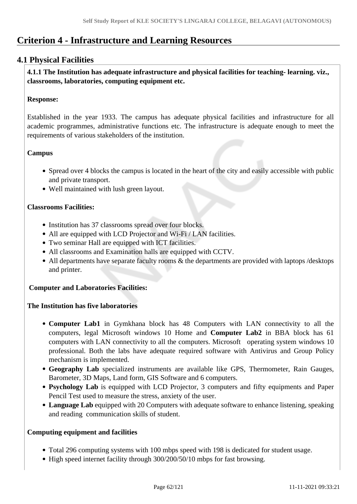# **Criterion 4 - Infrastructure and Learning Resources**

# **4.1 Physical Facilities**

 **4.1.1 The Institution has adequate infrastructure and physical facilities for teaching- learning. viz., classrooms, laboratories, computing equipment etc.** 

# **Response:**

Established in the year 1933. The campus has adequate physical facilities and infrastructure for all academic programmes, administrative functions etc. The infrastructure is adequate enough to meet the requirements of various stakeholders of the institution.

# **Campus**

- Spread over 4 blocks the campus is located in the heart of the city and easily accessible with public and private transport.
- Well maintained with lush green layout.

# **Classrooms Facilities:**

- Institution has 37 classrooms spread over four blocks.
- All are equipped with LCD Projector and Wi-Fi / LAN facilities.
- Two seminar Hall are equipped with ICT facilities.
- All classrooms and Examination halls are equipped with CCTV.
- All departments have separate faculty rooms  $\&$  the departments are provided with laptops /desktops and printer.

## **Computer and Laboratories Facilities:**

## **The Institution has five laboratories**

- **Computer Lab1** in Gymkhana block has 48 Computers with LAN connectivity to all the computers, legal Microsoft windows 10 Home and **Computer Lab2** in BBA block has 61 computers with LAN connectivity to all the computers. Microsoft operating system windows 10 professional. Both the labs have adequate required software with Antivirus and Group Policy mechanism is implemented.
- **Geography Lab** specialized instruments are available like GPS, Thermometer, Rain Gauges, Barometer, 3D Maps, Land form, GIS Software and 6 computers.
- **Psychology Lab** is equipped with LCD Projector, 3 computers and fifty equipments and Paper Pencil Test used to measure the stress, anxiety of the user.
- **Language Lab** equipped with 20 Computers with adequate software to enhance listening, speaking and reading communication skills of student.

## **Computing equipment and facilities**

- Total 296 computing systems with 100 mbps speed with 198 is dedicated for student usage.
- High speed internet facility through 300/200/50/10 mbps for fast browsing.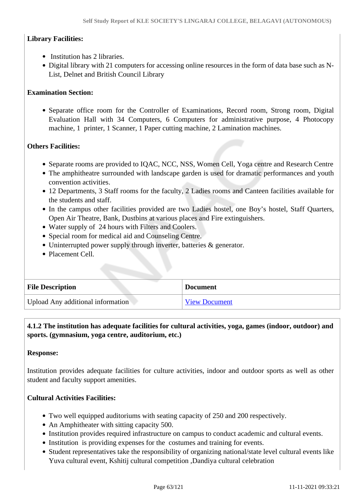# **Library Facilities:**

- Institution has 2 libraries.
- Digital library with 21 computers for accessing online resources in the form of data base such as N-List, Delnet and British Council Library

# **Examination Section:**

Separate office room for the Controller of Examinations, Record room, Strong room, Digital Evaluation Hall with 34 Computers, 6 Computers for administrative purpose, 4 Photocopy machine, 1 printer, 1 Scanner, 1 Paper cutting machine, 2 Lamination machines.

## **Others Facilities:**

- Separate rooms are provided to IQAC, NCC, NSS, Women Cell, Yoga centre and Research Centre
- The amphitheatre surrounded with landscape garden is used for dramatic performances and youth convention activities.
- 12 Departments, 3 Staff rooms for the faculty, 2 Ladies rooms and Canteen facilities available for the students and staff.
- In the campus other facilities provided are two Ladies hostel, one Boy's hostel, Staff Quarters, Open Air Theatre, Bank, Dustbins at various places and Fire extinguishers.
- Water supply of 24 hours with Filters and Coolers.
- Special room for medical aid and Counseling Centre.
- Uninterrupted power supply through inverter, batteries & generator.
- Placement Cell.

| <b>File Description</b>           | <b>Document</b>      |
|-----------------------------------|----------------------|
| Upload Any additional information | <b>View Document</b> |

# **4.1.2 The institution has adequate facilities for cultural activities, yoga, games (indoor, outdoor) and sports. (gymnasium, yoga centre, auditorium, etc.)**

## **Response:**

Institution provides adequate facilities for culture activities, indoor and outdoor sports as well as other student and faculty support amenities.

## **Cultural Activities Facilities:**

- Two well equipped auditoriums with seating capacity of 250 and 200 respectively.
- An Amphitheater with sitting capacity 500.
- Institution provides required infrastructure on campus to conduct academic and cultural events.
- Institution is providing expenses for the costumes and training for events.
- Student representatives take the responsibility of organizing national/state level cultural events like Yuva cultural event, Kshitij cultural competition ,Dandiya cultural celebration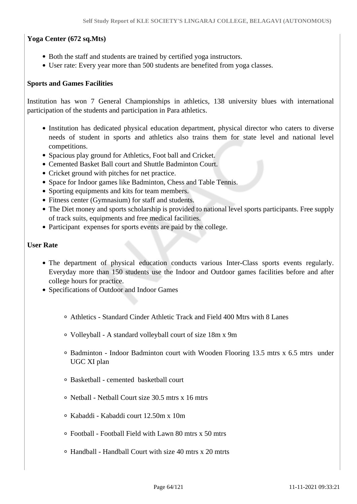# **Yoga Center (672 sq.Mts)**

- Both the staff and students are trained by certified yoga instructors.
- User rate: Every year more than 500 students are benefited from yoga classes.

## **Sports and Games Facilities**

Institution has won 7 General Championships in athletics, 138 university blues with international participation of the students and participation in Para athletics.

- Institution has dedicated physical education department, physical director who caters to diverse needs of student in sports and athletics also trains them for state level and national level competitions.
- Spacious play ground for Athletics, Foot ball and Cricket.
- Cemented Basket Ball court and Shuttle Badminton Court.
- Cricket ground with pitches for net practice.
- Space for Indoor games like Badminton, Chess and Table Tennis.
- Sporting equipments and kits for team members.
- Fitness center (Gymnasium) for staff and students.
- The Diet money and sports scholarship is provided to national level sports participants. Free supply of track suits, equipments and free medical facilities.
- Participant expenses for sports events are paid by the college.

#### **User Rate**

- The department of physical education conducts various Inter-Class sports events regularly. Everyday more than 150 students use the Indoor and Outdoor games facilities before and after college hours for practice.
- Specifications of Outdoor and Indoor Games
	- Athletics Standard Cinder Athletic Track and Field 400 Mtrs with 8 Lanes
	- Volleyball A standard volleyball court of size 18m x 9m
	- $\circ$  Badminton Indoor Badminton court with Wooden Flooring 13.5 mtrs x 6.5 mtrs under UGC XI plan
	- Basketball cemented basketball court
	- Netball Netball Court size 30.5 mtrs x 16 mtrs
	- Kabaddi Kabaddi court 12.50m x 10m
	- Football Football Field with Lawn 80 mtrs x 50 mtrs
	- Handball Handball Court with size 40 mtrs x 20 mtrts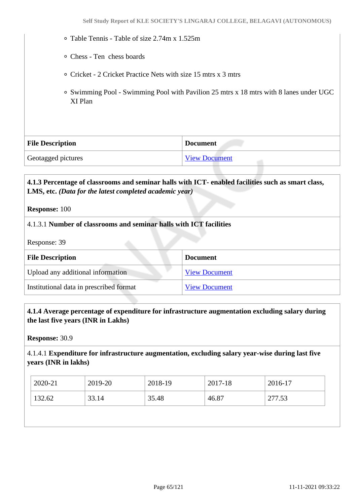- Table Tennis Table of size 2.74m x 1.525m
- Chess Ten chess boards
- Cricket 2 Cricket Practice Nets with size 15 mtrs x 3 mtrs
- Swimming Pool Swimming Pool with Pavilion 25 mtrs x 18 mtrs with 8 lanes under UGC XI Plan

| <b>File Description</b> | <b>Document</b>      |
|-------------------------|----------------------|
| Geotagged pictures      | <b>View Document</b> |

# **4.1.3 Percentage of classrooms and seminar halls with ICT- enabled facilities such as smart class, LMS, etc.** *(Data for the latest completed academic year)*

**Response:** 100

#### 4.1.3.1 **Number of classrooms and seminar halls with ICT facilities**

Response: 39

| <b>File Description</b>                 | <b>Document</b>      |
|-----------------------------------------|----------------------|
| Upload any additional information       | <b>View Document</b> |
| Institutional data in prescribed format | <b>View Document</b> |

#### **4.1.4 Average percentage of expenditure for infrastructure augmentation excluding salary during the last five years (INR in Lakhs)**

**Response:** 30.9

#### 4.1.4.1 **Expenditure for infrastructure augmentation, excluding salary year-wise during last five years (INR in lakhs)**

| 2020-21 | 2019-20 | 2018-19 | 2017-18 | 2016-17 |
|---------|---------|---------|---------|---------|
| 132.62  | 33.14   | 35.48   | 46.87   | 277.53  |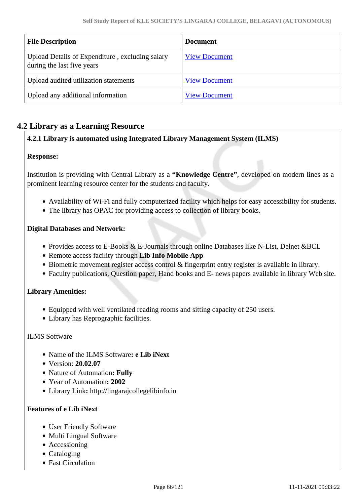| <b>File Description</b>                                                       | <b>Document</b>      |
|-------------------------------------------------------------------------------|----------------------|
| Upload Details of Expenditure, excluding salary<br>during the last five years | <b>View Document</b> |
| Upload audited utilization statements                                         | <b>View Document</b> |
| Upload any additional information                                             | <b>View Document</b> |

# **4.2 Library as a Learning Resource**

# **4.2.1 Library is automated using Integrated Library Management System (ILMS)**

## **Response:**

Institution is providing with Central Library as a **"Knowledge Centre"**, developed on modern lines as a prominent learning resource center for the students and faculty.

- Availability of Wi-Fi and fully computerized facility which helps for easy accessibility for students.
- The library has OPAC for providing access to collection of library books.

#### **Digital Databases and Network:**

- Provides access to E-Books & E-Journals through online Databases like N-List, Delnet &BCL
- Remote access facility through **Lib Info Mobile App**
- Biometric movement register access control & fingerprint entry register is available in library.
- Faculty publications, Question paper, Hand books and E- news papers available in library Web site.

## **Library Amenities:**

- Equipped with well ventilated reading rooms and sitting capacity of 250 users.
- Library has Reprographic facilities.

#### ILMS Software

- Name of the ILMS Software**: e Lib iNext**
- Version: **20.02.07**
- Nature of Automation**: Fully**
- Year of Automation**: 2002**
- Library Link**:** http://lingarajcollegelibinfo.in

## **Features of e Lib iNext**

- User Friendly Software
- Multi Lingual Software
- Accessioning
- Cataloging
- Fast Circulation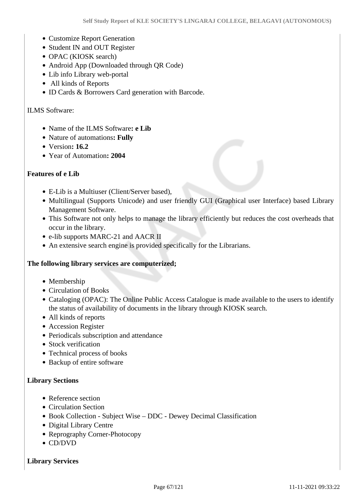- Customize Report Generation
- Student IN and OUT Register
- OPAC (KIOSK search)
- Android App (Downloaded through QR Code)
- Lib info Library web-portal
- All kinds of Reports
- ID Cards & Borrowers Card generation with Barcode.

#### ILMS Software:

- Name of the ILMS Software**: e Lib**
- Nature of automations**: Fully**
- Version**: 16.2**
- Year of Automation**: 2004**

#### **Features of e Lib**

- E-Lib is a Multiuser (Client/Server based),
- Multilingual (Supports Unicode) and user friendly GUI (Graphical user Interface) based Library Management Software.
- This Software not only helps to manage the library efficiently but reduces the cost overheads that occur in the library.
- e-lib supports MARC-21 and AACR II
- An extensive search engine is provided specifically for the Librarians.

#### **The following library services are computerized;**

- Membership
- Circulation of Books
- Cataloging (OPAC): The Online Public Access Catalogue is made available to the users to identify the status of availability of documents in the library through KIOSK search.
- All kinds of reports
- Accession Register
- Periodicals subscription and attendance
- Stock verification
- Technical process of books
- Backup of entire software

#### **Library Sections**

- Reference section
- Circulation Section
- Book Collection Subject Wise DDC Dewey Decimal Classification
- Digital Library Centre
- Reprography Corner-Photocopy
- CD/DVD

#### **Library Services**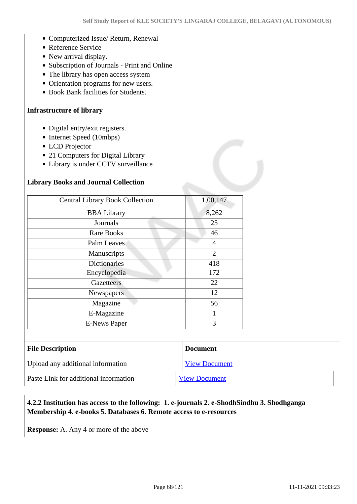- Computerized Issue/ Return, Renewal
- Reference Service
- New arrival display.
- Subscription of Journals Print and Online
- The library has open access system
- Orientation programs for new users.
- Book Bank facilities for Students.

#### **Infrastructure of library**

- Digital entry/exit registers.
- Internet Speed (10mbps)
- LCD Projector
- 21 Computers for Digital Library
- Library is under CCTV surveillance

#### **Library Books and Journal Collection**

| <b>Central Library Book Collection</b> | 1,00,147       |
|----------------------------------------|----------------|
| <b>BBA</b> Library                     | 8,262          |
| Journals                               | 25             |
| Rare Books                             | 46             |
| Palm Leaves                            | 4              |
| Manuscripts                            | $\overline{2}$ |
| <b>Dictionaries</b>                    | 418            |
| Encyclopedia                           | 172            |
| <b>Gazetteers</b>                      | 22             |
| Newspapers                             | 12             |
| Magazine                               | 56             |
| E-Magazine                             | 1              |
| <b>E-News Paper</b>                    | 3              |

| <b>File Description</b>               | <b>Document</b>      |
|---------------------------------------|----------------------|
| Upload any additional information     | <b>View Document</b> |
| Paste Link for additional information | <b>View Document</b> |

## **4.2.2 Institution has access to the following: 1. e-journals 2. e-ShodhSindhu 3. Shodhganga Membership 4. e-books 5. Databases 6. Remote access to e-resources**

**Response:** A. Any 4 or more of the above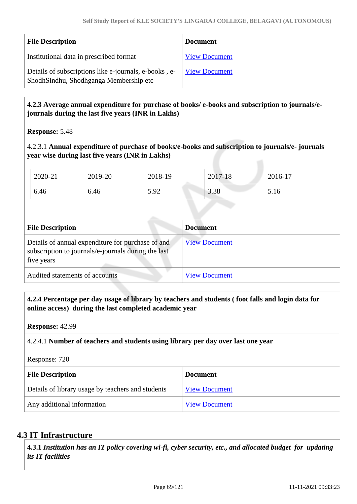| <b>File Description</b>                                                                         | <b>Document</b>      |
|-------------------------------------------------------------------------------------------------|----------------------|
| Institutional data in prescribed format                                                         | <b>View Document</b> |
| Details of subscriptions like e-journals, e-books, e-<br>ShodhSindhu, Shodhganga Membership etc | <b>View Document</b> |

# **4.2.3 Average annual expenditure for purchase of books/ e-books and subscription to journals/ejournals during the last five years (INR in Lakhs)**

**Response:** 5.48

4.2.3.1 **Annual expenditure of purchase of books/e-books and subscription to journals/e- journals year wise during last five years (INR in Lakhs)**

| 2020-21 | 2019-20 | 2018-19      | 2017-18      | 2016-17           |
|---------|---------|--------------|--------------|-------------------|
| 6.46    | 6.46    | 5 Q2<br>J.JZ | 2.20<br>3.38 | 16<br><b>J.IO</b> |

| <b>File Description</b>                                                                                                | <b>Document</b>      |  |  |
|------------------------------------------------------------------------------------------------------------------------|----------------------|--|--|
| Details of annual expenditure for purchase of and<br>subscription to journals/e-journals during the last<br>five years | <b>View Document</b> |  |  |
| Audited statements of accounts                                                                                         | <b>View Document</b> |  |  |

 **4.2.4 Percentage per day usage of library by teachers and students ( foot falls and login data for online access) during the last completed academic year**

**Response:** 42.99

## 4.2.4.1 **Number of teachers and students using library per day over last one year**

Response: 720

| <b>File Description</b>                           | <b>Document</b>      |
|---------------------------------------------------|----------------------|
| Details of library usage by teachers and students | <b>View Document</b> |
| Any additional information                        | <b>View Document</b> |

## **4.3 IT Infrastructure**

 **4.3.1** *Institution has an IT policy covering wi-fi, cyber security, etc., and allocated budget for updating its IT facilities*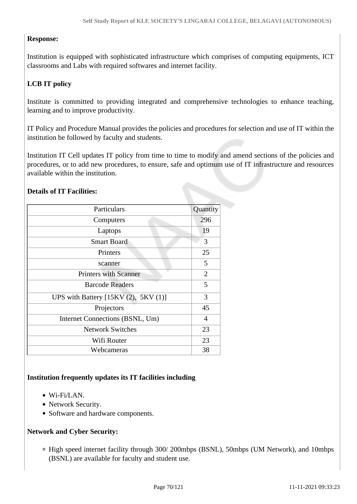# **Response:**

Institution is equipped with sophisticated infrastructure which comprises of computing equipments, ICT classrooms and Labs with required softwares and internet facility.

# **LCB IT policy**

Institute is committed to providing integrated and comprehensive technologies to enhance teaching, learning and to improve productivity.

IT Policy and Procedure Manual provides the policies and procedures for selection and use of IT within the institution be followed by faculty and students.

Institution IT Cell updates IT policy from time to time to modify and amend sections of the policies and procedures, or to add new procedures, to ensure, safe and optimum use of IT infrastructure and resources available within the institution.

# **Details of IT Facilities:**

| Particulars                          | Quantity       |
|--------------------------------------|----------------|
| Computers                            | 296            |
| Laptops                              | 19             |
| <b>Smart Board</b>                   | 3              |
| Printers                             | 25             |
| scanner                              | 5              |
| <b>Printers with Scanner</b>         | $\overline{2}$ |
| <b>Barcode Readers</b>               | 5              |
| UPS with Battery $[15KV(2), 5KV(1)]$ | 3              |
| Projectors                           | 45             |
| Internet Connections (BSNL, Um)      | 4              |
| <b>Network Switches</b>              | 23             |
| Wifi Router                          | 23             |
| Webcameras                           | 38             |

## **Institution frequently updates its IT facilities including**

- $\bullet$  Wi-Fi/LAN.
- Network Security.
- Software and hardware components.

## **Network and Cyber Security:**

High speed internet facility through 300/ 200mbps (BSNL), 50mbps (UM Network), and 10mbps (BSNL) are available for faculty and student use.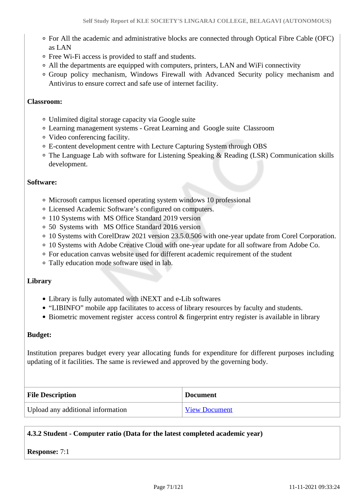- For All the academic and administrative blocks are connected through Optical Fibre Cable (OFC) as LAN
- Free Wi-Fi access is provided to staff and students.
- All the departments are equipped with computers, printers, LAN and WiFi connectivity
- Group policy mechanism, Windows Firewall with Advanced Security policy mechanism and Antivirus to ensure correct and safe use of internet facility.

## **Classroom:**

- Unlimited digital storage capacity via Google suite
- Learning management systems Great Learning and Google suite Classroom
- Video conferencing facility.
- E-content development centre with Lecture Capturing System through OBS
- The Language Lab with software for Listening Speaking & Reading (LSR) Communication skills development.

## **Software:**

- Microsoft campus licensed operating system windows 10 professional
- Licensed Academic Software's configured on computers.
- 110 Systems with MS Office Standard 2019 version
- 50 Systems with MS Office Standard 2016 version
- 10 Systems with CorelDraw 2021 version 23.5.0.506 with one-year update from Corel Corporation.
- 10 Systems with Adobe Creative Cloud with one-year update for all software from Adobe Co.
- For education canvas website used for different academic requirement of the student
- Tally education mode software used in lab.

## **Library**

- Library is fully automated with iNEXT and e-Lib softwares
- "LIBINFO" mobile app facilitates to access of library resources by faculty and students.
- Biometric movement register access control & fingerprint entry register is available in library

## **Budget:**

Institution prepares budget every year allocating funds for expenditure for different purposes including updating of it facilities. The same is reviewed and approved by the governing body.

| <b>File Description</b>           | <b>Document</b>      |
|-----------------------------------|----------------------|
| Upload any additional information | <b>View Document</b> |

# **4.3.2 Student - Computer ratio (Data for the latest completed academic year)**

## **Response:** 7:1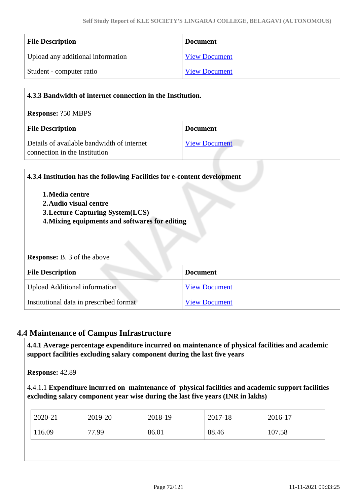| <b>File Description</b>           | <b>Document</b>      |
|-----------------------------------|----------------------|
| Upload any additional information | <b>View Document</b> |
| Student - computer ratio          | <b>View Document</b> |

| 4.3.3 Bandwidth of internet connection in the Institution.                  |                      |  |
|-----------------------------------------------------------------------------|----------------------|--|
| <b>Response: ?50 MBPS</b>                                                   |                      |  |
| <b>File Description</b>                                                     | <b>Document</b>      |  |
| Details of available bandwidth of internet<br>connection in the Institution | <b>View Document</b> |  |

|                                                | 4.3.4 Institution has the following Facilities for e-content development |  |
|------------------------------------------------|--------------------------------------------------------------------------|--|
| 1. Media centre                                |                                                                          |  |
| 2. Audio visual centre                         |                                                                          |  |
| <b>3. Lecture Capturing System(LCS)</b>        |                                                                          |  |
| 4. Mixing equipments and softwares for editing |                                                                          |  |
|                                                |                                                                          |  |
| <b>Response:</b> B. 3 of the above             |                                                                          |  |
| <b>File Description</b>                        | <b>Document</b>                                                          |  |
| <b>Upload Additional information</b>           | <b>View Document</b>                                                     |  |

# **4.4 Maintenance of Campus Infrastructure**

 **4.4.1 Average percentage expenditure incurred on maintenance of physical facilities and academic support facilities excluding salary component during the last five years**

**Response:** 42.89

4.4.1.1 **Expenditure incurred on maintenance of physical facilities and academic support facilities excluding salary component year wise during the last five years (INR in lakhs)** 

| 2020-21 | 2019-20 | 2018-19 | 2017-18 | $2016-17$ |
|---------|---------|---------|---------|-----------|
| 116.09  | 77.99   | 86.01   | 88.46   | 107.58    |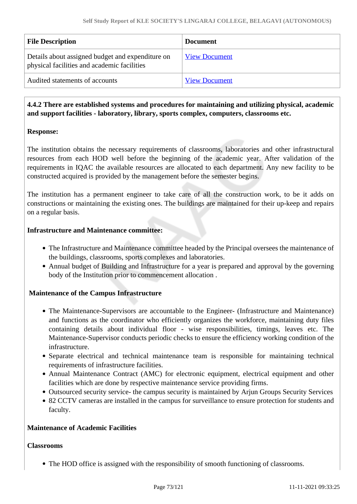| <b>File Description</b>                                                                         | <b>Document</b>      |
|-------------------------------------------------------------------------------------------------|----------------------|
| Details about assigned budget and expenditure on<br>physical facilities and academic facilities | <b>View Document</b> |
| Audited statements of accounts                                                                  | <b>View Document</b> |

# **4.4.2 There are established systems and procedures for maintaining and utilizing physical, academic and support facilities - laboratory, library, sports complex, computers, classrooms etc.**

# **Response:**

The institution obtains the necessary requirements of classrooms, laboratories and other infrastructural resources from each HOD well before the beginning of the academic year. After validation of the requirements in IQAC the available resources are allocated to each department. Any new facility to be constructed acquired is provided by the management before the semester begins.

The institution has a permanent engineer to take care of all the construction work, to be it adds on constructions or maintaining the existing ones. The buildings are maintained for their up-keep and repairs on a regular basis.

# **Infrastructure and Maintenance committee:**

- The Infrastructure and Maintenance committee headed by the Principal oversees the maintenance of the buildings, classrooms, sports complexes and laboratories.
- Annual budget of Building and Infrastructure for a year is prepared and approval by the governing body of the Institution prior to commencement allocation .

# **Maintenance of the Campus Infrastructure**

- The Maintenance-Supervisors are accountable to the Engineer- (Infrastructure and Maintenance) and functions as the coordinator who efficiently organizes the workforce, maintaining duty files containing details about individual floor - wise responsibilities, timings, leaves etc. The Maintenance-Supervisor conducts periodic checks to ensure the efficiency working condition of the infrastructure.
- Separate electrical and technical maintenance team is responsible for maintaining technical requirements of infrastructure facilities.
- Annual Maintenance Contract (AMC) for electronic equipment, electrical equipment and other facilities which are done by respective maintenance service providing firms.
- Outsourced security service- the campus security is maintained by Arjun Groups Security Services
- 82 CCTV cameras are installed in the campus for surveillance to ensure protection for students and faculty.

# **Maintenance of Academic Facilities**

#### **Classrooms**

The HOD office is assigned with the responsibility of smooth functioning of classrooms.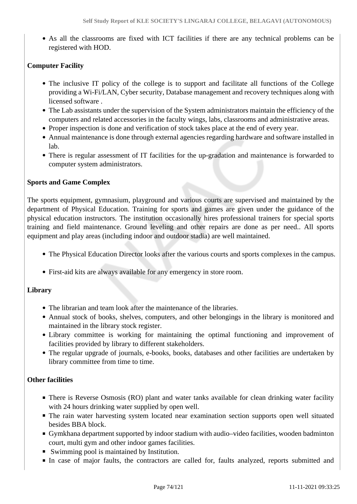As all the classrooms are fixed with ICT facilities if there are any technical problems can be registered with HOD.

# **Computer Facility**

- The inclusive IT policy of the college is to support and facilitate all functions of the College providing a Wi-Fi/LAN, Cyber security, Database management and recovery techniques along with licensed software .
- The Lab assistants under the supervision of the System administrators maintain the efficiency of the computers and related accessories in the faculty wings, labs, classrooms and administrative areas.
- Proper inspection is done and verification of stock takes place at the end of every year.
- Annual maintenance is done through external agencies regarding hardware and software installed in lab.
- There is regular assessment of IT facilities for the up-gradation and maintenance is forwarded to computer system administrators.

# **Sports and Game Complex**

The sports equipment, gymnasium, playground and various courts are supervised and maintained by the department of Physical Education. Training for sports and games are given under the guidance of the physical education instructors. The institution occasionally hires professional trainers for special sports training and field maintenance. Ground leveling and other repairs are done as per need.. All sports equipment and play areas (including indoor and outdoor stadia) are well maintained.

- The Physical Education Director looks after the various courts and sports complexes in the campus.
- First-aid kits are always available for any emergency in store room.

# **Library**

- The librarian and team look after the maintenance of the libraries.
- Annual stock of books, shelves, computers, and other belongings in the library is monitored and maintained in the library stock register.
- Library committee is working for maintaining the optimal functioning and improvement of facilities provided by library to different stakeholders.
- The regular upgrade of journals, e-books, books, databases and other facilities are undertaken by library committee from time to time.

# **Other facilities**

- There is Reverse Osmosis (RO) plant and water tanks available for clean drinking water facility with 24 hours drinking water supplied by open well.
- The rain water harvesting system located near examination section supports open well situated besides BBA block.
- Gymkhana department supported by indoor stadium with audio–video facilities, wooden badminton court, multi gym and other indoor games facilities.
- Swimming pool is maintained by Institution.
- In case of major faults, the contractors are called for, faults analyzed, reports submitted and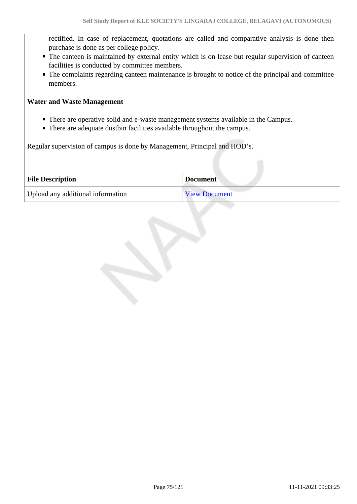rectified. In case of replacement, quotations are called and comparative analysis is done then purchase is done as per college policy.

- The canteen is maintained by external entity which is on lease but regular supervision of canteen facilities is conducted by committee members.
- The complaints regarding canteen maintenance is brought to notice of the principal and committee members.

### **Water and Waste Management**

- There are operative solid and e-waste management systems available in the Campus.
- There are adequate dustbin facilities available throughout the campus.

Regular supervision of campus is done by Management, Principal and HOD's.

| <b>File Description</b>           | <b>Document</b>      |
|-----------------------------------|----------------------|
| Upload any additional information | <b>View Document</b> |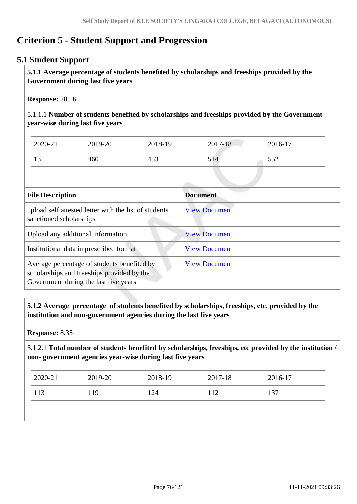# **Criterion 5 - Student Support and Progression**

# **5.1 Student Support**

 **5.1.1 Average percentage of students benefited by scholarships and freeships provided by the Government during last five years** 

**Response:** 28.16

5.1.1.1 **Number of students benefited by scholarships and freeships provided by the Government year-wise during last five years**

| 2020-21  | 2019-20 | 2018-19 | 2017-18 | 2016-17 |
|----------|---------|---------|---------|---------|
| 12<br>IJ | 460     | 453     | 514     | 552     |

| <b>File Description</b>                                                                                                            | <b>Document</b>      |
|------------------------------------------------------------------------------------------------------------------------------------|----------------------|
| upload self attested letter with the list of students<br>sanctioned scholarships                                                   | <b>View Document</b> |
| Upload any additional information                                                                                                  | <b>View Document</b> |
| Institutional data in prescribed format                                                                                            | <b>View Document</b> |
| Average percentage of students benefited by<br>scholarships and freeships provided by the<br>Government during the last five years | <b>View Document</b> |

 **5.1.2 Average percentage of students benefited by scholarships, freeships, etc. provided by the institution and non-government agencies during the last five years**

**Response:** 8.35

5.1.2.1 **Total number of students benefited by scholarships, freeships, etc provided by the institution / non- government agencies year-wise during last five years**

| 2020-21 | 2019-20 | 2018-19 | 2017-18 | 2016-17 |
|---------|---------|---------|---------|---------|
| 113     | 119     | 124     | 112     | 137     |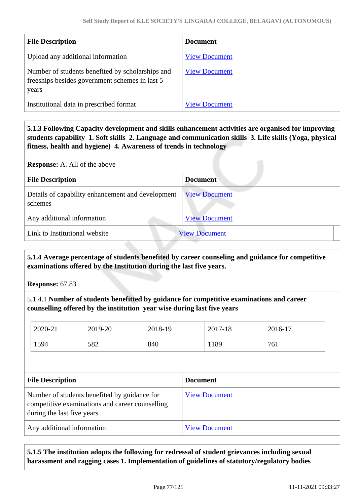| <b>File Description</b>                                                                                     | <b>Document</b>      |
|-------------------------------------------------------------------------------------------------------------|----------------------|
| Upload any additional information                                                                           | <b>View Document</b> |
| Number of students benefited by scholarships and<br>freeships besides government schemes in last 5<br>years | <b>View Document</b> |
| Institutional data in prescribed format                                                                     | <b>View Document</b> |

 **5.1.3 Following Capacity development and skills enhancement activities are organised for improving students capability 1. Soft skills 2. Language and communication skills 3. Life skills (Yoga, physical fitness, health and hygiene) 4. Awareness of trends in technology**

**Response:** A. All of the above

| <b>File Description</b>                                      | <b>Document</b>      |  |
|--------------------------------------------------------------|----------------------|--|
| Details of capability enhancement and development<br>schemes | <b>View Document</b> |  |
| Any additional information                                   | <b>View Document</b> |  |
| Link to Institutional website                                | <b>View Document</b> |  |

 **5.1.4 Average percentage of students benefited by career counseling and guidance for competitive examinations offered by the Institution during the last five years.**

**Response:** 67.83

5.1.4.1 **Number of students benefitted by guidance for competitive examinations and career counselling offered by the institution year wise during last five years**

| 2020-21                                                                                         | 2019-20 | 2018-19              | 2017-18         | 2016-17 |
|-------------------------------------------------------------------------------------------------|---------|----------------------|-----------------|---------|
| 1594                                                                                            | 582     | 840                  | 1189            | 761     |
|                                                                                                 |         |                      |                 |         |
| <b>File Description</b>                                                                         |         |                      | <b>Document</b> |         |
| Number of students benefited by guidance for<br>competitive examinations and career counselling |         | <b>View Document</b> |                 |         |

| during the last five years |                      |
|----------------------------|----------------------|
| Any additional information | <b>View Document</b> |
|                            |                      |

 **5.1.5 The institution adopts the following for redressal of student grievances including sexual harassment and ragging cases 1. Implementation of guidelines of statutory/regulatory bodies**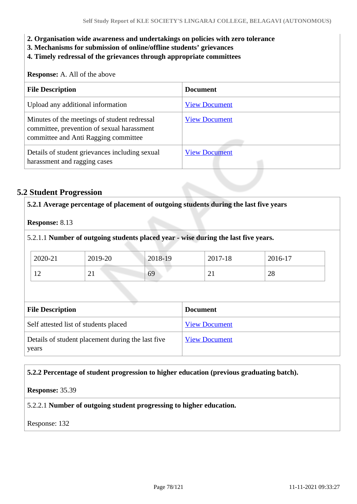- **2. Organisation wide awareness and undertakings on policies with zero tolerance**
- **3. Mechanisms for submission of online/offline students' grievances**
- **4. Timely redressal of the grievances through appropriate committees**

**Response:** A. All of the above

| <b>File Description</b>                                                                                                            | <b>Document</b>      |
|------------------------------------------------------------------------------------------------------------------------------------|----------------------|
| Upload any additional information                                                                                                  | <b>View Document</b> |
| Minutes of the meetings of student redressal<br>committee, prevention of sexual harassment<br>committee and Anti Ragging committee | <b>View Document</b> |
| Details of student grievances including sexual<br>harassment and ragging cases                                                     | <b>View Document</b> |

# **5.2 Student Progression**

|                         |                                                   |         | 5.2.1 Average percentage of placement of outgoing students during the last five years |         |
|-------------------------|---------------------------------------------------|---------|---------------------------------------------------------------------------------------|---------|
| <b>Response: 8.13</b>   |                                                   |         |                                                                                       |         |
|                         |                                                   |         | 5.2.1.1 Number of outgoing students placed year - wise during the last five years.    |         |
| 2020-21                 | 2019-20                                           | 2018-19 | 2017-18                                                                               | 2016-17 |
| 12                      | 21                                                | 69      | 21                                                                                    | 28      |
| <b>File Description</b> |                                                   |         | <b>Document</b>                                                                       |         |
|                         | Self attested list of students placed             |         | <b>View Document</b>                                                                  |         |
|                         | Details of student placement during the last five |         | <b>View Document</b>                                                                  |         |

### **5.2.2 Percentage of student progression to higher education (previous graduating batch).**

**Response:** 35.39

# 5.2.2.1 **Number of outgoing student progressing to higher education.**

Response: 132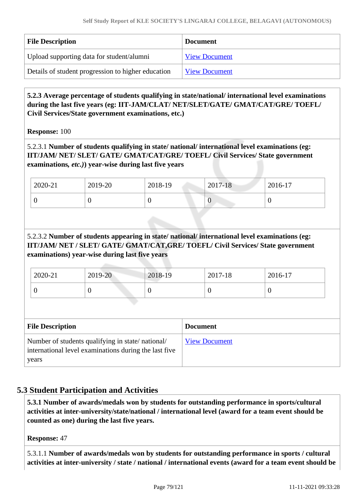| <b>File Description</b>                            | <b>Document</b>      |
|----------------------------------------------------|----------------------|
| Upload supporting data for student/alumni          | <b>View Document</b> |
| Details of student progression to higher education | <b>View Document</b> |

 **5.2.3 Average percentage of students qualifying in state/national/ international level examinations during the last five years (eg: IIT-JAM/CLAT/ NET/SLET/GATE/ GMAT/CAT/GRE/ TOEFL/ Civil Services/State government examinations, etc.)**

**Response:** 100

5.2.3.1 **Number of students qualifying in state/ national/ international level examinations (eg: IIT/JAM/ NET/ SLET/ GATE/ GMAT/CAT/GRE/ TOEFL/ Civil Services/ State government examinations***, etc.)***) year-wise during last five years**

| 2020-21 | 2019-20 | 2018-19 | 2017-18 | 2016-17 |
|---------|---------|---------|---------|---------|
| ິ       |         |         | ິ       | ν       |

5.2.3.2 **Number of students appearing in state/ national/ international level examinations (eg: IIT/JAM/ NET / SLET/ GATE/ GMAT/CAT,GRE/ TOEFL/ Civil Services/ State government examinations) year-wise during last five years**

| 2020-21 | 2019-20 | 2018-19 | 2017-18 | 2016-17 |
|---------|---------|---------|---------|---------|
|         |         |         | U       | ິ       |

| <b>File Description</b>                                                                                            | <b>Document</b>      |
|--------------------------------------------------------------------------------------------------------------------|----------------------|
| Number of students qualifying in state/national/<br>international level examinations during the last five<br>years | <b>View Document</b> |

# **5.3 Student Participation and Activities**

 **5.3.1 Number of awards/medals won by students for outstanding performance in sports/cultural activities at inter-university/state/national / international level (award for a team event should be counted as one) during the last five years.**

**Response:** 47

5.3.1.1 **Number of awards/medals won by students for outstanding performance in sports / cultural activities at inter-university / state / national / international events (award for a team event should be**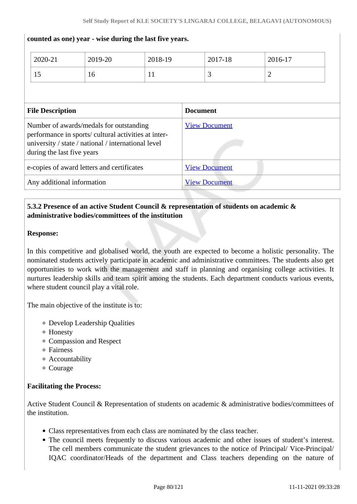|                                                                                                                                                                                      | 2020-21<br>15 | 2019-20<br>16        | 2018-19<br>11        |  | 2017-18<br>3 | 2016-17<br>$\overline{2}$ |  |
|--------------------------------------------------------------------------------------------------------------------------------------------------------------------------------------|---------------|----------------------|----------------------|--|--------------|---------------------------|--|
| <b>File Description</b>                                                                                                                                                              |               |                      | <b>Document</b>      |  |              |                           |  |
| Number of awards/medals for outstanding<br>performance in sports/ cultural activities at inter-<br>university / state / national / international level<br>during the last five years |               |                      | <b>View Document</b> |  |              |                           |  |
| e-copies of award letters and certificates                                                                                                                                           |               |                      | <b>View Document</b> |  |              |                           |  |
| Any additional information                                                                                                                                                           |               | <b>View Document</b> |                      |  |              |                           |  |

### **counted as one) year - wise during the last five years.**

# **5.3.2 Presence of an active Student Council & representation of students on academic & administrative bodies/committees of the institution**

# **Response:**

In this competitive and globalised world, the youth are expected to become a holistic personality. The nominated students actively participate in academic and administrative committees. The students also get opportunities to work with the management and staff in planning and organising college activities. It nurtures leadership skills and team spirit among the students. Each department conducts various events, where student council play a vital role.

The main objective of the institute is to:

- Develop Leadership Qualities
- Honesty
- Compassion and Respect
- Fairness
- Accountability
- Courage

# **Facilitating the Process:**

Active Student Council & Representation of students on academic & administrative bodies/committees of the institution.

- Class representatives from each class are nominated by the class teacher.
- The council meets frequently to discuss various academic and other issues of student's interest. The cell members communicate the student grievances to the notice of Principal/ Vice-Principal/ IQAC coordinator/Heads of the department and Class teachers depending on the nature of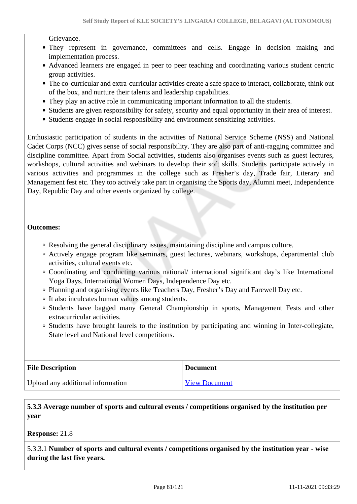Grievance.

- They represent in governance, committees and cells. Engage in decision making and implementation process.
- Advanced learners are engaged in peer to peer teaching and coordinating various student centric group activities.
- The co-curricular and extra-curricular activities create a safe space to interact, collaborate, think out of the box, and nurture their talents and leadership capabilities.
- They play an active role in communicating important information to all the students.
- Students are given responsibility for safety, security and equal opportunity in their area of interest.
- Students engage in social responsibility and environment sensitizing activities.

Enthusiastic participation of students in the activities of National Service Scheme (NSS) and National Cadet Corps (NCC) gives sense of social responsibility. They are also part of anti-ragging committee and discipline committee. Apart from Social activities, students also organises events such as guest lectures, workshops, cultural activities and webinars to develop their soft skills. Students participate actively in various activities and programmes in the college such as Fresher's day, Trade fair, Literary and Management fest etc. They too actively take part in organising the Sports day, Alumni meet, Independence Day, Republic Day and other events organized by college.

### **Outcomes:**

- Resolving the general disciplinary issues, maintaining discipline and campus culture.
- Actively engage program like seminars, guest lectures, webinars, workshops, departmental club activities, cultural events etc.
- Coordinating and conducting various national/ international significant day's like International Yoga Days, International Women Days, Independence Day etc.
- Planning and organising events like Teachers Day, Fresher's Day and Farewell Day etc.
- It also inculcates human values among students.
- Students have bagged many General Championship in sports, Management Fests and other extracurricular activities.
- Students have brought laurels to the institution by participating and winning in Inter-collegiate, State level and National level competitions.

| <b>File Description</b>           | <b>Document</b>      |
|-----------------------------------|----------------------|
| Upload any additional information | <b>View Document</b> |

# **5.3.3 Average number of sports and cultural events / competitions organised by the institution per year**

**Response:** 21.8

5.3.3.1 **Number of sports and cultural events / competitions organised by the institution year - wise during the last five years.**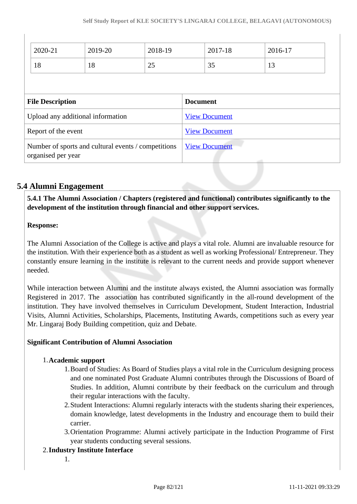|                                                                           | 2020-21 | 2019-20 | 2018-19              |                      | 2017-18                  | 2016-17 |
|---------------------------------------------------------------------------|---------|---------|----------------------|----------------------|--------------------------|---------|
| 18                                                                        |         | 18      | 25                   |                      | 35                       | 13      |
|                                                                           |         |         |                      |                      |                          |         |
| <b>File Description</b>                                                   |         |         | <b>Document</b>      |                      |                          |         |
|                                                                           |         |         |                      |                      |                          |         |
| Upload any additional information                                         |         |         | <b>View Document</b> |                      |                          |         |
| Report of the event                                                       |         |         | <b>View Document</b> |                      |                          |         |
| Number of sports and cultural events / competitions<br>organised per year |         |         |                      | <b>View Document</b> | <b>Contract Contract</b> |         |

# **5.4 Alumni Engagement**

 **5.4.1 The Alumni Association / Chapters (registered and functional) contributes significantly to the development of the institution through financial and other support services.**

# **Response:**

 $\overline{\phantom{a}}$ 

The Alumni Association of the College is active and plays a vital role. Alumni are invaluable resource for the institution. With their experience both as a student as well as working Professional/ Entrepreneur. They constantly ensure learning in the institute is relevant to the current needs and provide support whenever needed.

While interaction between Alumni and the institute always existed, the Alumni association was formally Registered in 2017. The association has contributed significantly in the all-round development of the institution. They have involved themselves in Curriculum Development, Student Interaction, Industrial Visits, Alumni Activities, Scholarships, Placements, Instituting Awards, competitions such as every year Mr. Lingaraj Body Building competition, quiz and Debate.

# **Significant Contribution of Alumni Association**

# 1.**Academic support**

- 1.Board of Studies: As Board of Studies plays a vital role in the Curriculum designing process and one nominated Post Graduate Alumni contributes through the Discussions of Board of Studies. In addition, Alumni contribute by their feedback on the curriculum and through their regular interactions with the faculty.
- 2.Student Interactions: Alumni regularly interacts with the students sharing their experiences, domain knowledge, latest developments in the Industry and encourage them to build their carrier.
- 3.Orientation Programme: Alumni actively participate in the Induction Programme of First year students conducting several sessions.
- 2.**Industry Institute Interface** 
	- 1.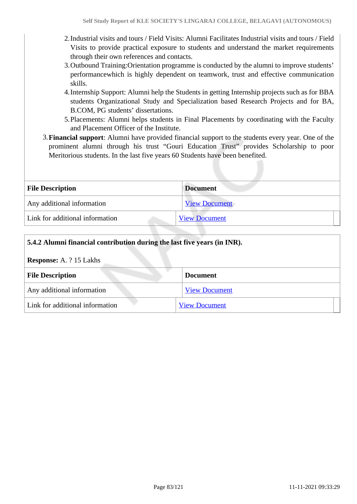- 2.Industrial visits and tours / Field Visits: Alumni Facilitates Industrial visits and tours / Field Visits to provide practical exposure to students and understand the market requirements through their own references and contacts.
- 3.Outbound Training:Orientation programme is conducted by the alumni to improve students' performancewhich is highly dependent on teamwork, trust and effective communication skills.
- 4.Internship Support: Alumni help the Students in getting Internship projects such as for BBA students Organizational Study and Specialization based Research Projects and for BA, B.COM, PG students' dissertations.
- 5.Placements: Alumni helps students in Final Placements by coordinating with the Faculty and Placement Officer of the Institute.
- 3.**Financial support**: Alumni have provided financial support to the students every year. One of the prominent alumni through his trust "Gouri Education Trust" provides Scholarship to poor Meritorious students. In the last five years 60 Students have been benefited.

| <b>File Description</b>         | <b>Document</b>      |
|---------------------------------|----------------------|
| Any additional information      | <b>View Document</b> |
| Link for additional information | <b>View Document</b> |

| 5.4.2 Alumni financial contribution during the last five years (in INR). |                      |  |
|--------------------------------------------------------------------------|----------------------|--|
| <b>Response:</b> A. ? 15 Lakhs                                           |                      |  |
| <b>File Description</b><br><b>Document</b>                               |                      |  |
| Any additional information                                               | <b>View Document</b> |  |
| Link for additional information                                          | <b>View Document</b> |  |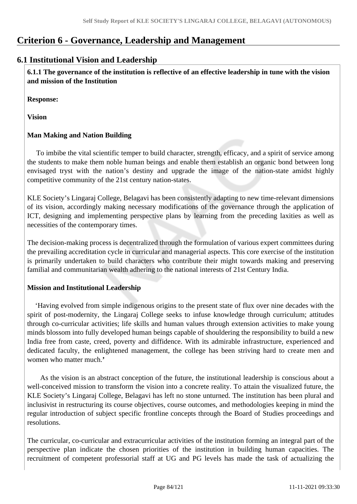# **Criterion 6 - Governance, Leadership and Management**

# **6.1 Institutional Vision and Leadership**

 **6.1.1 The governance of the institution is reflective of an effective leadership in tune with the vision and mission of the Institution**

**Response:** 

**Vision** 

# **Man Making and Nation Building**

 To imbibe the vital scientific temper to build character, strength, efficacy, and a spirit of service among the students to make them noble human beings and enable them establish an organic bond between long envisaged tryst with the nation's destiny and upgrade the image of the nation-state amidst highly competitive community of the 21st century nation-states.

KLE Society's Lingaraj College, Belagavi has been consistently adapting to new time-relevant dimensions of its vision, accordingly making necessary modifications of the governance through the application of ICT, designing and implementing perspective plans by learning from the preceding laxities as well as necessities of the contemporary times.

The decision-making process is decentralized through the formulation of various expert committees during the prevailing accreditation cycle in curricular and managerial aspects. This core exercise of the institution is primarily undertaken to build characters who contribute their might towards making and preserving familial and communitarian wealth adhering to the national interests of 21st Century India.

# **Mission and Institutional Leadership**

 'Having evolved from simple indigenous origins to the present state of flux over nine decades with the spirit of post-modernity, the Lingaraj College seeks to infuse knowledge through curriculum; attitudes through co-curricular activities; life skills and human values through extension activities to make young minds blossom into fully developed human beings capable of shouldering the responsibility to build a new India free from caste, creed, poverty and diffidence. With its admirable infrastructure, experienced and dedicated faculty, the enlightened management, the college has been striving hard to create men and women who matter much.**'**

 As the vision is an abstract conception of the future, the institutional leadership is conscious about a well-conceived mission to transform the vision into a concrete reality. To attain the visualized future, the KLE Society's Lingaraj College, Belagavi has left no stone unturned. The institution has been plural and inclusivist in restructuring its course objectives, course outcomes, and methodologies keeping in mind the regular introduction of subject specific frontline concepts through the Board of Studies proceedings and resolutions.

The curricular, co-curricular and extracurricular activities of the institution forming an integral part of the perspective plan indicate the chosen priorities of the institution in building human capacities. The recruitment of competent professorial staff at UG and PG levels has made the task of actualizing the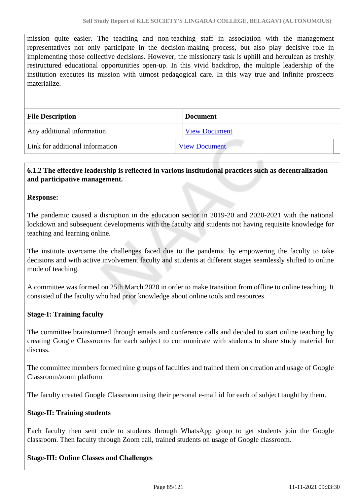mission quite easier. The teaching and non-teaching staff in association with the management representatives not only participate in the decision-making process, but also play decisive role in implementing those collective decisions. However, the missionary task is uphill and herculean as freshly restructured educational opportunities open-up. In this vivid backdrop, the multiple leadership of the institution executes its mission with utmost pedagogical care. In this way true and infinite prospects materialize.

| <b>File Description</b>         | <b>Document</b>      |
|---------------------------------|----------------------|
| Any additional information      | <b>View Document</b> |
| Link for additional information | <b>View Document</b> |

# **6.1.2 The effective leadership is reflected in various institutional practices such as decentralization and participative management.**

### **Response:**

The pandemic caused a disruption in the education sector in 2019-20 and 2020-2021 with the national lockdown and subsequent developments with the faculty and students not having requisite knowledge for teaching and learning online.

The institute overcame the challenges faced due to the pandemic by empowering the faculty to take decisions and with active involvement faculty and students at different stages seamlessly shifted to online mode of teaching.

A committee was formed on 25th March 2020 in order to make transition from offline to online teaching. It consisted of the faculty who had prior knowledge about online tools and resources.

#### **Stage-I: Training faculty**

The committee brainstormed through emails and conference calls and decided to start online teaching by creating Google Classrooms for each subject to communicate with students to share study material for discuss.

The committee members formed nine groups of faculties and trained them on creation and usage of Google Classroom/zoom platform

The faculty created Google Classroom using their personal e-mail id for each of subject taught by them.

#### **Stage-II: Training students**

Each faculty then sent code to students through WhatsApp group to get students join the Google classroom. Then faculty through Zoom call, trained students on usage of Google classroom.

#### **Stage-III: Online Classes and Challenges**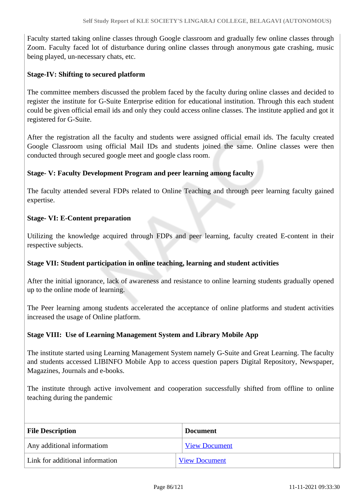Faculty started taking online classes through Google classroom and gradually few online classes through Zoom. Faculty faced lot of disturbance during online classes through anonymous gate crashing, music being played, un-necessary chats, etc.

### **Stage-IV: Shifting to secured platform**

The committee members discussed the problem faced by the faculty during online classes and decided to register the institute for G-Suite Enterprise edition for educational institution. Through this each student could be given official email ids and only they could access online classes. The institute applied and got it registered for G-Suite.

After the registration all the faculty and students were assigned official email ids. The faculty created Google Classroom using official Mail IDs and students joined the same. Online classes were then conducted through secured google meet and google class room.

# **Stage- V: Faculty Development Program and peer learning among faculty**

The faculty attended several FDPs related to Online Teaching and through peer learning faculty gained expertise.

# **Stage- VI: E-Content preparation**

Utilizing the knowledge acquired through FDPs and peer learning, faculty created E-content in their respective subjects.

# **Stage VII: Student participation in online teaching, learning and student activities**

After the initial ignorance, lack of awareness and resistance to online learning students gradually opened up to the online mode of learning.

The Peer learning among students accelerated the acceptance of online platforms and student activities increased the usage of Online platform.

#### **Stage VIII: Use of Learning Management System and Library Mobile App**

The institute started using Learning Management System namely G-Suite and Great Learning. The faculty and students accessed LIBINFO Mobile App to access question papers Digital Repository, Newspaper, Magazines, Journals and e-books.

The institute through active involvement and cooperation successfully shifted from offline to online teaching during the pandemic

| <b>File Description</b>         | <b>Document</b>      |
|---------------------------------|----------------------|
| Any additional informatiom      | <b>View Document</b> |
| Link for additional information | <b>View Document</b> |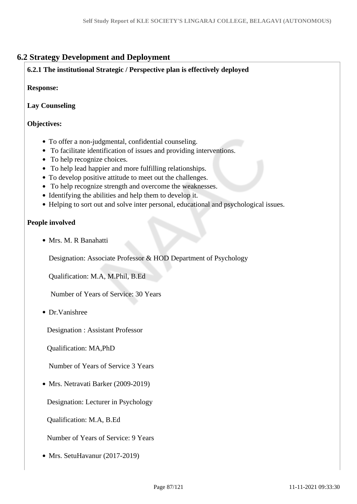# **6.2 Strategy Development and Deployment**

# **6.2.1 The institutional Strategic / Perspective plan is effectively deployed**

### **Response:**

# **Lay Counseling**

# **Objectives:**

- To offer a non-judgmental, confidential counseling.
- To facilitate identification of issues and providing interventions.
- To help recognize choices.
- To help lead happier and more fulfilling relationships.
- To develop positive attitude to meet out the challenges.
- To help recognize strength and overcome the weaknesses.
- Identifying the abilities and help them to develop it.
- Helping to sort out and solve inter personal, educational and psychological issues.

### **People involved**

Mrs. M. R Banahatti

Designation: Associate Professor & HOD Department of Psychology

Qualification: M.A, M.Phil, B.Ed

Number of Years of Service: 30 Years

Dr.Vanishree

Designation : Assistant Professor

Qualification: MA,PhD

Number of Years of Service 3 Years

• Mrs. Netravati Barker (2009-2019)

Designation: Lecturer in Psychology

Qualification: M.A, B.Ed

Number of Years of Service: 9 Years

• Mrs. SetuHavanur (2017-2019)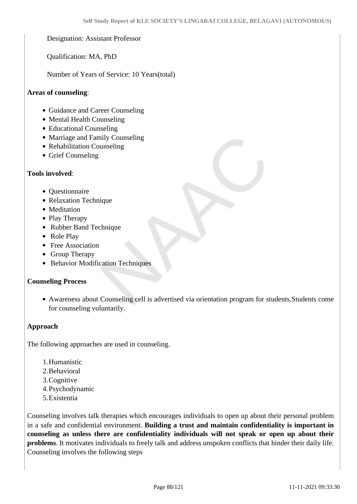### Designation: Assistant Professor

Qualification: MA, PhD

Number of Years of Service: 10 Years(total)

#### **Areas of counseling**:

- Guidance and Career Counseling
- Mental Health Counseling
- Educational Counseling
- Marriage and Family Counseling
- Rehabilitation Counseling
- Grief Counseling

### **Tools involved**:

- Questionnaire
- Relaxation Technique
- Meditation
- Play Therapy
- Rubber Band Technique
- Role Play
- Free Association
- Group Therapy
- Behavior Modification Techniques

#### **Counseling Process**

Awareness about Counseling cell is advertised via orientation program for students.Students come for counseling voluntarily.

#### **Approach**

The following approaches are used in counseling.

- 1.Humanistic
- 2.Behavioral
- 3.Cognitive
- 4.Psychodynamic
- 5.Existentia

Counseling involves talk therapies which encourages individuals to open up about their personal problem in a safe and confidential environment. **Building a trust and maintain confidentiality is important in counseling as unless there are confidentiality individuals will not speak or open up about their problems**. It motivates individuals to freely talk and address unspoken conflicts that hinder their daily life. Counseling involves the following steps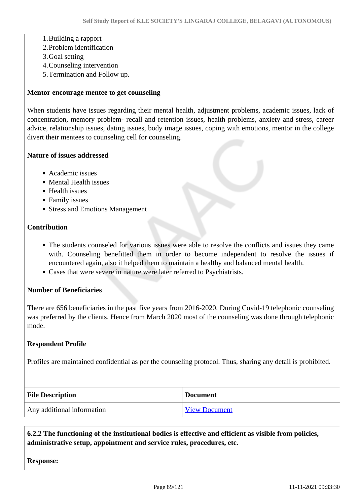#### 1.Building a rapport

- 2.Problem identification
- 3.Goal setting
- 4.Counseling intervention
- 5.Termination and Follow up.

#### **Mentor encourage mentee to get counseling**

When students have issues regarding their mental health, adjustment problems, academic issues, lack of concentration, memory problem- recall and retention issues, health problems, anxiety and stress, career advice, relationship issues, dating issues, body image issues, coping with emotions, mentor in the college divert their mentees to counseling cell for counseling.

#### **Nature of issues addressed**

- Academic issues
- Mental Health issues
- Health issues
- Family issues
- Stress and Emotions Management

### **Contribution**

- The students counseled for various issues were able to resolve the conflicts and issues they came with. Counseling benefitted them in order to become independent to resolve the issues if encountered again, also it helped them to maintain a healthy and balanced mental health.
- Cases that were severe in nature were later referred to Psychiatrists.

#### **Number of Beneficiaries**

There are 656 beneficiaries in the past five years from 2016-2020. During Covid-19 telephonic counseling was preferred by the clients. Hence from March 2020 most of the counseling was done through telephonic mode.

#### **Respondent Profile**

Profiles are maintained confidential as per the counseling protocol. Thus, sharing any detail is prohibited.

| <b>File Description</b>    | <b>Document</b>      |
|----------------------------|----------------------|
| Any additional information | <b>View Document</b> |

 **6.2.2 The functioning of the institutional bodies is effective and efficient as visible from policies, administrative setup, appointment and service rules, procedures, etc.**

**Response:**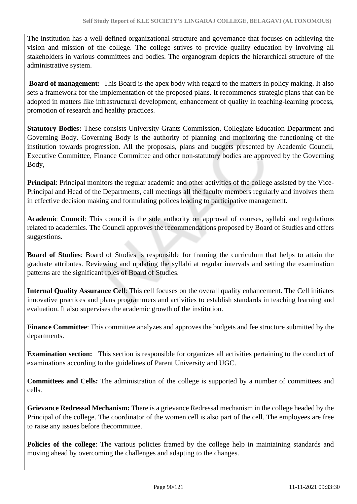The institution has a well-defined organizational structure and governance that focuses on achieving the vision and mission of the college. The college strives to provide quality education by involving all stakeholders in various committees and bodies. The organogram depicts the hierarchical structure of the administrative system.

 **Board of management:** This Board is the apex body with regard to the matters in policy making. It also sets a framework for the implementation of the proposed plans. It recommends strategic plans that can be adopted in matters like infrastructural development, enhancement of quality in teaching-learning process, promotion of research and healthy practices.

**Statutory Bodies:** These consists University Grants Commission, Collegiate Education Department and Governing Body**.** Governing Body is the authority of planning and monitoring the functioning of the institution towards progression. All the proposals, plans and budgets presented by Academic Council, Executive Committee, Finance Committee and other non-statutory bodies are approved by the Governing Body,

**Principal**: Principal monitors the regular academic and other activities of the college assisted by the Vice-Principal and Head of the Departments, call meetings all the faculty members regularly and involves them in effective decision making and formulating polices leading to participative management.

**Academic Council**: This council is the sole authority on approval of courses, syllabi and regulations related to academics. The Council approves the recommendations proposed by Board of Studies and offers suggestions.

**Board of Studies**: Board of Studies is responsible for framing the curriculum that helps to attain the graduate attributes. Reviewing and updating the syllabi at regular intervals and setting the examination patterns are the significant roles of Board of Studies.

**Internal Quality Assurance Cell**: This cell focuses on the overall quality enhancement. The Cell initiates innovative practices and plans programmers and activities to establish standards in teaching learning and evaluation. It also supervises the academic growth of the institution.

**Finance Committee**: This committee analyzes and approves the budgets and fee structure submitted by the departments.

**Examination section:** This section is responsible for organizes all activities pertaining to the conduct of examinations according to the guidelines of Parent University and UGC.

**Committees and Cells:** The administration of the college is supported by a number of committees and cells.

**Grievance Redressal Mechanism:** There is a grievance Redressal mechanism in the college headed by the Principal of the college. The coordinator of the women cell is also part of the cell. The employees are free to raise any issues before thecommittee.

**Policies of the college**: The various policies framed by the college help in maintaining standards and moving ahead by overcoming the challenges and adapting to the changes.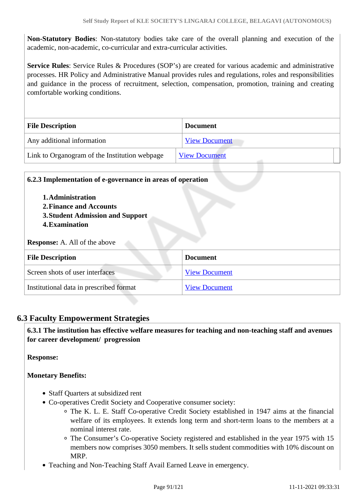**Non-Statutory Bodies**: Non-statutory bodies take care of the overall planning and execution of the academic, non-academic, co-curricular and extra-curricular activities.

**Service Rules**: Service Rules & Procedures (SOP's) are created for various academic and administrative processes. HR Policy and Administrative Manual provides rules and regulations, roles and responsibilities and guidance in the process of recruitment, selection, compensation, promotion, training and creating comfortable working conditions.

| <b>File Description</b>                       | <b>Document</b>      |  |  |
|-----------------------------------------------|----------------------|--|--|
| Any additional information                    | <b>View Document</b> |  |  |
| Link to Organogram of the Institution webpage | <b>View Document</b> |  |  |

| 6.2.3 Implementation of e-governance in areas of operation |                      |  |  |
|------------------------------------------------------------|----------------------|--|--|
| 1. Administration<br>2. Finance and Accounts               |                      |  |  |
| <b>3. Student Admission and Support</b>                    |                      |  |  |
| 4. Examination                                             |                      |  |  |
|                                                            |                      |  |  |
| <b>Response:</b> A. All of the above                       |                      |  |  |
| <b>File Description</b>                                    | <b>Document</b>      |  |  |
| Screen shots of user interfaces                            | <b>View Document</b> |  |  |

# **6.3 Faculty Empowerment Strategies**

 **6.3.1 The institution has effective welfare measures for teaching and non-teaching staff and avenues for career development/ progression** 

**Response:** 

# **Monetary Benefits:**

- Staff Quarters at subsidized rent
- Co-operatives Credit Society and Cooperative consumer society:
	- The K. L. E. Staff Co-operative Credit Society established in 1947 aims at the financial welfare of its employees. It extends long term and short-term loans to the members at a nominal interest rate.
	- The Consumer's Co-operative Society registered and established in the year 1975 with 15 members now comprises 3050 members. It sells student commodities with 10% discount on MRP.
- Teaching and Non-Teaching Staff Avail Earned Leave in emergency.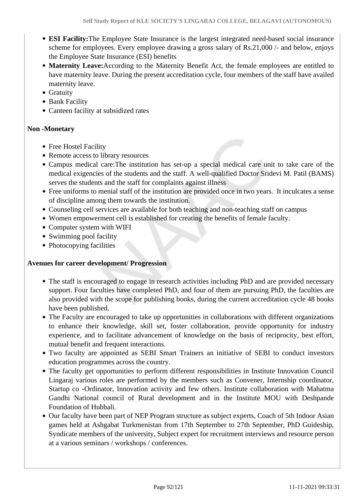- **ESI Facility:**The Employee State Insurance is the largest integrated need-based social insurance scheme for employees. Every employee drawing a gross salary of Rs.21,000 /- and below, enjoys the Employee State Insurance (ESI) benefits
- **Maternity Leave:**According to the Maternity Benefit Act, the female employees are entitled to have maternity leave. During the present accreditation cycle, four members of the staff have availed maternity leave.
- Gratuity
- Bank Facility
- Canteen facility at subsidized rates

# **Non -Monetary**

- Free Hostel Facility
- Remote access to library resources
- Campus medical care:The institution has set-up a special medical care unit to take care of the medical exigencies of the students and the staff. A well-qualified Doctor Sridevi M. Patil (BAMS) serves the students and the staff for complaints against illness
- Free uniforms to menial staff of the institution are provided once in two years. It inculcates a sense of discipline among them towards the institution.
- Counseling cell services are available for both teaching and non-teaching staff on campus
- Women empowerment cell is established for creating the benefits of female faculty.
- Computer system with WIFI
- Swimming pool facility
- Photocopying facilities

# **Avenues for career development/ Progression**

- The staff is encouraged to engage in research activities including PhD and are provided necessary support. Four faculties have completed PhD, and four of them are pursuing PhD, the faculties are also provided with the scope for publishing books, during the current accreditation cycle 48 books have been published.
- The Faculty are encouraged to take up opportunities in collaborations with different organizations to enhance their knowledge, skill set, foster collaboration, provide opportunity for industry experience, and to facilitate advancement of knowledge on the basis of reciprocity, best effort, mutual benefit and frequent interactions.
- Two faculty are appointed as SEBI Smart Trainers an initiative of SEBI to conduct investors education programmes across the country.
- The faculty get opportunities to perform different responsibilities in Institute Innovation Council Lingaraj various roles are performed by the members such as Convener, Internship coordinator, Startup co -Ordinator, Innovation activity and few others. Institute collaboration with Mahatma Gandhi National council of Rural development and in the Institute MOU with Deshpande Foundation of Hubbali.
- Our faculty have been part of NEP Program structure as subject experts, Coach of 5th Indoor Asian games held at Ashgabat Turkmenistan from 17th September to 27th September, PhD Guideship, Syndicate members of the university, Subject expert for recruitment interviews and resource person at a various seminars / workshops / conferences.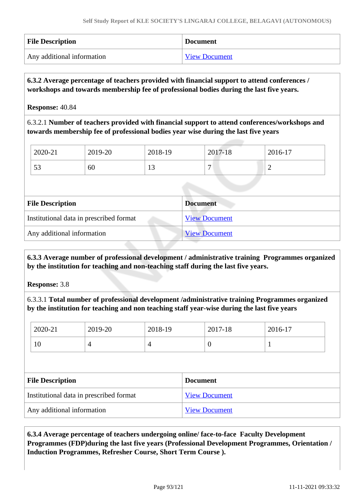| <b>File Description</b>    | <b>Document</b>      |
|----------------------------|----------------------|
| Any additional information | <b>View Document</b> |

# **6.3.2 Average percentage of teachers provided with financial support to attend conferences / workshops and towards membership fee of professional bodies during the last five years.**

**Response:** 40.84

6.3.2.1 **Number of teachers provided with financial support to attend conferences/workshops and towards membership fee of professional bodies year wise during the last five years**

| 2020-21      | 2019-20 | 2018-19        | 2017-18 | 2016-17 |
|--------------|---------|----------------|---------|---------|
| $\sim$<br>IJ | 60      | $\overline{1}$ | −       | -       |

| <b>File Description</b>                 | <b>Document</b>      |
|-----------------------------------------|----------------------|
| Institutional data in prescribed format | <b>View Document</b> |
| Any additional information              | <b>View Document</b> |

 **6.3.3 Average number of professional development / administrative training Programmes organized by the institution for teaching and non-teaching staff during the last five years.**

**Response:** 3.8

6.3.3.1 **Total number of professional development /administrative training Programmes organized by the institution for teaching and non teaching staff year-wise during the last five years**

| 2020-21                                 | 2019-20 | 2018-19              |                 | 2017-18  | 2016-17 |  |
|-----------------------------------------|---------|----------------------|-----------------|----------|---------|--|
| 10                                      | 4       | 4                    |                 | $\theta$ | 1       |  |
|                                         |         |                      |                 |          |         |  |
| <b>File Description</b>                 |         |                      | <b>Document</b> |          |         |  |
| Institutional data in prescribed format |         | <b>View Document</b> |                 |          |         |  |
|                                         |         |                      |                 |          |         |  |

 **6.3.4 Average percentage of teachers undergoing online/ face-to-face Faculty Development Programmes (FDP)during the last five years (Professional Development Programmes, Orientation / Induction Programmes, Refresher Course, Short Term Course ).**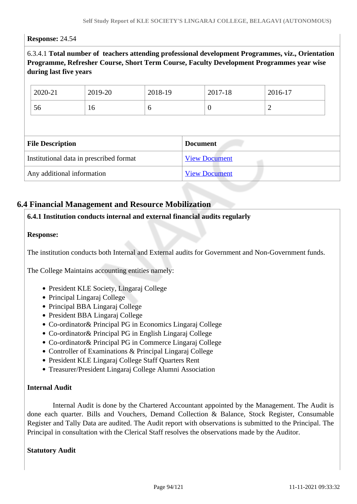### **Response:** 24.54

6.3.4.1 **Total number of teachers attending professional development Programmes, viz., Orientation Programme, Refresher Course, Short Term Course, Faculty Development Programmes year wise during last five years**

| 2020-21                 | 2019-20                                 | 2018-19 |                 | 2017-18              | 2016-17        |  |
|-------------------------|-----------------------------------------|---------|-----------------|----------------------|----------------|--|
| 56                      | 16                                      | 6       |                 | $\theta$             | $\overline{2}$ |  |
|                         |                                         |         |                 |                      |                |  |
|                         |                                         |         |                 |                      |                |  |
| <b>File Description</b> |                                         |         | <b>Document</b> |                      |                |  |
|                         | Institutional data in prescribed format |         |                 | <b>View Document</b> |                |  |

# **6.4 Financial Management and Resource Mobilization**

# **6.4.1 Institution conducts internal and external financial audits regularly**

### **Response:**

The institution conducts both Internal and External audits for Government and Non-Government funds.

The College Maintains accounting entities namely:

- President KLE Society, Lingaraj College
- Principal Lingaraj College
- Principal BBA Lingaraj College
- President BBA Lingaraj College
- Co-ordinator& Principal PG in Economics Lingaraj College
- Co-ordinator& Principal PG in English Lingaraj College
- Co-ordinator& Principal PG in Commerce Lingaraj College
- Controller of Examinations & Principal Lingaraj College
- President KLE Lingaraj College Staff Quarters Rent
- Treasurer/President Lingaraj College Alumni Association

### **Internal Audit**

 Internal Audit is done by the Chartered Accountant appointed by the Management. The Audit is done each quarter. Bills and Vouchers, Demand Collection & Balance, Stock Register, Consumable Register and Tally Data are audited. The Audit report with observations is submitted to the Principal. The Principal in consultation with the Clerical Staff resolves the observations made by the Auditor.

#### **Statutory Audit**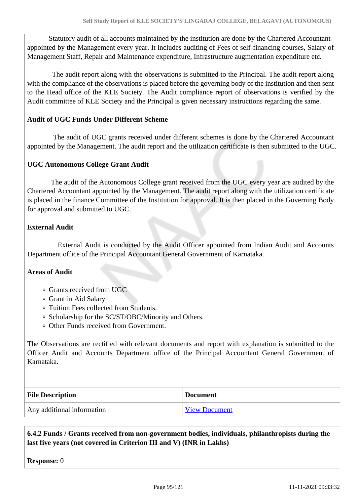Statutory audit of all accounts maintained by the institution are done by the Chartered Accountant appointed by the Management every year. It includes auditing of Fees of self-financing courses, Salary of Management Staff, Repair and Maintenance expenditure, Infrastructure augmentation expenditure etc.

 The audit report along with the observations is submitted to the Principal. The audit report along with the compliance of the observations is placed before the governing body of the institution and then sent to the Head office of the KLE Society. The Audit compliance report of observations is verified by the Audit committee of KLE Society and the Principal is given necessary instructions regarding the same.

# **Audit of UGC Funds Under Different Scheme**

 The audit of UGC grants received under different schemes is done by the Chartered Accountant appointed by the Management. The audit report and the utilization certificate is then submitted to the UGC.

### **UGC Autonomous College Grant Audit**

 The audit of the Autonomous College grant received from the UGC every year are audited by the Chartered Accountant appointed by the Management. The audit report along with the utilization certificate is placed in the finance Committee of the Institution for approval. It is then placed in the Governing Body for approval and submitted to UGC.

### **External Audit**

 External Audit is conducted by the Audit Officer appointed from Indian Audit and Accounts Department office of the Principal Accountant General Government of Karnataka.

#### **Areas of Audit**

- Grants received from UGC
- Grant in Aid Salary
- Tuition Fees collected from Students.
- Scholarship for the SC/ST/OBC/Minority and Others.
- Other Funds received from Government.

The Observations are rectified with relevant documents and report with explanation is submitted to the Officer Audit and Accounts Department office of the Principal Accountant General Government of Karnataka.

| <b>File Description</b>    | <b>Document</b> |
|----------------------------|-----------------|
| Any additional information | View Document   |

 **6.4.2 Funds / Grants received from non-government bodies, individuals, philanthropists during the last five years (not covered in Criterion III and V) (INR in Lakhs)**

**Response:** 0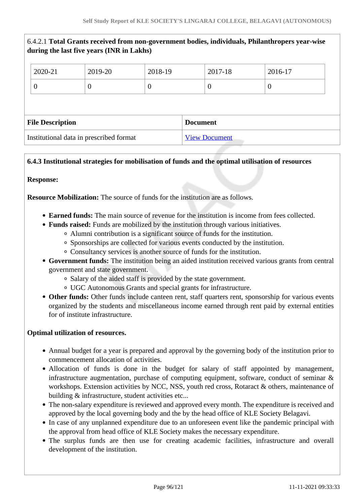|                                         | 6.4.2.1 Total Grants received from non-government bodies, individuals, Philanthropers year-wise<br>during the last five years (INR in Lakhs) |          |                 |                      |          |                  |
|-----------------------------------------|----------------------------------------------------------------------------------------------------------------------------------------------|----------|-----------------|----------------------|----------|------------------|
|                                         | 2020-21                                                                                                                                      | 2019-20  | 2018-19         |                      | 2017-18  | 2016-17          |
|                                         | $\overline{0}$                                                                                                                               | $\theta$ | $\theta$        |                      | $\theta$ | $\boldsymbol{0}$ |
|                                         |                                                                                                                                              |          |                 |                      |          |                  |
| <b>File Description</b>                 |                                                                                                                                              |          | <b>Document</b> |                      |          |                  |
| Institutional data in prescribed format |                                                                                                                                              |          |                 | <b>View Document</b> |          |                  |

# **6.4.3 Institutional strategies for mobilisation of funds and the optimal utilisation of resources**

# **Response:**

**Resource Mobilization:** The source of funds for the institution are as follows.

- **Earned funds:** The main source of revenue for the institution is income from fees collected.
- **Funds raised:** Funds are mobilized by the institution through various initiatives.
	- Alumni contribution is a significant source of funds for the institution.
	- Sponsorships are collected for various events conducted by the institution.
	- Consultancy services is another source of funds for the institution.
- **Government funds:** The institution being an aided institution received various grants from central government and state government.
	- Salary of the aided staff is provided by the state government.
	- UGC Autonomous Grants and special grants for infrastructure.
- **Other funds:** Other funds include canteen rent, staff quarters rent, sponsorship for various events organized by the students and miscellaneous income earned through rent paid by external entities for of institute infrastructure.

# **Optimal utilization of resources.**

- Annual budget for a year is prepared and approval by the governing body of the institution prior to commencement allocation of activities.
- Allocation of funds is done in the budget for salary of staff appointed by management, infrastructure augmentation, purchase of computing equipment, software, conduct of seminar & workshops. Extension activities by NCC, NSS, youth red cross, Rotaract & others, maintenance of building & infrastructure, student activities etc...
- The non-salary expenditure is reviewed and approved every month. The expenditure is received and approved by the local governing body and the by the head office of KLE Society Belagavi.
- In case of any unplanned expenditure due to an unforeseen event like the pandemic principal with the approval from head office of KLE Society makes the necessary expenditure.
- The surplus funds are then use for creating academic facilities, infrastructure and overall development of the institution.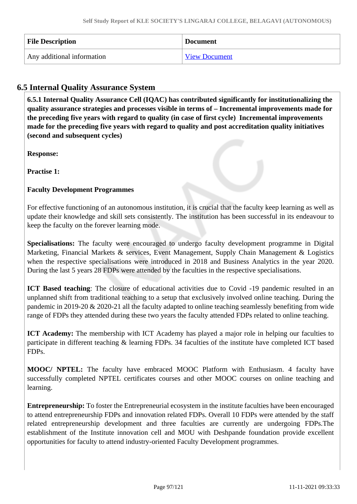| <b>File Description</b>    | <b>Document</b>      |
|----------------------------|----------------------|
| Any additional information | <b>View Document</b> |

# **6.5 Internal Quality Assurance System**

 **6.5.1 Internal Quality Assurance Cell (IQAC) has contributed significantly for institutionalizing the quality assurance strategies and processes visible in terms of – Incremental improvements made for the preceding five years with regard to quality (in case of first cycle) Incremental improvements made for the preceding five years with regard to quality and post accreditation quality initiatives (second and subsequent cycles)** 

**Response:** 

**Practise 1:**

# **Faculty Development Programmes**

For effective functioning of an autonomous institution, it is crucial that the faculty keep learning as well as update their knowledge and skill sets consistently. The institution has been successful in its endeavour to keep the faculty on the forever learning mode.

**Specialisations:** The faculty were encouraged to undergo faculty development programme in Digital Marketing, Financial Markets & services, Event Management, Supply Chain Management & Logistics when the respective specialisations were introduced in 2018 and Business Analytics in the year 2020. During the last 5 years 28 FDPs were attended by the faculties in the respective specialisations.

ICT Based teaching: The closure of educational activities due to Covid -19 pandemic resulted in an unplanned shift from traditional teaching to a setup that exclusively involved online teaching. During the pandemic in 2019-20 & 2020-21 all the faculty adapted to online teaching seamlessly benefiting from wide range of FDPs they attended during these two years the faculty attended FDPs related to online teaching.

**ICT Academy:** The membership with ICT Academy has played a major role in helping our faculties to participate in different teaching & learning FDPs. 34 faculties of the institute have completed ICT based FDPs.

**MOOC/ NPTEL:** The faculty have embraced MOOC Platform with Enthusiasm. 4 faculty have successfully completed NPTEL certificates courses and other MOOC courses on online teaching and learning.

**Entrepreneurship:** To foster the Entrepreneurial ecosystem in the institute faculties have been encouraged to attend entrepreneurship FDPs and innovation related FDPs. Overall 10 FDPs were attended by the staff related entrepreneurship development and three faculties are currently are undergoing FDPs.The establishment of the Institute innovation cell and MOU with Deshpande foundation provide excellent opportunities for faculty to attend industry-oriented Faculty Development programmes.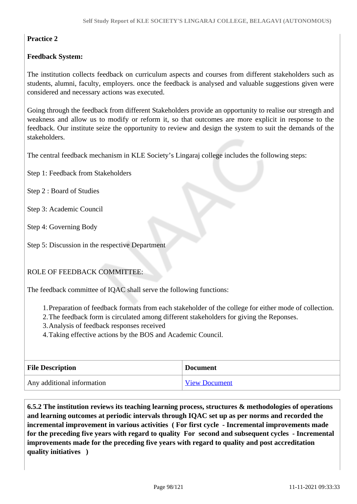# **Practice 2**

# **Feedback System:**

The institution collects feedback on curriculum aspects and courses from different stakeholders such as students, alumni, faculty, employers. once the feedback is analysed and valuable suggestions given were considered and necessary actions was executed.

Going through the feedback from different Stakeholders provide an opportunity to realise our strength and weakness and allow us to modify or reform it, so that outcomes are more explicit in response to the feedback. Our institute seize the opportunity to review and design the system to suit the demands of the stakeholders.

The central feedback mechanism in KLE Society's Lingaraj college includes the following steps:

Step 1: Feedback from Stakeholders

Step 2 : Board of Studies

Step 3: Academic Council

Step 4: Governing Body

Step 5: Discussion in the respective Department

# ROLE OF FEEDBACK COMMITTEE:

The feedback committee of IQAC shall serve the following functions:

1.Preparation of feedback formats from each stakeholder of the college for either mode of collection.

2.The feedback form is circulated among different stakeholders for giving the Reponses.

3.Analysis of feedback responses received

4.Taking effective actions by the BOS and Academic Council.

| <b>File Description</b>    | <b>Document</b>      |
|----------------------------|----------------------|
| Any additional information | <b>View Document</b> |

 **6.5.2 The institution reviews its teaching learning process, structures & methodologies of operations and learning outcomes at periodic intervals through IQAC set up as per norms and recorded the incremental improvement in various activities ( For first cycle - Incremental improvements made for the preceding five years with regard to quality For second and subsequent cycles - Incremental improvements made for the preceding five years with regard to quality and post accreditation quality initiatives )**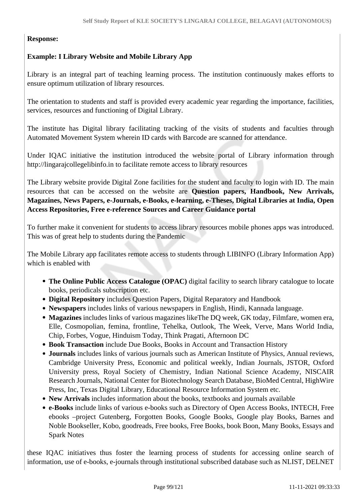# **Response:**

# **Example: I Library Website and Mobile Library App**

Library is an integral part of teaching learning process. The institution continuously makes efforts to ensure optimum utilization of library resources.

The orientation to students and staff is provided every academic year regarding the importance, facilities, services, resources and functioning of Digital Library.

The institute has Digital library facilitating tracking of the visits of students and faculties through Automated Movement System wherein ID cards with Barcode are scanned for attendance.

Under IQAC initiative the institution introduced the website portal of Library information through http://lingarajcollegelibinfo.in to facilitate remote access to library resources

The Library website provide Digital Zone facilities for the student and faculty to login with ID. The main resources that can be accessed on the website are **Question papers, Handbook, New Arrivals, Magazines, News Papers, e-Journals, e-Books, e-learning, e-Theses, Digital Libraries at India, Open Access Repositories, Free e-reference Sources and Career Guidance portal**

To further make it convenient for students to access library resources mobile phones apps was introduced. This was of great help to students during the Pandemic

The Mobile Library app facilitates remote access to students through LIBINFO (Library Information App) which is enabled with

- **The Online Public Access Catalogue (OPAC)** digital facility to search library catalogue to locate books, periodicals subscription etc.
- **Digital Repository** includes Question Papers, Digital Reparatory and Handbook
- **Newspapers** includes links of various newspapers in English, Hindi, Kannada language.
- **Magazines** includes links of various magazines likeThe DQ week, GK today, Filmfare, women era, Elle, Cosmopolian, femina, frontline, Tehelka, Outlook, The Week, Verve, Mans World India, Chip, Forbes, Vogue, Hinduism Today, Think Pragati, Afternoon DC
- **Book Transaction** include Due Books, Books in Account and Transaction History
- **Journals** includes links of various journals such as American Institute of Physics, Annual reviews, Cambridge University Press, Economic and political weekly, Indian Journals, JSTOR, Oxford University press, Royal Society of Chemistry, Indian National Science Academy, NISCAIR Research Journals, National Center for Biotechnology Search Database, BioMed Central, HighWire Press, Inc, Texas Digital Library, Educational Resource Information System etc.
- **New Arrivals** includes information about the books, textbooks and journals available
- **e-Books** include links of various e-books such as Directory of Open Access Books, INTECH, Free ebooks –project Gutenberg, Forgotten Books, Google Books, Google play Books, Barnes and Noble Bookseller, Kobo, goodreads, Free books, Free Books, book Boon, Many Books, Essays and Spark Notes

these IQAC initiatives thus foster the learning process of students for accessing online search of information, use of e-books, e-journals through institutional subscribed database such as NLIST, DELNET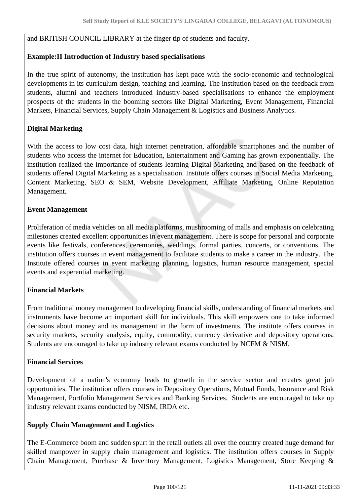and BRITISH COUNCIL LIBRARY at the finger tip of students and faculty.

# **Example:II Introduction of Industry based specialisations**

In the true spirit of autonomy, the institution has kept pace with the socio-economic and technological developments in its curriculum design, teaching and learning. The institution based on the feedback from students, alumni and teachers introduced industry-based specialisations to enhance the employment prospects of the students in the booming sectors like Digital Marketing, Event Management, Financial Markets, Financial Services, Supply Chain Management & Logistics and Business Analytics.

# **Digital Marketing**

With the access to low cost data, high internet penetration, affordable smartphones and the number of students who access the internet for Education, Entertainment and Gaming has grown exponentially. The institution realized the importance of students learning Digital Marketing and based on the feedback of students offered Digital Marketing as a specialisation. Institute offers courses in Social Media Marketing, Content Marketing, SEO & SEM, Website Development, Affiliate Marketing, Online Reputation Management.

# **Event Management**

Proliferation of media vehicles on all media platforms, mushrooming of malls and emphasis on celebrating milestones created excellent opportunities in event management. There is scope for personal and corporate events like festivals, conferences, ceremonies, weddings, formal parties, concerts, or conventions. The institution offers courses in event management to facilitate students to make a career in the industry. The Institute offered courses in event marketing planning, logistics, human resource management, special events and experential marketing.

# **Financial Markets**

From traditional money management to developing financial skills, understanding of financial markets and instruments have become an important skill for individuals. This skill empowers one to take informed decisions about money and its management in the form of investments. The institute offers courses in security markets, security analysis, equity, commodity, currency derivative and depository operations. Students are encouraged to take up industry relevant exams conducted by NCFM & NISM.

# **Financial Services**

Development of a nation's economy leads to growth in the service sector and creates great job opportunities. The institution offers courses in Depository Operations, Mutual Funds, Insurance and Risk Management, Portfolio Management Services and Banking Services. Students are encouraged to take up industry relevant exams conducted by NISM, IRDA etc.

# **Supply Chain Management and Logistics**

The E-Commerce boom and sudden spurt in the retail outlets all over the country created huge demand for skilled manpower in supply chain management and logistics. The institution offers courses in Supply Chain Management, Purchase & Inventory Management, Logistics Management, Store Keeping &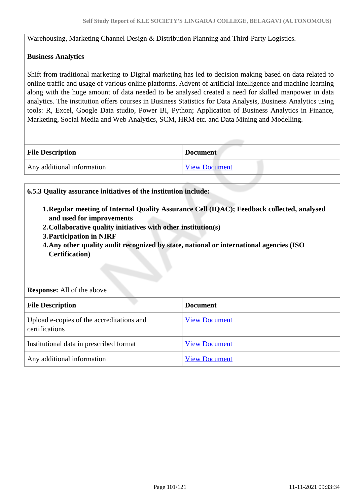Warehousing, Marketing Channel Design & Distribution Planning and Third-Party Logistics.

# **Business Analytics**

Shift from traditional marketing to Digital marketing has led to decision making based on data related to online traffic and usage of various online platforms. Advent of artificial intelligence and machine learning along with the huge amount of data needed to be analysed created a need for skilled manpower in data analytics. The institution offers courses in Business Statistics for Data Analysis, Business Analytics using tools: R, Excel, Google Data studio, Power BI, Python; Application of Business Analytics in Finance, Marketing, Social Media and Web Analytics, SCM, HRM etc. and Data Mining and Modelling.

| <b>File Description</b>    | <b>Document</b> |
|----------------------------|-----------------|
| Any additional information | View Document   |

### **6.5.3 Quality assurance initiatives of the institution include:**

- **1.Regular meeting of Internal Quality Assurance Cell (IQAC); Feedback collected, analysed and used for improvements**
- **2.Collaborative quality initiatives with other institution(s)**
- **3.Participation in NIRF**
- **4.Any other quality audit recognized by state, national or international agencies (ISO Certification)**

#### **Response:** All of the above

| <b>File Description</b>                                     | <b>Document</b>      |
|-------------------------------------------------------------|----------------------|
| Upload e-copies of the accreditations and<br>certifications | <b>View Document</b> |
| Institutional data in prescribed format                     | <b>View Document</b> |
| Any additional information                                  | <b>View Document</b> |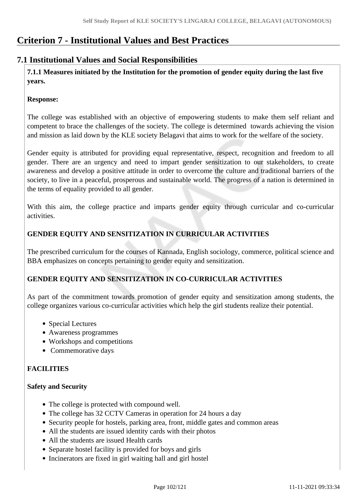# **Criterion 7 - Institutional Values and Best Practices**

# **7.1 Institutional Values and Social Responsibilities**

 **7.1.1 Measures initiated by the Institution for the promotion of gender equity during the last five years.**

# **Response:**

The college was established with an objective of empowering students to make them self reliant and competent to brace the challenges of the society. The college is determined towards achieving the vision and mission as laid down by the KLE society Belagavi that aims to work for the welfare of the society.

Gender equity is attributed for providing equal representative, respect, recognition and freedom to all gender. There are an urgency and need to impart gender sensitization to our stakeholders, to create awareness and develop a positive attitude in order to overcome the culture and traditional barriers of the society, to live in a peaceful, prosperous and sustainable world. The progress of a nation is determined in the terms of equality provided to all gender.

With this aim, the college practice and imparts gender equity through curricular and co-curricular activities.

# **GENDER EQUITY AND SENSITIZATION IN CURRICULAR ACTIVITIES**

The prescribed curriculum for the courses of Kannada, English sociology, commerce, political science and BBA emphasizes on concepts pertaining to gender equity and sensitization.

# **GENDER EQUITY AND SENSITIZATION IN CO-CURRICULAR ACTIVITIES**

As part of the commitment towards promotion of gender equity and sensitization among students, the college organizes various co-curricular activities which help the girl students realize their potential.

- Special Lectures
- Awareness programmes
- Workshops and competitions
- Commemorative days

# **FACILITIES**

# **Safety and Security**

- The college is protected with compound well.
- The college has 32 CCTV Cameras in operation for 24 hours a day
- Security people for hostels, parking area, front, middle gates and common areas
- All the students are issued identity cards with their photos
- All the students are issued Health cards
- Separate hostel facility is provided for boys and girls
- Incinerators are fixed in girl waiting hall and girl hostel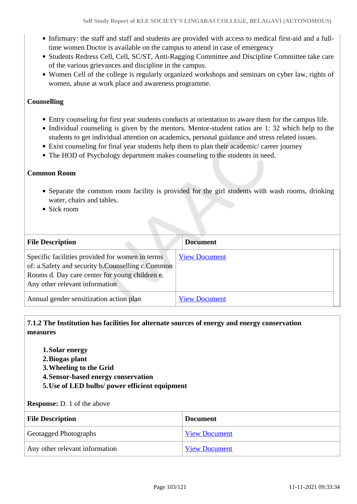- Infirmary: the staff and staff and students are provided with access to medical first-aid and a fulltime women Doctor is available on the campus to attend in case of emergency
- Students Redress Cell, Cell, SC/ST, Anti-Ragging Committee and Discipline Committee take care of the various grievances and discipline in the campus.
- Women Cell of the college is regularly organized workshops and seminars on cyber law, rights of women, abuse at work place and awareness programme.

# **Counselling**

- Entry counseling for first year students conducts at orientation to aware them for the campus life.
- Individual counseling is given by the mentors. Mentor-student ratios are 1: 32 which help to the students to get individual attention on academics, personal guidance and stress related issues.
- Exist counseling for final year students help them to plan their academic/ career journey
- The HOD of Psychology department makes counseling to the students in need.

### **Common Room**

- Separate the common room facility is provided for the girl students with wash rooms, drinking water, chairs and tables.
- Sick room

| <b>File Description</b>                                                                                                                                                                 | <b>Document</b>      |  |
|-----------------------------------------------------------------------------------------------------------------------------------------------------------------------------------------|----------------------|--|
| Specific facilities provided for women in terms<br>of: a.Safety and security b.Counselling c.Common<br>Rooms d. Day care center for young children e.<br>Any other relevant information | <b>View Document</b> |  |
| Annual gender sensitization action plan                                                                                                                                                 | <b>View Document</b> |  |

# **7.1.2 The Institution has facilities for alternate sources of energy and energy conservation measures**

- **1.Solar energy**
- **2.Biogas plant**
- **3.Wheeling to the Grid**
- **4.Sensor-based energy conservation**
- **5.Use of LED bulbs/ power efficient equipment**

#### **Response:** D. 1 of the above

| <b>File Description</b>        | <b>Document</b>      |
|--------------------------------|----------------------|
| <b>Geotagged Photographs</b>   | <b>View Document</b> |
| Any other relevant information | <b>View Document</b> |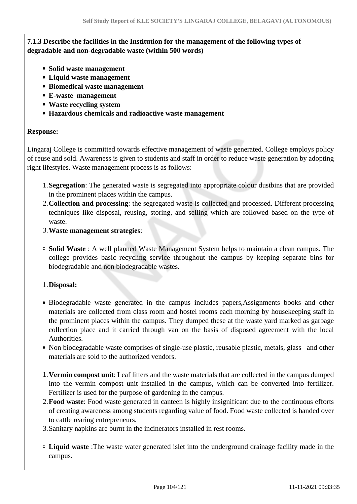# **7.1.3 Describe the facilities in the Institution for the management of the following types of degradable and non-degradable waste (within 500 words)**

- **Solid waste management**
- **Liquid waste management**
- **Biomedical waste management**
- **E-waste management**
- **Waste recycling system**
- **Hazardous chemicals and radioactive waste management**

### **Response:**

Lingaraj College is committed towards effective management of waste generated. College employs policy of reuse and sold. Awareness is given to students and staff in order to reduce waste generation by adopting right lifestyles. Waste management process is as follows:

- 1.**Segregation**: The generated waste is segregated into appropriate colour dustbins that are provided in the prominent places within the campus.
- 2.**Collection and processing**: the segregated waste is collected and processed. Different processing techniques like disposal, reusing, storing, and selling which are followed based on the type of waste.
- 3.**Waste management strategies**:
- **Solid Waste** : A well planned Waste Management System helps to maintain a clean campus. The college provides basic recycling service throughout the campus by keeping separate bins for biodegradable and non biodegradable wastes.

# 1.**Disposal:**

- Biodegradable waste generated in the campus includes papers,Assignments books and other materials are collected from class room and hostel rooms each morning by housekeeping staff in the prominent places within the campus. They dumped these at the waste yard marked as garbage collection place and it carried through van on the basis of disposed agreement with the local Authorities.
- Non biodegradable waste comprises of single-use plastic, reusable plastic, metals, glass and other materials are sold to the authorized vendors.
- 1.**Vermin compost unit**: Leaf litters and the waste materials that are collected in the campus dumped into the vermin compost unit installed in the campus, which can be converted into fertilizer. Fertilizer is used for the purpose of gardening in the campus.
- 2.**Food waste**: Food waste generated in canteen is highly insignificant due to the continuous efforts of creating awareness among students regarding value of food. Food waste collected is handed over to cattle rearing entrepreneurs.
- 3.Sanitary napkins are burnt in the incinerators installed in rest rooms.
- **Liquid waste** :The waste water generated islet into the underground drainage facility made in the campus.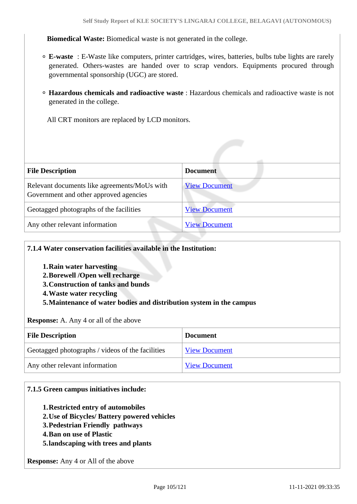**Biomedical Waste:** Biomedical waste is not generated in the college.

- **E-waste** : E-Waste like computers, printer cartridges, wires, batteries, bulbs tube lights are rarely generated. Others-wastes are handed over to scrap vendors. Equipments procured through governmental sponsorship (UGC) are stored.
- **Hazardous chemicals and radioactive waste** : Hazardous chemicals and radioactive waste is not generated in the college.
	- All CRT monitors are replaced by LCD monitors.

| <b>File Description</b>                                                                | <b>Document</b>      |
|----------------------------------------------------------------------------------------|----------------------|
| Relevant documents like agreements/MoUs with<br>Government and other approved agencies | <b>View Document</b> |
| Geotagged photographs of the facilities                                                | <b>View Document</b> |
| Any other relevant information                                                         | <b>View Document</b> |

### **7.1.4 Water conservation facilities available in the Institution:**

- **1.Rain water harvesting**
- **2.Borewell /Open well recharge**
- **3.Construction of tanks and bunds**
- **4.Waste water recycling**
- **5.Maintenance of water bodies and distribution system in the campus**

**Response:** A. Any 4 or all of the above

| <b>File Description</b>                          | <b>Document</b>      |
|--------------------------------------------------|----------------------|
| Geotagged photographs / videos of the facilities | <b>View Document</b> |
| Any other relevant information                   | <b>View Document</b> |

#### **7.1.5 Green campus initiatives include:**

- **1.Restricted entry of automobiles**
- **2.Use of Bicycles/ Battery powered vehicles**
- **3.Pedestrian Friendly pathways**
- **4.Ban on use of Plastic**
- **5.landscaping with trees and plants**

**Response:** Any 4 or All of the above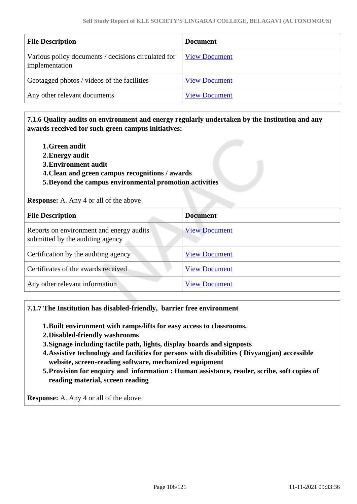| <b>File Description</b>                                               | <b>Document</b>      |
|-----------------------------------------------------------------------|----------------------|
| Various policy documents / decisions circulated for<br>implementation | <b>View Document</b> |
| Geotagged photos / videos of the facilities                           | <b>View Document</b> |
| Any other relevant documents                                          | <b>View Document</b> |

# **7.1.6 Quality audits on environment and energy regularly undertaken by the Institution and any awards received for such green campus initiatives:**

- **1.Green audit**
- **2.Energy audit**
- **3.Environment audit**
- **4.Clean and green campus recognitions / awards**
- **5.Beyond the campus environmental promotion activities**

**Response:** A. Any 4 or all of the above

| <b>File Description</b>                                                      | <b>Document</b>      |
|------------------------------------------------------------------------------|----------------------|
| Reports on environment and energy audits<br>submitted by the auditing agency | <b>View Document</b> |
| Certification by the auditing agency                                         | <b>View Document</b> |
| Certificates of the awards received                                          | <b>View Document</b> |
| Any other relevant information                                               | <b>View Document</b> |

#### **7.1.7 The Institution has disabled-friendly, barrier free environment**

- **1.Built environment with ramps/lifts for easy access to classrooms.**
- **2.Disabled-friendly washrooms**
- **3.Signage including tactile path, lights, display boards and signposts**
- **4.Assistive technology and facilities for persons with disabilities ( Divyangjan) accessible website, screen-reading software, mechanized equipment**
- **5.Provision for enquiry and information : Human assistance, reader, scribe, soft copies of reading material, screen reading**

**Response:** A. Any 4 or all of the above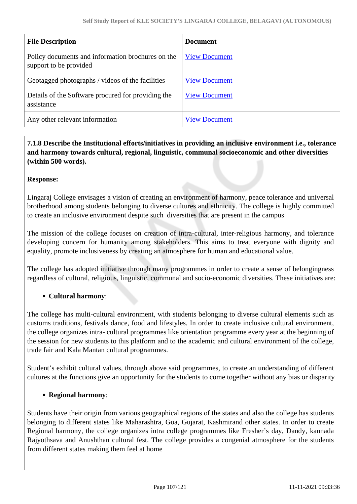| <b>File Description</b>                                                     | <b>Document</b>      |
|-----------------------------------------------------------------------------|----------------------|
| Policy documents and information brochures on the<br>support to be provided | <b>View Document</b> |
| Geotagged photographs / videos of the facilities                            | <b>View Document</b> |
| Details of the Software procured for providing the<br>assistance            | <b>View Document</b> |
| Any other relevant information                                              | <b>View Document</b> |

 **7.1.8 Describe the Institutional efforts/initiatives in providing an inclusive environment i.e., tolerance and harmony towards cultural, regional, linguistic, communal socioeconomic and other diversities (within 500 words).**

# **Response:**

Lingaraj College envisages a vision of creating an environment of harmony, peace tolerance and universal brotherhood among students belonging to diverse cultures and ethnicity. The college is highly committed to create an inclusive environment despite such diversities that are present in the campus

The mission of the college focuses on creation of intra-cultural, inter-religious harmony, and tolerance developing concern for humanity among stakeholders. This aims to treat everyone with dignity and equality, promote inclusiveness by creating an atmosphere for human and educational value.

The college has adopted initiative through many programmes in order to create a sense of belongingness regardless of cultural, religious, linguistic, communal and socio-economic diversities. These initiatives are:

# **Cultural harmony**:

The college has multi-cultural environment, with students belonging to diverse cultural elements such as customs traditions, festivals dance, food and lifestyles. In order to create inclusive cultural environment, the college organizes intra- cultural programmes like orientation programme every year at the beginning of the session for new students to this platform and to the academic and cultural environment of the college, trade fair and Kala Mantan cultural programmes.

Student's exhibit cultural values, through above said programmes, to create an understanding of different cultures at the functions give an opportunity for the students to come together without any bias or disparity

# **Regional harmony**:

Students have their origin from various geographical regions of the states and also the college has students belonging to different states like Maharashtra, Goa, Gujarat, Kashmirand other states. In order to create Regional harmony, the college organizes intra college programmes like Fresher's day, Dandy, kannada Rajyothsava and Anushthan cultural fest. The college provides a congenial atmosphere for the students from different states making them feel at home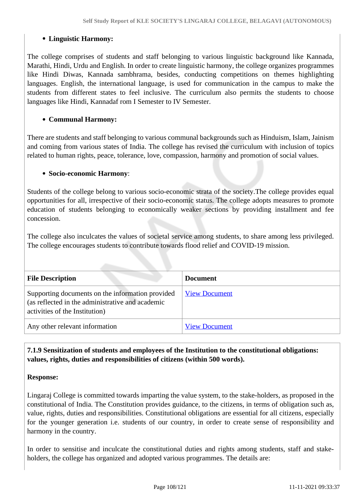# **Linguistic Harmony:**

The college comprises of students and staff belonging to various linguistic background like Kannada, Marathi, Hindi, Urdu and English. In order to create linguistic harmony, the college organizes programmes like Hindi Diwas, Kannada sambhrama, besides, conducting competitions on themes highlighting languages. English, the international language, is used for communication in the campus to make the students from different states to feel inclusive. The curriculum also permits the students to choose languages like Hindi, Kannadaf rom I Semester to IV Semester.

# **Communal Harmony:**

There are students and staff belonging to various communal backgrounds such as Hinduism, Islam, Jainism and coming from various states of India. The college has revised the curriculum with inclusion of topics related to human rights, peace, tolerance, love, compassion, harmony and promotion of social values.

# **Socio-economic Harmony**:

Students of the college belong to various socio-economic strata of the society.The college provides equal opportunities for all, irrespective of their socio-economic status. The college adopts measures to promote education of students belonging to economically weaker sections by providing installment and fee concession.

The college also inculcates the values of societal service among students, to share among less privileged. The college encourages students to contribute towards flood relief and COVID-19 mission.

| <b>File Description</b>                                                                                                                | <b>Document</b>      |
|----------------------------------------------------------------------------------------------------------------------------------------|----------------------|
| Supporting documents on the information provided<br>(as reflected in the administrative and academic<br>activities of the Institution) | <b>View Document</b> |
| Any other relevant information                                                                                                         | <b>View Document</b> |

# **7.1.9 Sensitization of students and employees of the Institution to the constitutional obligations: values, rights, duties and responsibilities of citizens (within 500 words).**

# **Response:**

Lingaraj College is committed towards imparting the value system, to the stake-holders, as proposed in the constitutional of India. The Constitution provides guidance, to the citizens, in terms of obligation such as, value, rights, duties and responsibilities. Constitutional obligations are essential for all citizens, especially for the younger generation i.e. students of our country, in order to create sense of responsibility and harmony in the country.

In order to sensitise and inculcate the constitutional duties and rights among students, staff and stakeholders, the college has organized and adopted various programmes. The details are: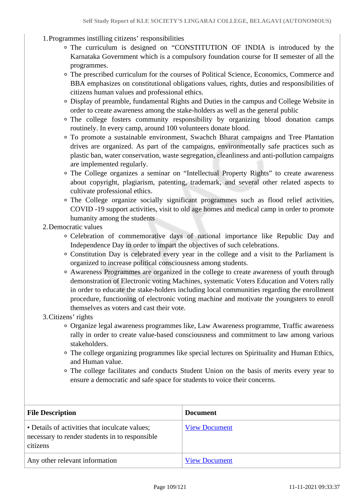- 1.Programmes instilling citizens' responsibilities
	- The curriculum is designed on "CONSTITUTION OF INDIA is introduced by the Karnataka Government which is a compulsory foundation course for II semester of all the programmes.
	- The prescribed curriculum for the courses of Political Science, Economics, Commerce and BBA emphasizes on constitutional obligations values, rights, duties and responsibilities of citizens human values and professional ethics.
	- Display of preamble, fundamental Rights and Duties in the campus and College Website in order to create awareness among the stake-holders as well as the general public
	- The college fosters community responsibility by organizing blood donation camps routinely. In every camp, around 100 volunteers donate blood.
	- To promote a sustainable environment, Swachch Bharat campaigns and Tree Plantation drives are organized. As part of the campaigns, environmentally safe practices such as plastic ban, water conservation, waste segregation, cleanliness and anti-pollution campaigns are implemented regularly.
	- The College organizes a seminar on "Intellectual Property Rights" to create awareness about copyright, plagiarism, patenting, trademark, and several other related aspects to cultivate professional ethics.
	- The College organize socially significant programmes such as flood relief activities, COVID -19 support activities, visit to old age homes and medical camp in order to promote humanity among the students
- 2.Democratic values
	- Celebration of commemorative days of national importance like Republic Day and Independence Day in order to impart the objectives of such celebrations.
	- Constitution Day is celebrated every year in the college and a visit to the Parliament is organized to increase political consciousness among students.
	- Awareness Programmes are organized in the college to create awareness of youth through demonstration of Electronic voting Machines, systematic Voters Education and Voters rally in order to educate the stake-holders including local communities regarding the enrollment procedure, functioning of electronic voting machine and motivate the youngsters to enroll themselves as voters and cast their vote.
- 3.Citizens' rights
	- Organize legal awareness programmes like, Law Awareness programme, Traffic awareness rally in order to create value-based consciousness and commitment to law among various stakeholders.
	- The college organizing programmes like special lectures on Spirituality and Human Ethics, and Human value.
	- The college facilitates and conducts Student Union on the basis of merits every year to ensure a democratic and safe space for students to voice their concerns.

| <b>File Description</b>                                                                                      | <b>Document</b>      |
|--------------------------------------------------------------------------------------------------------------|----------------------|
| • Details of activities that inculcate values;<br>necessary to render students in to responsible<br>citizens | <b>View Document</b> |
| Any other relevant information                                                                               | <b>View Document</b> |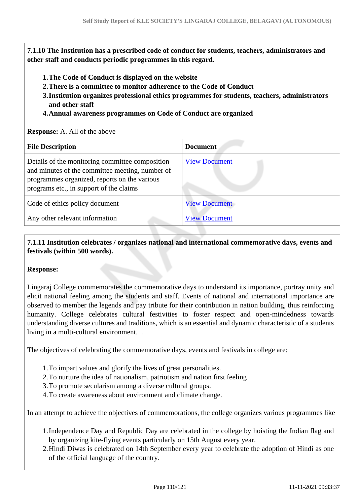**7.1.10 The Institution has a prescribed code of conduct for students, teachers, administrators and other staff and conducts periodic programmes in this regard.** 

- **1.The Code of Conduct is displayed on the website**
- **2.There is a committee to monitor adherence to the Code of Conduct**
- **3.Institution organizes professional ethics programmes for students, teachers, administrators and other staff**
- **4.Annual awareness programmes on Code of Conduct are organized**

#### **Response:** A. All of the above

| <b>File Description</b>                                                                                                                                                                       | <b>Document</b>      |
|-----------------------------------------------------------------------------------------------------------------------------------------------------------------------------------------------|----------------------|
| Details of the monitoring committee composition<br>and minutes of the committee meeting, number of<br>programmes organized, reports on the various<br>programs etc., in support of the claims | <b>View Document</b> |
| Code of ethics policy document                                                                                                                                                                | <b>View Document</b> |
| Any other relevant information                                                                                                                                                                | <b>View Document</b> |

### **7.1.11 Institution celebrates / organizes national and international commemorative days, events and festivals (within 500 words).**

#### **Response:**

Lingaraj College commemorates the commemorative days to understand its importance, portray unity and elicit national feeling among the students and staff. Events of national and international importance are observed to member the legends and pay tribute for their contribution in nation building, thus reinforcing humanity. College celebrates cultural festivities to foster respect and open-mindedness towards understanding diverse cultures and traditions, which is an essential and dynamic characteristic of a students living in a multi-cultural environment. .

The objectives of celebrating the commemorative days, events and festivals in college are:

- 1.To impart values and glorify the lives of great personalities.
- 2.To nurture the idea of nationalism, patriotism and nation first feeling
- 3.To promote secularism among a diverse cultural groups.
- 4.To create awareness about environment and climate change.

In an attempt to achieve the objectives of commemorations, the college organizes various programmes like

- 1.Independence Day and Republic Day are celebrated in the college by hoisting the Indian flag and by organizing kite-flying events particularly on 15th August every year.
- 2.Hindi Diwas is celebrated on 14th September every year to celebrate the adoption of Hindi as one of the official language of the country.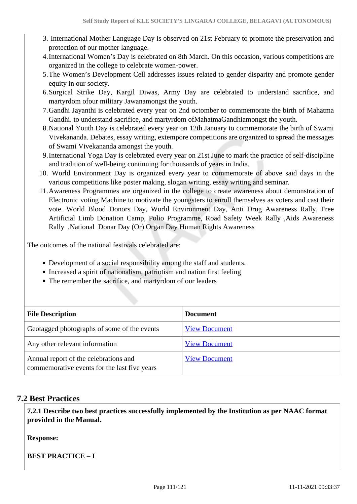- 3. International Mother Language Day is observed on 21st February to promote the preservation and protection of our mother language.
- 4.International Women's Day is celebrated on 8th March. On this occasion, various competitions are organized in the college to celebrate women-power.
- 5.The Women's Development Cell addresses issues related to gender disparity and promote gender equity in our society.
- 6.Surgical Strike Day, Kargil Diwas, Army Day are celebrated to understand sacrifice, and martyrdom ofour military Jawanamongst the youth.
- 7.Gandhi Jayanthi is celebrated every year on 2nd octomber to commemorate the birth of Mahatma Gandhi. to understand sacrifice, and martyrdom ofMahatmaGandhiamongst the youth.
- 8.National Youth Day is celebrated every year on 12th January to commemorate the birth of Swami Vivekananda. Debates, essay writing, extempore competitions are organized to spread the messages of Swami Vivekananda amongst the youth.
- 9.International Yoga Day is celebrated every year on 21st June to mark the practice of self-discipline and tradition of well-being continuing for thousands of years in India.
- 10. World Environment Day is organized every year to commemorate of above said days in the various competitions like poster making, slogan writing, essay writing and seminar.
- 11.Awareness Programmes are organized in the college to create awareness about demonstration of Electronic voting Machine to motivate the youngsters to enroll themselves as voters and cast their vote. World Blood Donors Day, World Environment Day, Anti Drug Awareness Rally, Free Artificial Limb Donation Camp, Polio Programme, Road Safety Week Rally ,Aids Awareness Rally ,National Donar Day (Or) Organ Day Human Rights Awareness

The outcomes of the national festivals celebrated are:

- Development of a social responsibility among the staff and students.
- Increased a spirit of nationalism, patriotism and nation first feeling
- The remember the sacrifice, and martyrdom of our leaders

| <b>File Description</b>                                                               | <b>Document</b>      |
|---------------------------------------------------------------------------------------|----------------------|
| Geotagged photographs of some of the events                                           | <b>View Document</b> |
| Any other relevant information                                                        | <b>View Document</b> |
| Annual report of the celebrations and<br>commemorative events for the last five years | <b>View Document</b> |

#### **7.2 Best Practices**

 **7.2.1 Describe two best practices successfully implemented by the Institution as per NAAC format provided in the Manual.**

**Response:** 

**BEST PRACTICE – I**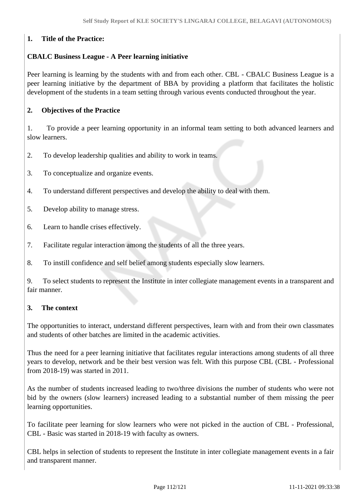# **1. Title of the Practice:**

# **CBALC Business League - A Peer learning initiative**

Peer learning is learning by the students with and from each other. CBL - CBALC Business League is a peer learning initiative by the department of BBA by providing a platform that facilitates the holistic development of the students in a team setting through various events conducted throughout the year.

### **2. Objectives of the Practice**

1. To provide a peer learning opportunity in an informal team setting to both advanced learners and slow learners.

- 2. To develop leadership qualities and ability to work in teams.
- 3. To conceptualize and organize events.
- 4. To understand different perspectives and develop the ability to deal with them.
- 5. Develop ability to manage stress.
- 6. Learn to handle crises effectively.
- 7. Facilitate regular interaction among the students of all the three years.
- 8. To instill confidence and self belief among students especially slow learners.

9. To select students to represent the Institute in inter collegiate management events in a transparent and fair manner.

#### **3. The context**

The opportunities to interact, understand different perspectives, learn with and from their own classmates and students of other batches are limited in the academic activities.

Thus the need for a peer learning initiative that facilitates regular interactions among students of all three years to develop, network and be their best version was felt. With this purpose CBL (CBL - Professional from 2018-19) was started in 2011.

As the number of students increased leading to two/three divisions the number of students who were not bid by the owners (slow learners) increased leading to a substantial number of them missing the peer learning opportunities.

To facilitate peer learning for slow learners who were not picked in the auction of CBL - Professional, CBL - Basic was started in 2018-19 with faculty as owners.

CBL helps in selection of students to represent the Institute in inter collegiate management events in a fair and transparent manner.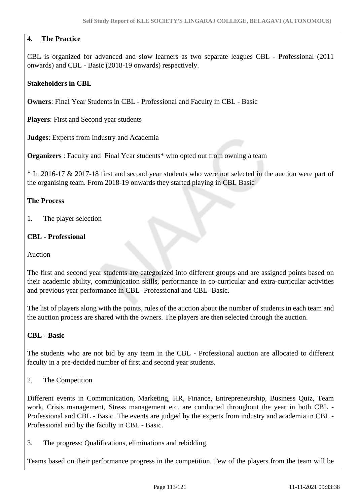# **4. The Practice**

CBL is organized for advanced and slow learners as two separate leagues CBL - Professional (2011 onwards) and CBL - Basic (2018-19 onwards) respectively.

# **Stakeholders in CBL**

**Owners**: Final Year Students in CBL - Professional and Faculty in CBL - Basic

**Players**: First and Second year students

**Judges**: Experts from Industry and Academia

**Organizers** : Faculty and Final Year students\* who opted out from owning a team

\* In 2016-17 & 2017-18 first and second year students who were not selected in the auction were part of the organising team. From 2018-19 onwards they started playing in CBL Basic

#### **The Process**

1. The player selection

#### **CBL - Professional**

Auction

The first and second year students are categorized into different groups and are assigned points based on their academic ability, communication skills, performance in co-curricular and extra-curricular activities and previous year performance in CBL- Professional and CBL- Basic.

The list of players along with the points, rules of the auction about the number of students in each team and the auction process are shared with the owners. The players are then selected through the auction.

#### **CBL - Basic**

The students who are not bid by any team in the CBL - Professional auction are allocated to different faculty in a pre-decided number of first and second year students.

2. The Competition

Different events in Communication, Marketing, HR, Finance, Entrepreneurship, Business Quiz, Team work, Crisis management, Stress management etc. are conducted throughout the year in both CBL - Professional and CBL - Basic. The events are judged by the experts from industry and academia in CBL - Professional and by the faculty in CBL - Basic.

3. The progress: Qualifications, eliminations and rebidding.

Teams based on their performance progress in the competition. Few of the players from the team will be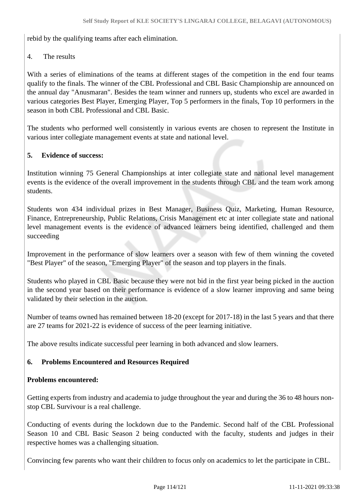rebid by the qualifying teams after each elimination.

4. The results

With a series of eliminations of the teams at different stages of the competition in the end four teams qualify to the finals. The winner of the CBL Professional and CBL Basic Championship are announced on the annual day "Anusmaran". Besides the team winner and runners up, students who excel are awarded in various categories Best Player, Emerging Player, Top 5 performers in the finals, Top 10 performers in the season in both CBL Professional and CBL Basic.

The students who performed well consistently in various events are chosen to represent the Institute in various inter collegiate management events at state and national level.

### **5. Evidence of success:**

Institution winning 75 General Championships at inter collegiate state and national level management events is the evidence of the overall improvement in the students through CBL and the team work among students.

Students won 434 individual prizes in Best Manager, Business Quiz, Marketing, Human Resource, Finance, Entrepreneurship, Public Relations, Crisis Management etc at inter collegiate state and national level management events is the evidence of advanced learners being identified, challenged and them succeeding

Improvement in the performance of slow learners over a season with few of them winning the coveted "Best Player" of the season, "Emerging Player" of the season and top players in the finals.

Students who played in CBL Basic because they were not bid in the first year being picked in the auction in the second year based on their performance is evidence of a slow learner improving and same being validated by their selection in the auction.

Number of teams owned has remained between 18-20 (except for 2017-18) in the last 5 years and that there are 27 teams for 2021-22 is evidence of success of the peer learning initiative.

The above results indicate successful peer learning in both advanced and slow learners.

# **6. Problems Encountered and Resources Required**

#### **Problems encountered:**

Getting experts from industry and academia to judge throughout the year and during the 36 to 48 hours nonstop CBL Survivour is a real challenge.

Conducting of events during the lockdown due to the Pandemic. Second half of the CBL Professional Season 10 and CBL Basic Season 2 being conducted with the faculty, students and judges in their respective homes was a challenging situation.

Convincing few parents who want their children to focus only on academics to let the participate in CBL.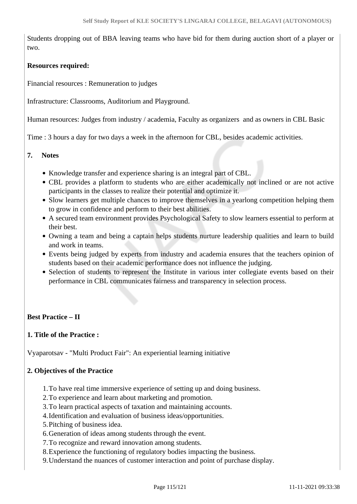Students dropping out of BBA leaving teams who have bid for them during auction short of a player or two.

#### **Resources required:**

Financial resources : Remuneration to judges

Infrastructure: Classrooms, Auditorium and Playground.

Human resources: Judges from industry / academia, Faculty as organizers and as owners in CBL Basic

Time : 3 hours a day for two days a week in the afternoon for CBL, besides academic activities.

#### **7. Notes**

- Knowledge transfer and experience sharing is an integral part of CBL.
- CBL provides a platform to students who are either academically not inclined or are not active participants in the classes to realize their potential and optimize it.
- Slow learners get multiple chances to improve themselves in a yearlong competition helping them to grow in confidence and perform to their best abilities.
- A secured team environment provides Psychological Safety to slow learners essential to perform at their best.
- Owning a team and being a captain helps students nurture leadership qualities and learn to build and work in teams.
- Events being judged by experts from industry and academia ensures that the teachers opinion of students based on their academic performance does not influence the judging.
- Selection of students to represent the Institute in various inter collegiate events based on their performance in CBL communicates fairness and transparency in selection process.

#### **Best Practice – II**

#### **1. Title of the Practice :**

Vyaparotsav - "Multi Product Fair": An experiential learning initiative

#### **2. Objectives of the Practice**

- 1.To have real time immersive experience of setting up and doing business.
- 2.To experience and learn about marketing and promotion.
- 3.To learn practical aspects of taxation and maintaining accounts.
- 4.Identification and evaluation of business ideas/opportunities.
- 5.Pitching of business idea.
- 6.Generation of ideas among students through the event.
- 7.To recognize and reward innovation among students.
- 8.Experience the functioning of regulatory bodies impacting the business.
- 9.Understand the nuances of customer interaction and point of purchase display.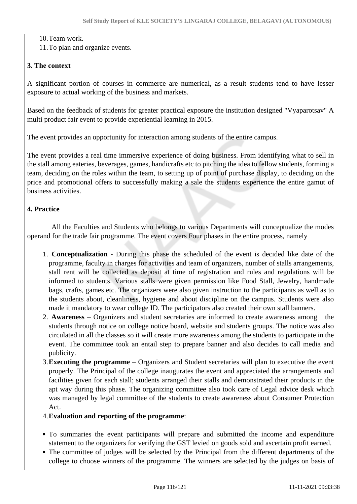10.Team work.

11.To plan and organize events.

### **3. The context**

A significant portion of courses in commerce are numerical, as a result students tend to have lesser exposure to actual working of the business and markets.

Based on the feedback of students for greater practical exposure the institution designed "Vyaparotsav" A multi product fair event to provide experiential learning in 2015.

The event provides an opportunity for interaction among students of the entire campus.

The event provides a real time immersive experience of doing business. From identifying what to sell in the stall among eateries, beverages, games, handicrafts etc to pitching the idea to fellow students, forming a team, deciding on the roles within the team, to setting up of point of purchase display, to deciding on the price and promotional offers to successfully making a sale the students experience the entire gamut of business activities.

### **4. Practice**

 All the Faculties and Students who belongs to various Departments will conceptualize the modes operand for the trade fair programme. The event covers Four phases in the entire process, namely

- 1. **Conceptualization** During this phase the scheduled of the event is decided like date of the programme, faculty in charges for activities and team of organizers, number of stalls arrangements, stall rent will be collected as deposit at time of registration and rules and regulations will be informed to students. Various stalls were given permission like Food Stall, Jewelry, handmade bags, crafts, games etc. The organizers were also given instruction to the participants as well as to the students about, cleanliness, hygiene and about discipline on the campus. Students were also made it mandatory to wear college ID. The participators also created their own stall banners.
- 2. **Awareness** Organizers and student secretaries are informed to create awareness among the students through notice on college notice board, website and students groups. The notice was also circulated in all the classes so it will create more awareness among the students to participate in the event. The committee took an entail step to prepare banner and also decides to call media and publicity.
- 3.**Executing the programme** Organizers and Student secretaries will plan to executive the event properly. The Principal of the college inaugurates the event and appreciated the arrangements and facilities given for each stall; students arranged their stalls and demonstrated their products in the apt way during this phase. The organizing committee also took care of Legal advice desk which was managed by legal committee of the students to create awareness about Consumer Protection Act.
- 4.**Evaluation and reporting of the programme**:
- To summaries the event participants will prepare and submitted the income and expenditure statement to the organizers for verifying the GST levied on goods sold and ascertain profit earned.
- The committee of judges will be selected by the Principal from the different departments of the college to choose winners of the programme. The winners are selected by the judges on basis of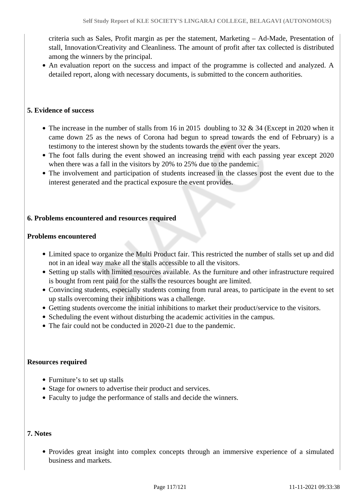criteria such as Sales, Profit margin as per the statement, Marketing – Ad-Made, Presentation of stall, Innovation/Creativity and Cleanliness. The amount of profit after tax collected is distributed among the winners by the principal.

An evaluation report on the success and impact of the programme is collected and analyzed. A detailed report, along with necessary documents, is submitted to the concern authorities.

#### **5. Evidence of success**

- The increase in the number of stalls from 16 in 2015 doubling to 32  $\&$  34 (Except in 2020 when it came down 25 as the news of Corona had begun to spread towards the end of February) is a testimony to the interest shown by the students towards the event over the years.
- The foot falls during the event showed an increasing trend with each passing year except 2020 when there was a fall in the visitors by 20% to 25% due to the pandemic.
- The involvement and participation of students increased in the classes post the event due to the interest generated and the practical exposure the event provides.

#### **6. Problems encountered and resources required**

#### **Problems encountered**

- Limited space to organize the Multi Product fair. This restricted the number of stalls set up and did not in an ideal way make all the stalls accessible to all the visitors.
- Setting up stalls with limited resources available. As the furniture and other infrastructure required is bought from rent paid for the stalls the resources bought are limited.
- Convincing students, especially students coming from rural areas, to participate in the event to set up stalls overcoming their inhibitions was a challenge.
- Getting students overcome the initial inhibitions to market their product/service to the visitors.
- Scheduling the event without disturbing the academic activities in the campus.
- The fair could not be conducted in 2020-21 due to the pandemic.

#### **Resources required**

- Furniture's to set up stalls
- Stage for owners to advertise their product and services.
- Faculty to judge the performance of stalls and decide the winners.

#### **7. Notes**

Provides great insight into complex concepts through an immersive experience of a simulated business and markets.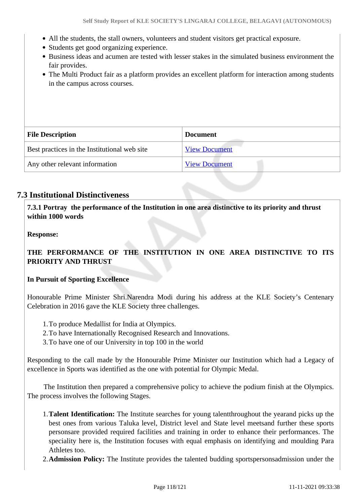- All the students, the stall owners, volunteers and student visitors get practical exposure.
- Students get good organizing experience.
- Business ideas and acumen are tested with lesser stakes in the simulated business environment the fair provides.
- The Multi Product fair as a platform provides an excellent platform for interaction among students in the campus across courses.

| <b>File Description</b>                      | <b>Document</b>      |
|----------------------------------------------|----------------------|
| Best practices in the Institutional web site | <b>View Document</b> |
| Any other relevant information               | <b>View Document</b> |

# **7.3 Institutional Distinctiveness**

 **7.3.1 Portray the performance of the Institution in one area distinctive to its priority and thrust within 1000 words**

**Response:** 

**THE PERFORMANCE OF THE INSTITUTION IN ONE AREA DISTINCTIVE TO ITS PRIORITY AND THRUST**

#### **In Pursuit of Sporting Excellence**

Honourable Prime Minister Shri.Narendra Modi during his address at the KLE Society's Centenary Celebration in 2016 gave the KLE Society three challenges.

- 1.To produce Medallist for India at Olympics.
- 2.To have Internationally Recognised Research and Innovations.
- 3.To have one of our University in top 100 in the world

Responding to the call made by the Honourable Prime Minister our Institution which had a Legacy of excellence in Sports was identified as the one with potential for Olympic Medal.

 The Institution then prepared a comprehensive policy to achieve the podium finish at the Olympics. The process involves the following Stages.

- 1.**Talent Identification:** The Institute searches for young talentthroughout the yearand picks up the best ones from various Taluka level, District level and State level meetsand further these sports personsare provided required facilities and training in order to enhance their performances. The speciality here is, the Institution focuses with equal emphasis on identifying and moulding Para Athletes too.
- 2.**Admission Policy:** The Institute provides the talented budding sportspersonsadmission under the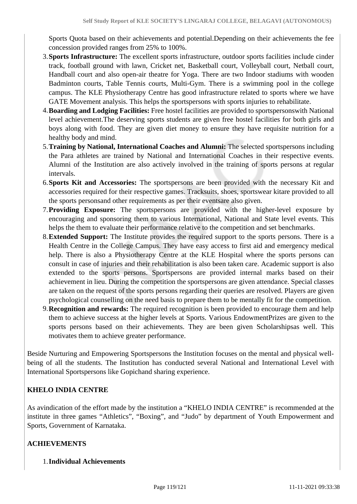Sports Quota based on their achievements and potential.Depending on their achievements the fee concession provided ranges from 25% to 100%.

- 3.**Sports Infrastructure:** The excellent sports infrastructure, outdoor sports facilities include cinder track, football ground with lawn, Cricket net, Basketball court, Volleyball court, Netball court, Handball court and also open-air theatre for Yoga. There are two Indoor stadiums with wooden Badminton courts, Table Tennis courts, Multi-Gym. There is a swimming pool in the college campus. The KLE Physiotherapy Centre has good infrastructure related to sports where we have GATE Movement analysis. This helps the sportspersons with sports injuries to rehabilitate.
- 4.**Boarding and Lodging Facilities:** Free hostel facilities are provided to sportspersonswith National level achievement.The deserving sports students are given free hostel facilities for both girls and boys along with food. They are given diet money to ensure they have requisite nutrition for a healthy body and mind.
- 5.**Training by National, International Coaches and Alumni:** The selected sportspersons including the Para athletes are trained by National and International Coaches in their respective events. Alumni of the Institution are also actively involved in the training of sports persons at regular intervals.
- 6.**Sports Kit and Accessories:** The sportspersons are been provided with the necessary Kit and accessories required for their respective games. Tracksuits, shoes, sportswear kitare provided to all the sports personsand other requirements as per their eventsare also given.
- 7.**Providing Exposure:** The sportspersons are provided with the higher-level exposure by encouraging and sponsoring them to various International, National and State level events. This helps the them to evaluate their performance relative to the competition and set benchmarks.
- 8.**Extended Support:** The Institute provides the required support to the sports persons. There is a Health Centre in the College Campus. They have easy access to first aid and emergency medical help. There is also a Physiotherapy Centre at the KLE Hospital where the sports persons can consult in case of injuries and their rehabilitation is also been taken care. Academic support is also extended to the sports persons. Sportspersons are provided internal marks based on their achievement in lieu. During the competition the sportspersons are given attendance. Special classes are taken on the request of the sports persons regarding their queries are resolved. Players are given psychological counselling on the need basis to prepare them to be mentally fit for the competition.
- 9.**Recognition and rewards:** The required recognition is been provided to encourage them and help them to achieve success at the higher levels at Sports. Various EndowmentPrizes are given to the sports persons based on their achievements. They are been given Scholarshipsas well. This motivates them to achieve greater performance.

Beside Nurturing and Empowering Sportspersons the Institution focuses on the mental and physical wellbeing of all the students. The Institution has conducted several National and International Level with International Sportspersons like Gopichand sharing experience.

# **KHELO INDIA CENTRE**

As avindication of the effort made by the institution a "KHELO INDIA CENTRE" is recommended at the institute in three games "Athletics", "Boxing", and "Judo" by department of Youth Empowerment and Sports, Government of Karnataka.

# **ACHIEVEMENTS**

1.**Individual Achievements**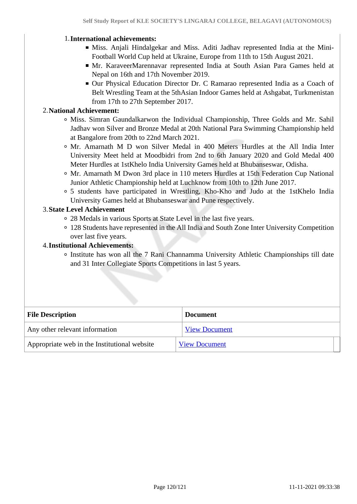#### 1.**International achievements:**

- Miss. Anjali Hindalgekar and Miss. Aditi Jadhav represented India at the Mini-Football World Cup held at Ukraine, Europe from 11th to 15th August 2021.
- Mr. KaraveerMarennavar represented India at South Asian Para Games held at Nepal on 16th and 17th November 2019.
- Our Physical Education Director Dr. C Ramarao represented India as a Coach of Belt Wrestling Team at the 5thAsian Indoor Games held at Ashgabat, Turkmenistan from 17th to 27th September 2017.

#### 2.**National Achievement:**

- Miss. Simran Gaundalkarwon the Individual Championship, Three Golds and Mr. Sahil Jadhav won Silver and Bronze Medal at 20th National Para Swimming Championship held at Bangalore from 20th to 22nd March 2021.
- Mr. Amarnath M D won Silver Medal in 400 Meters Hurdles at the All India Inter University Meet held at Moodbidri from 2nd to 6th January 2020 and Gold Medal 400 Meter Hurdles at 1stKhelo India University Games held at Bhubanseswar, Odisha.
- Mr. Amarnath M Dwon 3rd place in 110 meters Hurdles at 15th Federation Cup National Junior Athletic Championship held at Luchknow from 10th to 12th June 2017.
- 5 students have participated in Wrestling, Kho-Kho and Judo at the 1stKhelo India University Games held at Bhubanseswar and Pune respectively.

# 3.**State Level Achievement**

- 28 Medals in various Sports at State Level in the last five years.
- 128 Students have represented in the All India and South Zone Inter University Competition over last five years.

#### 4.**Institutional Achievements:**

Institute has won all the 7 Rani Channamma University Athletic Championships till date and 31 Inter Collegiate Sports Competitions in last 5 years.

| <b>File Description</b>                      | <b>Document</b>      |
|----------------------------------------------|----------------------|
| Any other relevant information               | <b>View Document</b> |
| Appropriate web in the Institutional website | <b>View Document</b> |